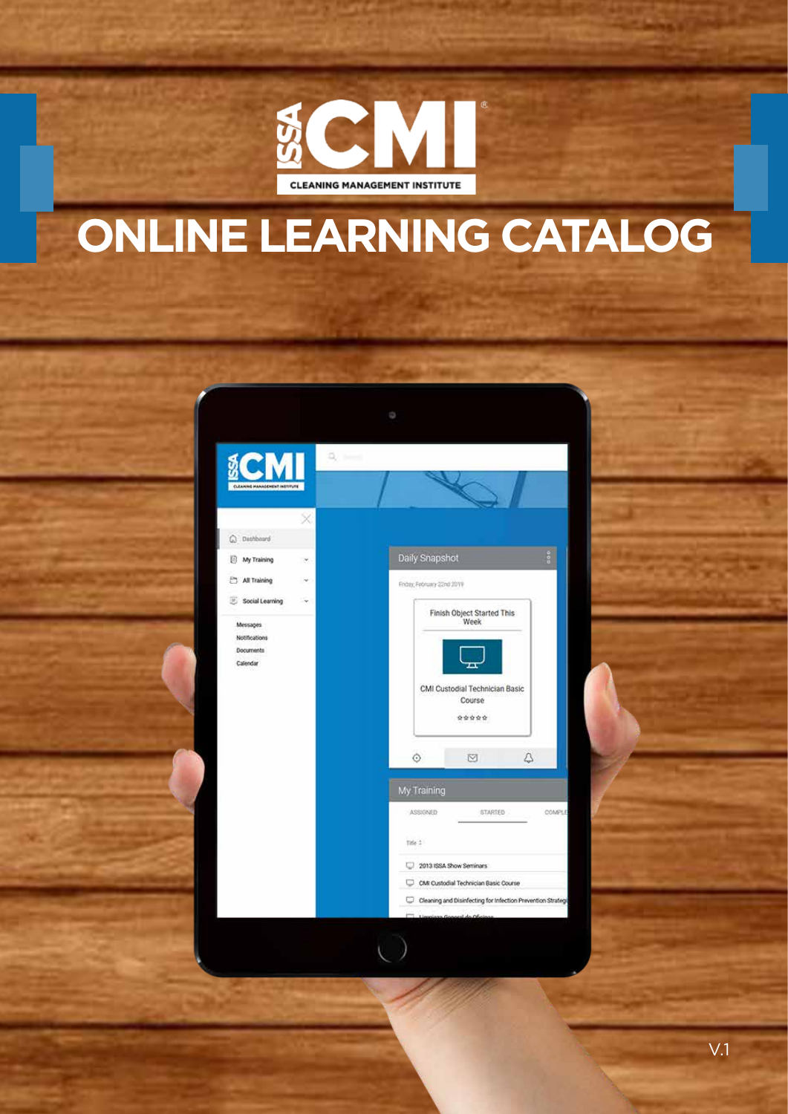

### **ONLINE LEARNING CATALOG**



V.1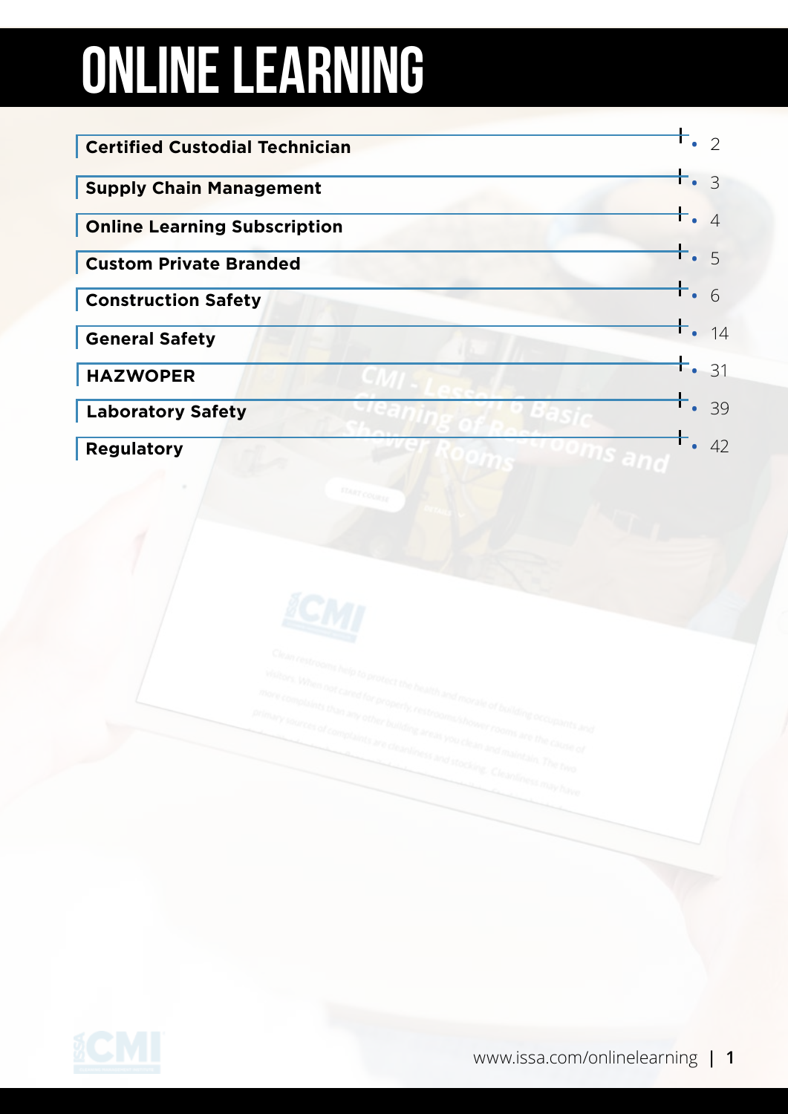# ONLINE learning

| <b>Certified Custodial Technician</b> |             | $\mathcal{P}$ |
|---------------------------------------|-------------|---------------|
| <b>Supply Chain Management</b>        | <b>F.</b> 3 |               |
| <b>Online Learning Subscription</b>   | $+$ . 4     |               |
| <b>Custom Private Branded</b>         | $+$ . 5     |               |
| <b>Construction Safety</b>            | $+$ .       |               |
| <b>General Safety</b>                 |             | 14            |
| <b>HAZWOPER</b>                       |             | 31            |
| <b>Laboratory Safety</b>              |             | 39            |
| <b>Regulatory</b>                     |             | 42            |



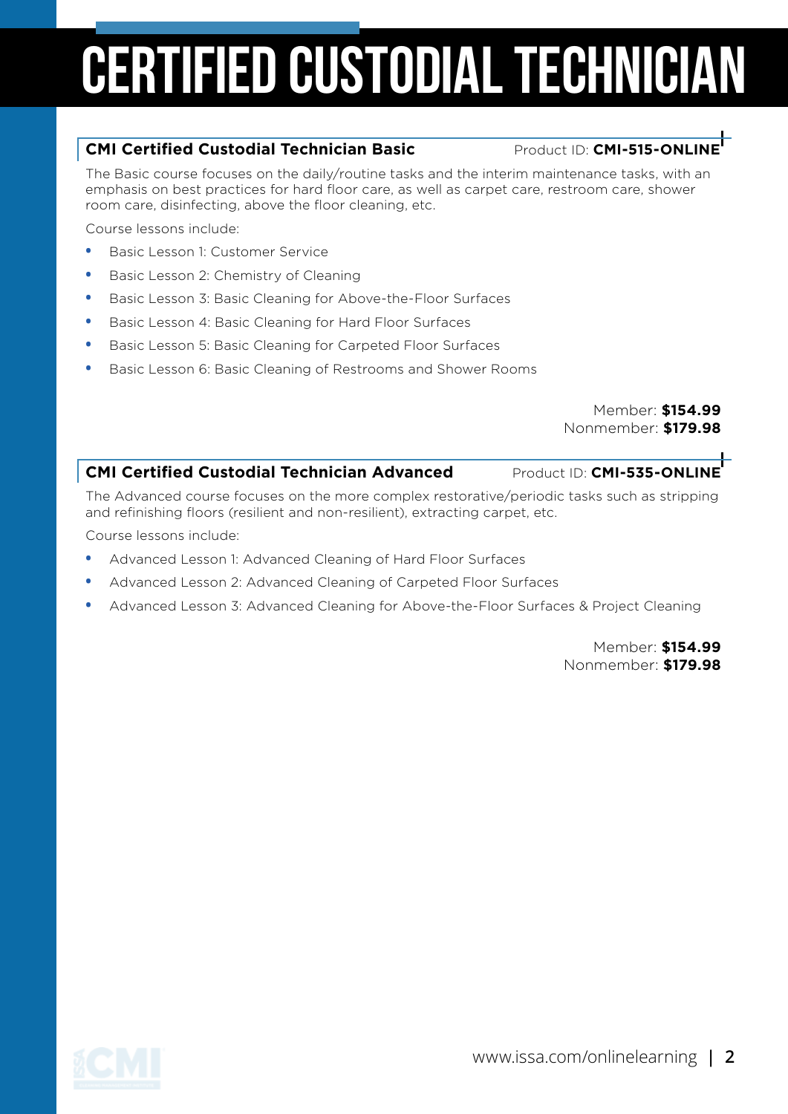# Certified custodial technician

#### **CMI Certified Custodial Technician Basic Product ID: CMI-515-ONLINE**

The Basic course focuses on the daily/routine tasks and the interim maintenance tasks, with an emphasis on best practices for hard floor care, as well as carpet care, restroom care, shower room care, disinfecting, above the floor cleaning, etc.

Course lessons include:

- **•** Basic Lesson 1: Customer Service
- **•** Basic Lesson 2: Chemistry of Cleaning
- **•** Basic Lesson 3: Basic Cleaning for Above-the-Floor Surfaces
- **•** Basic Lesson 4: Basic Cleaning for Hard Floor Surfaces
- **•** Basic Lesson 5: Basic Cleaning for Carpeted Floor Surfaces
- **•** Basic Lesson 6: Basic Cleaning of Restrooms and Shower Rooms

Member: **\$154.99** Nonmember: **\$179.98**

#### **CMI Certified Custodial Technician Advanced Product ID: CMI-535-ONLINE**

The Advanced course focuses on the more complex restorative/periodic tasks such as stripping and refinishing floors (resilient and non-resilient), extracting carpet, etc.

Course lessons include:

- **•** Advanced Lesson 1: Advanced Cleaning of Hard Floor Surfaces
- **•** Advanced Lesson 2: Advanced Cleaning of Carpeted Floor Surfaces
- **•** Advanced Lesson 3: Advanced Cleaning for Above-the-Floor Surfaces & Project Cleaning

Member: **\$154.99** Nonmember: **\$179.98**

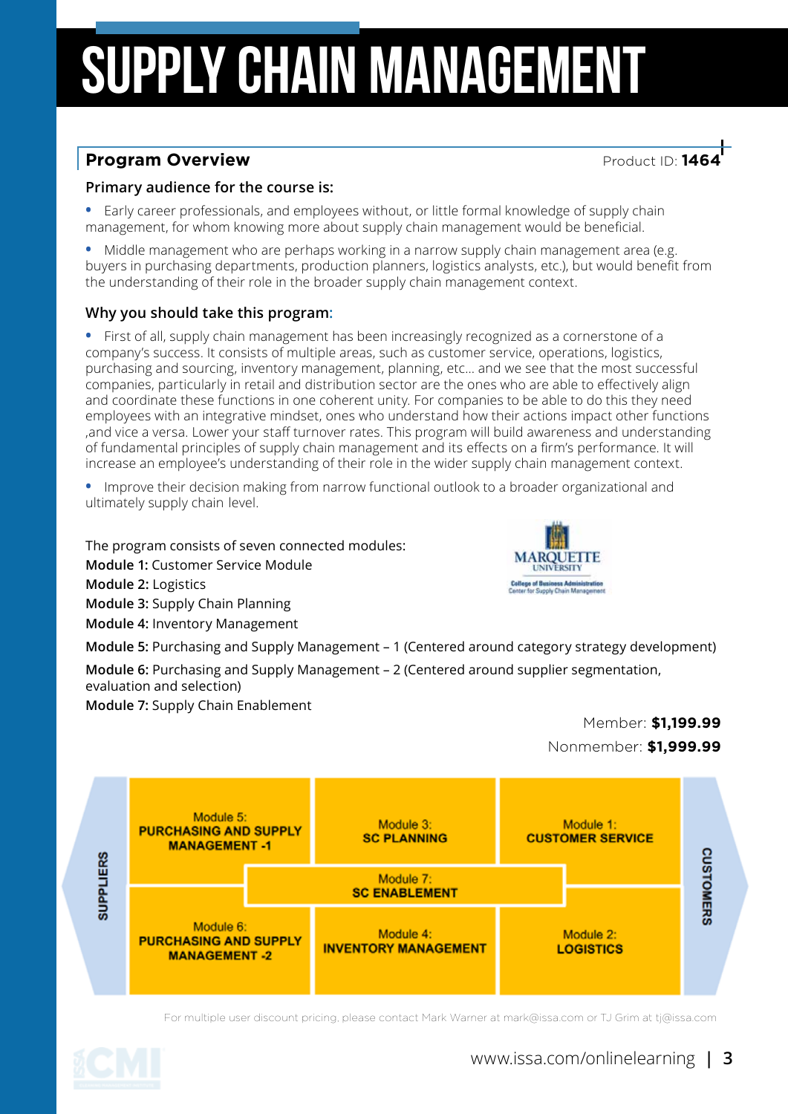# SUPPLY CHAIN MANAGEMENT

### **Program Overview**<br> **Product ID: 146**

#### **Primary audience for the course is:**

**•** Early career professionals, and employees without, or little formal knowledge of supply chain management, for whom knowing more about supply chain management would be beneficial.

**•** Middle management who are perhaps working in a narrow supply chain management area (e.g. buyers in purchasing departments, production planners, logistics analysts, etc.), but would benefit from the understanding of their role in the broader supply chain management context.

#### **Why you should take this program:**

**•** First of all, supply chain management has been increasingly recognized as a cornerstone of a company's success. It consists of multiple areas, such as customer service, operations, logistics, purchasing and sourcing, inventory management, planning, etc… and we see that the most successful companies, particularly in retail and distribution sector are the ones who are able to effectively align and coordinate these functions in one coherent unity. For companies to be able to do this they need employees with an integrative mindset, ones who understand how their actions impact other functions ,and vice a versa. Lower your staff turnover rates. This program will build awareness and understanding of fundamental principles of supply chain management and its effects on a firm's performance. It will increase an employee's understanding of their role in the wider supply chain management context.

**•** Improve their decision making from narrow functional outlook to a broader organizational and ultimately supply chain level.

The program consists of seven connected modules: **Module 1:** Customer Service Module **Module 2:** Logistics **Module 3:** Supply Chain Planning **Module 4:** Inventory Management



**Module 5:** Purchasing and Supply Management – 1 (Centered around category strategy development)

**Module 6:** Purchasing and Supply Management – 2 (Centered around supplier segmentation, evaluation and selection)

**Module 7:** Supply Chain Enablement





For multiple user discount pricing, please contact Mark Warner at mark@issa.com or TJ Grim at tj@issa.com

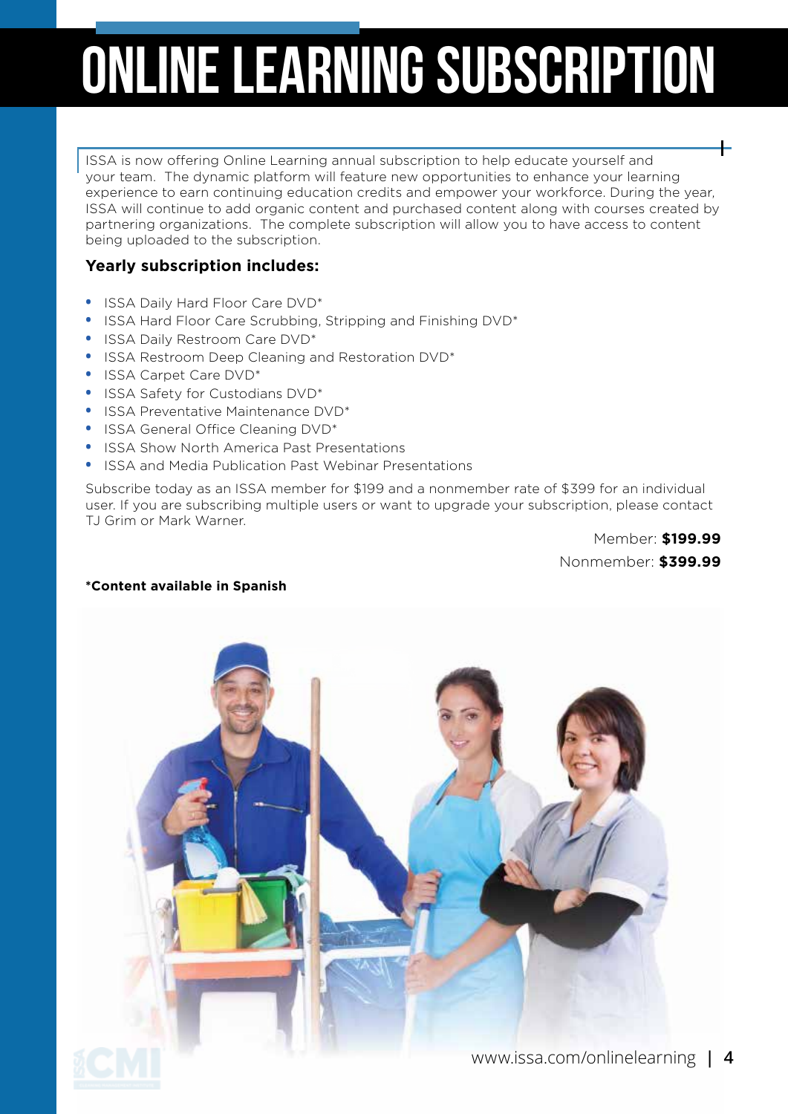# Online learning subscription

ISSA is now offering Online Learning annual subscription to help educate yourself and your team. The dynamic platform will feature new opportunities to enhance your learning experience to earn continuing education credits and empower your workforce. During the year, ISSA will continue to add organic content and purchased content along with courses created by partnering organizations. The complete subscription will allow you to have access to content being uploaded to the subscription.

#### **Yearly subscription includes:**

- **•** ISSA Daily Hard Floor Care DVD\*
- **•** ISSA Hard Floor Care Scrubbing, Stripping and Finishing DVD\*
- **•** ISSA Daily Restroom Care DVD\*
- **•** ISSA Restroom Deep Cleaning and Restoration DVD\*
- **•** ISSA Carpet Care DVD\*
- **•** ISSA Safety for Custodians DVD\*
- **•** ISSA Preventative Maintenance DVD\*
- **•** ISSA General Office Cleaning DVD\*
- **•** ISSA Show North America Past Presentations
- **•** ISSA and Media Publication Past Webinar Presentations

Subscribe today as an ISSA member for \$199 and a nonmember rate of \$399 for an individual user. If you are subscribing multiple users or want to upgrade your subscription, please contact TJ Grim or Mark Warner.

> Member: **\$199.99** Nonmember: **\$399.99**

#### **\*Content available in Spanish**

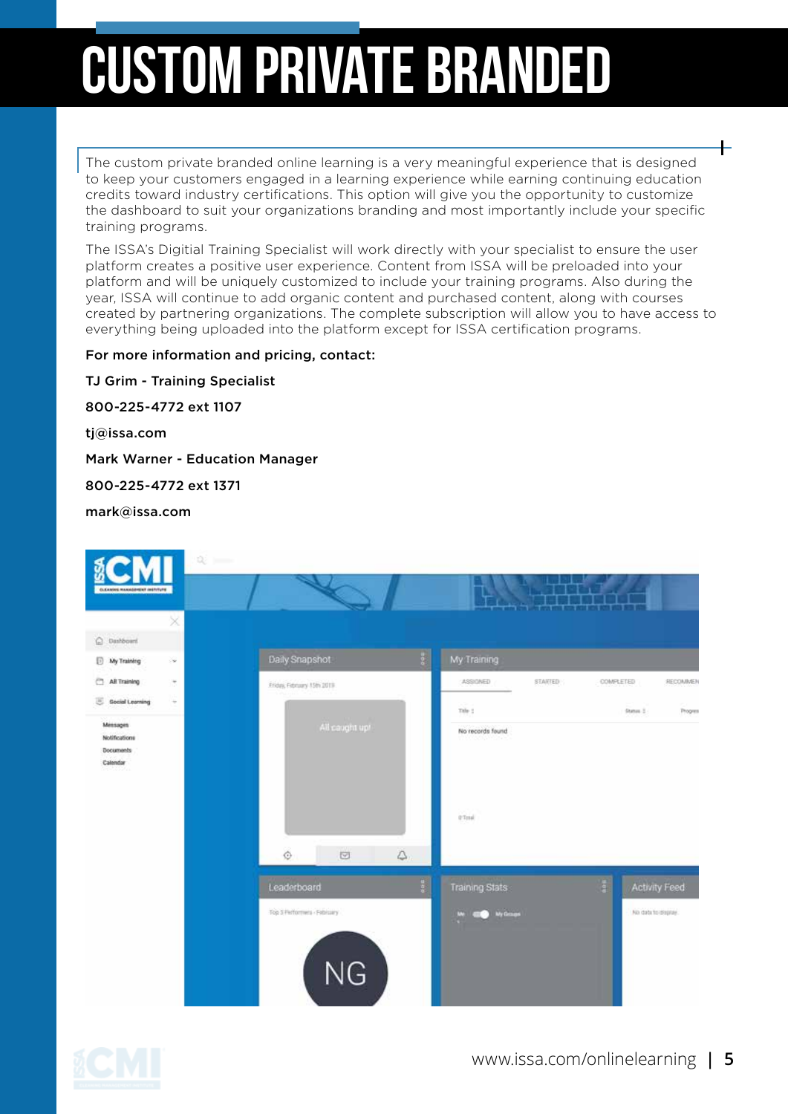# custom private branded

The custom private branded online learning is a very meaningful experience that is designed to keep your customers engaged in a learning experience while earning continuing education credits toward industry certifications. This option will give you the opportunity to customize the dashboard to suit your organizations branding and most importantly include your specific training programs.

The ISSA's Digitial Training Specialist will work directly with your specialist to ensure the user platform creates a positive user experience. Content from ISSA will be preloaded into your platform and will be uniquely customized to include your training programs. Also during the year, ISSA will continue to add organic content and purchased content, along with courses created by partnering organizations. The complete subscription will allow you to have access to everything being uploaded into the platform except for ISSA certification programs.

For more information and pricing, contact:

TJ Grim - Training Specialist 800-225-4772 ext 1107 tj@issa.com Mark Warner - Education Manager 800-225-4772 ext 1371 mark@issa.com



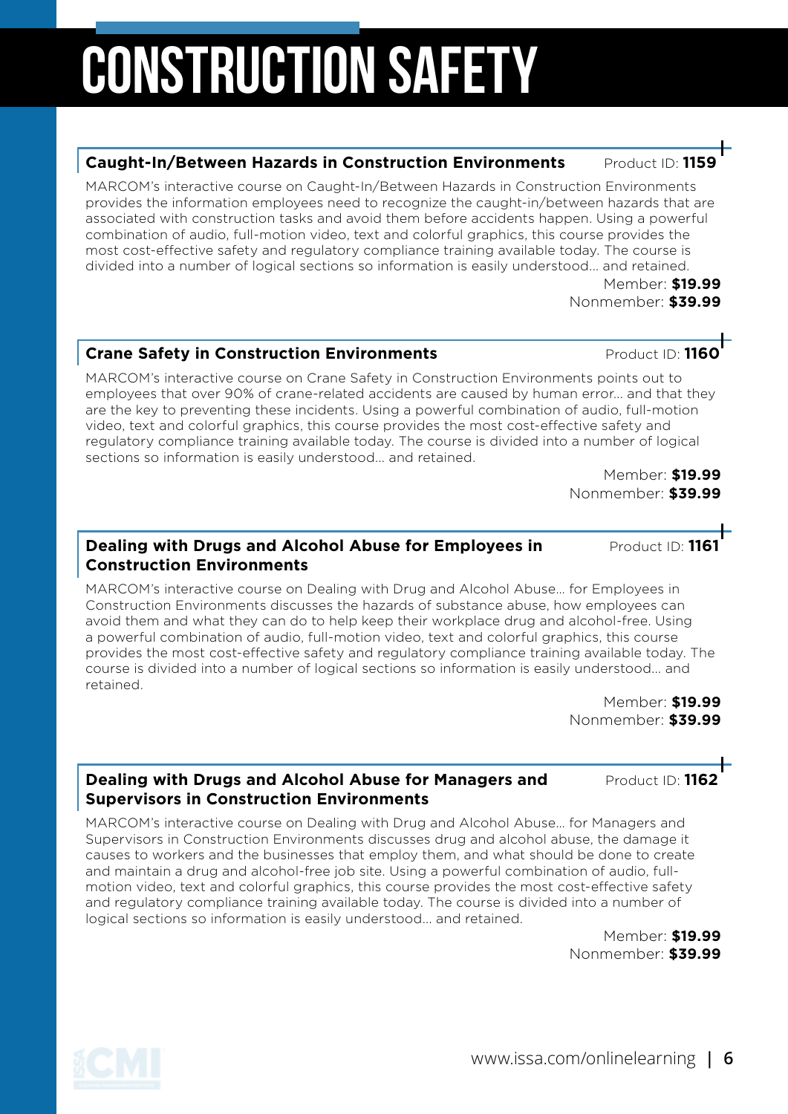# Construction Safety

#### **Caught-In/Between Hazards in Construction Environments Product ID: 1159**

MARCOM's interactive course on Caught-In/Between Hazards in Construction Environments provides the information employees need to recognize the caught-in/between hazards that are associated with construction tasks and avoid them before accidents happen. Using a powerful combination of audio, full-motion video, text and colorful graphics, this course provides the most cost-effective safety and regulatory compliance training available today. The course is divided into a number of logical sections so information is easily understood... and retained.

Member: **\$19.99** Nonmember: **\$39.99**

#### **Crane Safety in Construction Environments** Product ID: 1160

MARCOM's interactive course on Crane Safety in Construction Environments points out to employees that over 90% of crane-related accidents are caused by human error... and that they are the key to preventing these incidents. Using a powerful combination of audio, full-motion video, text and colorful graphics, this course provides the most cost-effective safety and regulatory compliance training available today. The course is divided into a number of logical sections so information is easily understood... and retained.

Member: **\$19.99** Nonmember: **\$39.99**

#### **Dealing with Drugs and Alcohol Abuse for Employees in Product ID: 116 Construction Environments**

MARCOM's interactive course on Dealing with Drug and Alcohol Abuse… for Employees in Construction Environments discusses the hazards of substance abuse, how employees can avoid them and what they can do to help keep their workplace drug and alcohol-free. Using a powerful combination of audio, full-motion video, text and colorful graphics, this course provides the most cost-effective safety and regulatory compliance training available today. The course is divided into a number of logical sections so information is easily understood... and retained.

Member: **\$19.99** Nonmember: **\$39.99**

#### **Dealing with Drugs and Alcohol Abuse for Managers and Product ID: 1162 Supervisors in Construction Environments**

MARCOM's interactive course on Dealing with Drug and Alcohol Abuse… for Managers and Supervisors in Construction Environments discusses drug and alcohol abuse, the damage it causes to workers and the businesses that employ them, and what should be done to create and maintain a drug and alcohol-free job site. Using a powerful combination of audio, fullmotion video, text and colorful graphics, this course provides the most cost-effective safety and regulatory compliance training available today. The course is divided into a number of logical sections so information is easily understood... and retained.

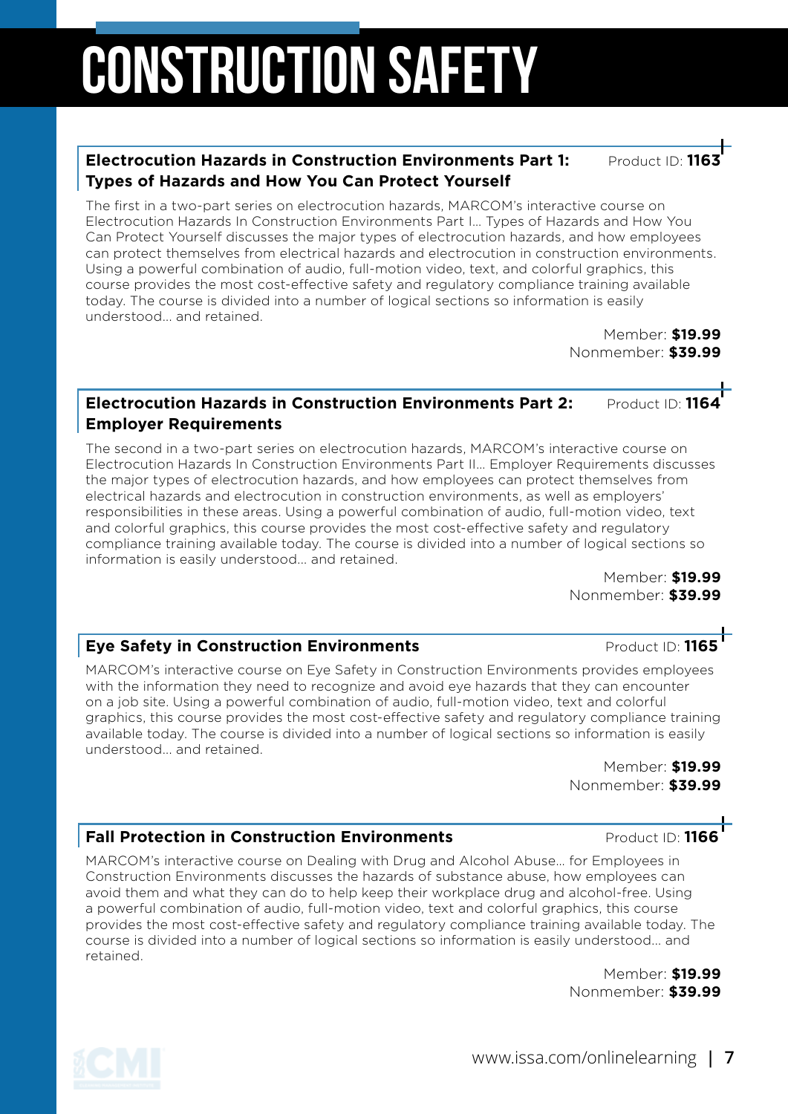# CONSTRUCTION SAFETY

#### **Electrocution Hazards in Construction Environments Part 1: Product ID: Types of Hazards and How You Can Protect Yourself**

The first in a two-part series on electrocution hazards, MARCOM's interactive course on Electrocution Hazards In Construction Environments Part I… Types of Hazards and How You Can Protect Yourself discusses the major types of electrocution hazards, and how employees can protect themselves from electrical hazards and electrocution in construction environments. Using a powerful combination of audio, full-motion video, text, and colorful graphics, this course provides the most cost-effective safety and regulatory compliance training available today. The course is divided into a number of logical sections so information is easily understood... and retained.

Member: **\$19.99** Nonmember: **\$39.99**

#### **Electrocution Hazards in Construction Environments Part 2: Product ID: 1164 Employer Requirements**

The second in a two-part series on electrocution hazards, MARCOM's interactive course on Electrocution Hazards In Construction Environments Part II… Employer Requirements discusses the major types of electrocution hazards, and how employees can protect themselves from electrical hazards and electrocution in construction environments, as well as employers' responsibilities in these areas. Using a powerful combination of audio, full-motion video, text and colorful graphics, this course provides the most cost-effective safety and regulatory compliance training available today. The course is divided into a number of logical sections so information is easily understood... and retained.

Member: **\$19.99** Nonmember: **\$39.99**

#### **Eye Safety in Construction Environments Product ID: 1165**

MARCOM's interactive course on Eye Safety in Construction Environments provides employees with the information they need to recognize and avoid eye hazards that they can encounter on a job site. Using a powerful combination of audio, full-motion video, text and colorful graphics, this course provides the most cost-effective safety and regulatory compliance training available today. The course is divided into a number of logical sections so information is easily understood... and retained.

> Member: **\$19.99** Nonmember: **\$39.99**

#### **Fall Protection in Construction Environments Product ID: 1166**

MARCOM's interactive course on Dealing with Drug and Alcohol Abuse… for Employees in Construction Environments discusses the hazards of substance abuse, how employees can avoid them and what they can do to help keep their workplace drug and alcohol-free. Using a powerful combination of audio, full-motion video, text and colorful graphics, this course provides the most cost-effective safety and regulatory compliance training available today. The course is divided into a number of logical sections so information is easily understood... and retained.

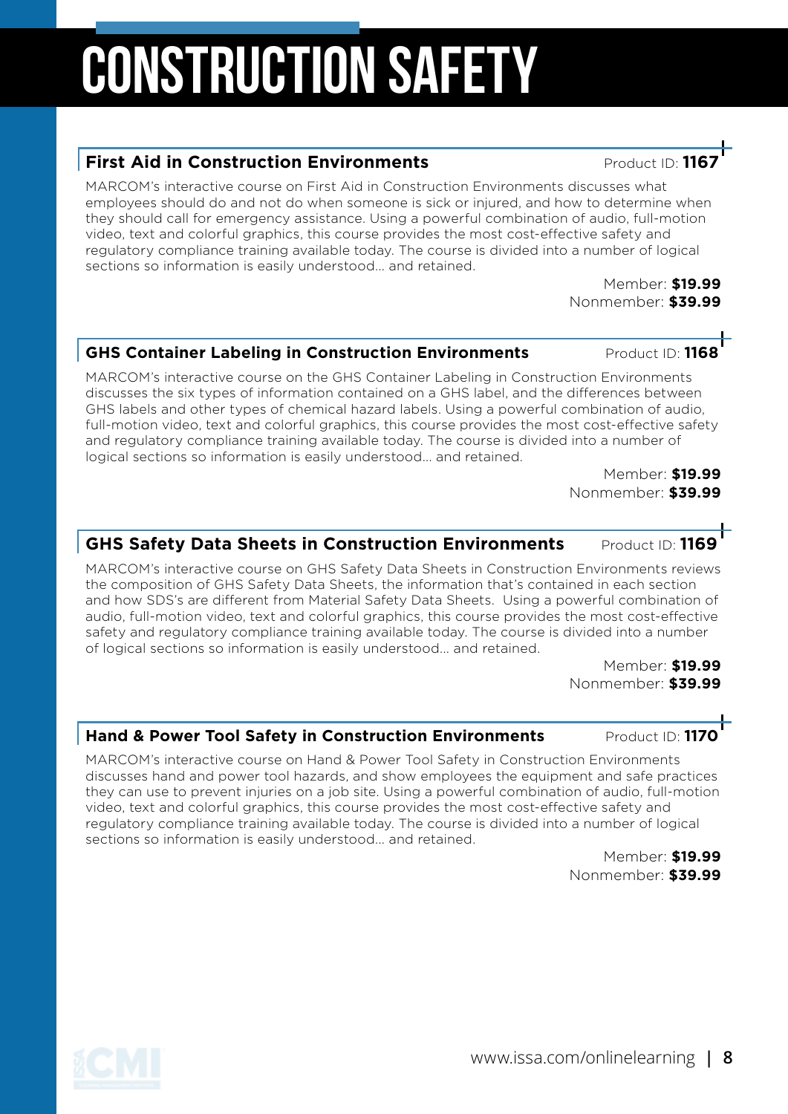### MARCOM's interactive course on the GHS Container Labeling in Construction Environments

discusses the six types of information contained on a GHS label, and the differences between GHS labels and other types of chemical hazard labels. Using a powerful combination of audio, full-motion video, text and colorful graphics, this course provides the most cost-effective safety and regulatory compliance training available today. The course is divided into a number of logical sections so information is easily understood... and retained.

**GHS Container Labeling in Construction Environments Product ID: 1168** 

Member: **\$19.99** Nonmember: **\$39.99**

### **GHS Safety Data Sheets in Construction Environments Product ID: 1169**

MARCOM's interactive course on GHS Safety Data Sheets in Construction Environments reviews the composition of GHS Safety Data Sheets, the information that's contained in each section and how SDS's are different from Material Safety Data Sheets. Using a powerful combination of audio, full-motion video, text and colorful graphics, this course provides the most cost-effective safety and regulatory compliance training available today. The course is divided into a number of logical sections so information is easily understood... and retained.

> Member: **\$19.99** Nonmember: **\$39.99**

#### **Hand & Power Tool Safety in Construction Environments Product ID: 1170**

MARCOM's interactive course on Hand & Power Tool Safety in Construction Environments discusses hand and power tool hazards, and show employees the equipment and safe practices they can use to prevent injuries on a job site. Using a powerful combination of audio, full-motion video, text and colorful graphics, this course provides the most cost-effective safety and regulatory compliance training available today. The course is divided into a number of logical sections so information is easily understood... and retained.

Member: **\$19.99** Nonmember: **\$39.99**

# Construction Safety

### **First Aid in Construction Environments Product ID: 11**

MARCOM's interactive course on First Aid in Construction Environments discusses what employees should do and not do when someone is sick or injured, and how to determine when they should call for emergency assistance. Using a powerful combination of audio, full-motion video, text and colorful graphics, this course provides the most cost-effective safety and regulatory compliance training available today. The course is divided into a number of logical sections so information is easily understood... and retained.



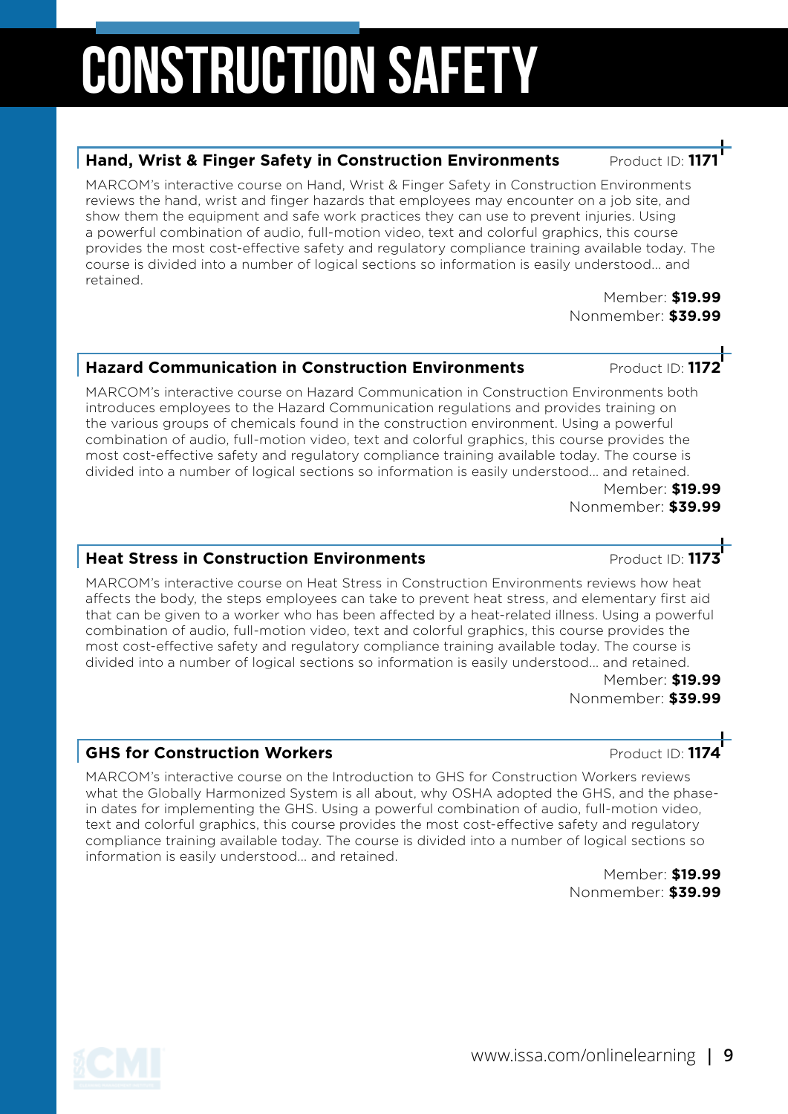# Construction Safety

#### **Hand, Wrist & Finger Safety in Construction Environments** Product ID:

MARCOM's interactive course on Hand, Wrist & Finger Safety in Construction Environments reviews the hand, wrist and finger hazards that employees may encounter on a job site, and show them the equipment and safe work practices they can use to prevent injuries. Using a powerful combination of audio, full-motion video, text and colorful graphics, this course provides the most cost-effective safety and regulatory compliance training available today. The course is divided into a number of logical sections so information is easily understood... and retained.

> Member: **\$19.99** Nonmember: **\$39.99**

#### **Hazard Communication in Construction Environments Product ID:**

MARCOM's interactive course on Hazard Communication in Construction Environments both introduces employees to the Hazard Communication regulations and provides training on the various groups of chemicals found in the construction environment. Using a powerful combination of audio, full-motion video, text and colorful graphics, this course provides the most cost-effective safety and regulatory compliance training available today. The course is divided into a number of logical sections so information is easily understood... and retained.

Member: **\$19.99** Nonmember: **\$39.99**

#### **Heat Stress in Construction Environments Product ID: 1173**

MARCOM's interactive course on Heat Stress in Construction Environments reviews how heat affects the body, the steps employees can take to prevent heat stress, and elementary first aid that can be given to a worker who has been affected by a heat-related illness. Using a powerful combination of audio, full-motion video, text and colorful graphics, this course provides the most cost-effective safety and regulatory compliance training available today. The course is divided into a number of logical sections so information is easily understood... and retained.

> Member: **\$19.99** Nonmember: **\$39.99**

#### **GHS for Construction Workers and Construction Workers and Construction Morkers**

MARCOM's interactive course on the Introduction to GHS for Construction Workers reviews what the Globally Harmonized System is all about, why OSHA adopted the GHS, and the phasein dates for implementing the GHS. Using a powerful combination of audio, full-motion video, text and colorful graphics, this course provides the most cost-effective safety and regulatory compliance training available today. The course is divided into a number of logical sections so information is easily understood... and retained.

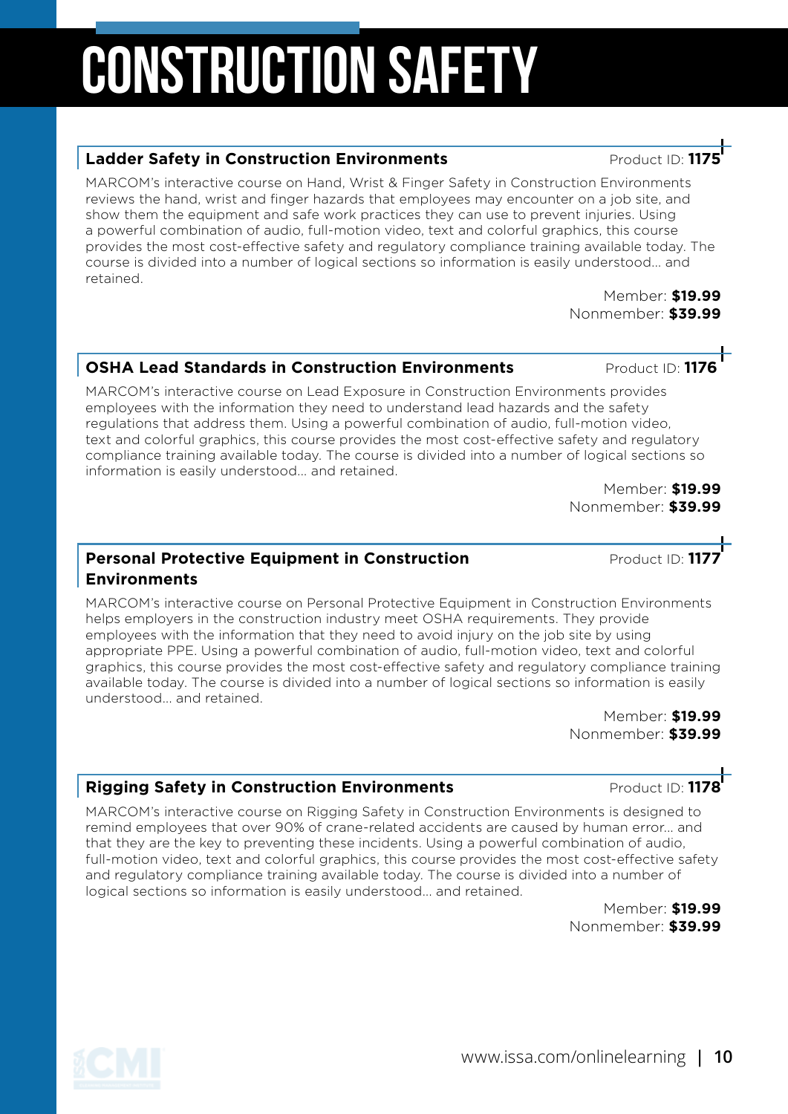## CONSTRUCTION SAFETY

#### **Ladder Safety in Construction Environments Product ID:** Product ID:

MARCOM's interactive course on Hand, Wrist & Finger Safety in Construction Environments reviews the hand, wrist and finger hazards that employees may encounter on a job site, and show them the equipment and safe work practices they can use to prevent injuries. Using a powerful combination of audio, full-motion video, text and colorful graphics, this course provides the most cost-effective safety and regulatory compliance training available today. The course is divided into a number of logical sections so information is easily understood... and retained.

Member: **\$19.99** Nonmember: **\$39.99**

#### **OSHA Lead Standards in Construction Environments** Product ID: 11

MARCOM's interactive course on Lead Exposure in Construction Environments provides employees with the information they need to understand lead hazards and the safety regulations that address them. Using a powerful combination of audio, full-motion video, text and colorful graphics, this course provides the most cost-effective safety and regulatory compliance training available today. The course is divided into a number of logical sections so information is easily understood... and retained.

Member: **\$19.99** Nonmember: **\$39.99**

#### **Personal Protective Equipment in Construction** *Product ID***: 1177 Environments**

MARCOM's interactive course on Personal Protective Equipment in Construction Environments helps employers in the construction industry meet OSHA requirements. They provide employees with the information that they need to avoid injury on the job site by using appropriate PPE. Using a powerful combination of audio, full-motion video, text and colorful graphics, this course provides the most cost-effective safety and regulatory compliance training available today. The course is divided into a number of logical sections so information is easily understood... and retained.

Member: **\$19.99** Nonmember: **\$39.99**

#### **Rigging Safety in Construction Environments** Product ID: 1178

MARCOM's interactive course on Rigging Safety in Construction Environments is designed to remind employees that over 90% of crane-related accidents are caused by human error... and that they are the key to preventing these incidents. Using a powerful combination of audio, full-motion video, text and colorful graphics, this course provides the most cost-effective safety and regulatory compliance training available today. The course is divided into a number of logical sections so information is easily understood... and retained.



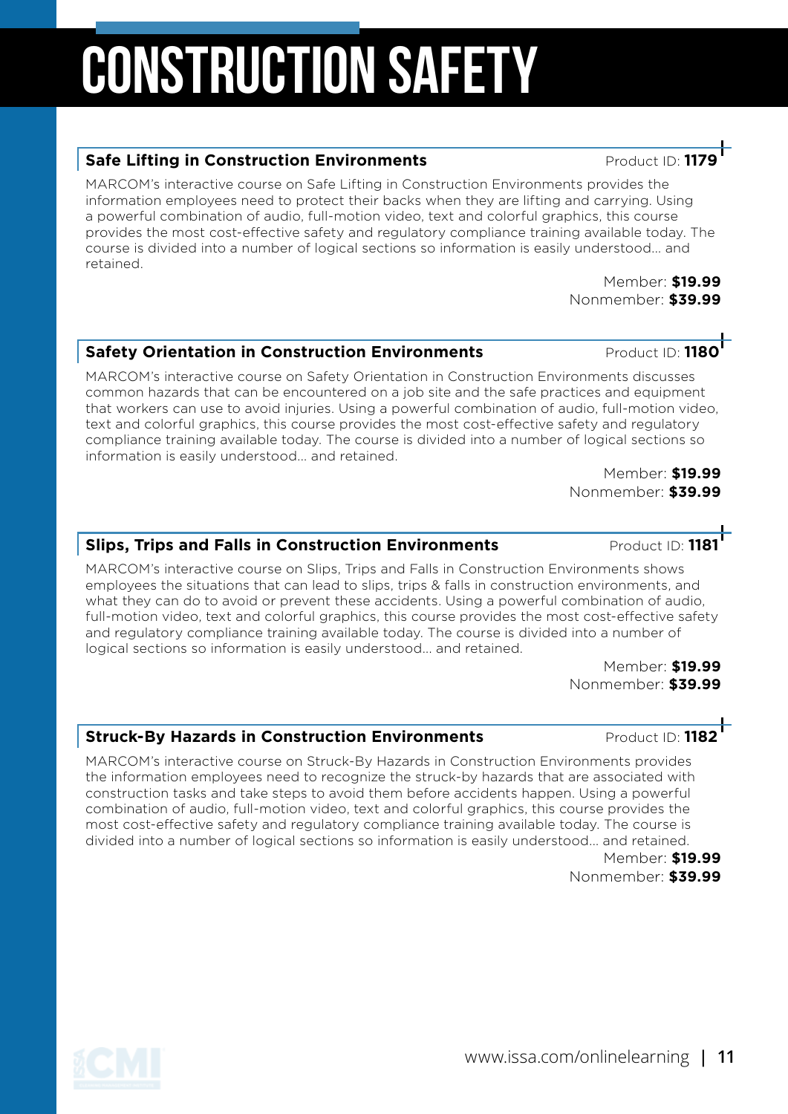### **Safety Orientation in Construction Environments** Product ID: 1180<sup>1</sup>

MARCOM's interactive course on Safety Orientation in Construction Environments discusses common hazards that can be encountered on a job site and the safe practices and equipment that workers can use to avoid injuries. Using a powerful combination of audio, full-motion video, text and colorful graphics, this course provides the most cost-effective safety and regulatory compliance training available today. The course is divided into a number of logical sections so information is easily understood... and retained.

Member: **\$19.99** Nonmember: **\$39.99**

### **Slips, Trips and Falls in Construction Environments** Product ID: 1181

MARCOM's interactive course on Slips, Trips and Falls in Construction Environments shows employees the situations that can lead to slips, trips & falls in construction environments, and what they can do to avoid or prevent these accidents. Using a powerful combination of audio, full-motion video, text and colorful graphics, this course provides the most cost-effective safety and regulatory compliance training available today. The course is divided into a number of logical sections so information is easily understood... and retained.

Member: **\$19.99** Nonmember: **\$39.99**

### **Struck-By Hazards in Construction Environments** Product ID: 1182

MARCOM's interactive course on Struck-By Hazards in Construction Environments provides the information employees need to recognize the struck-by hazards that are associated with construction tasks and take steps to avoid them before accidents happen. Using a powerful combination of audio, full-motion video, text and colorful graphics, this course provides the most cost-effective safety and regulatory compliance training available today. The course is divided into a number of logical sections so information is easily understood... and retained.

Member: **\$19.99** Nonmember: **\$39.99**

CONSTRUCTION SAFETY

### **Safe Lifting in Construction Environments Product ID: 117**

MARCOM's interactive course on Safe Lifting in Construction Environments provides the information employees need to protect their backs when they are lifting and carrying. Using a powerful combination of audio, full-motion video, text and colorful graphics, this course provides the most cost-effective safety and regulatory compliance training available today. The course is divided into a number of logical sections so information is easily understood... and retained.



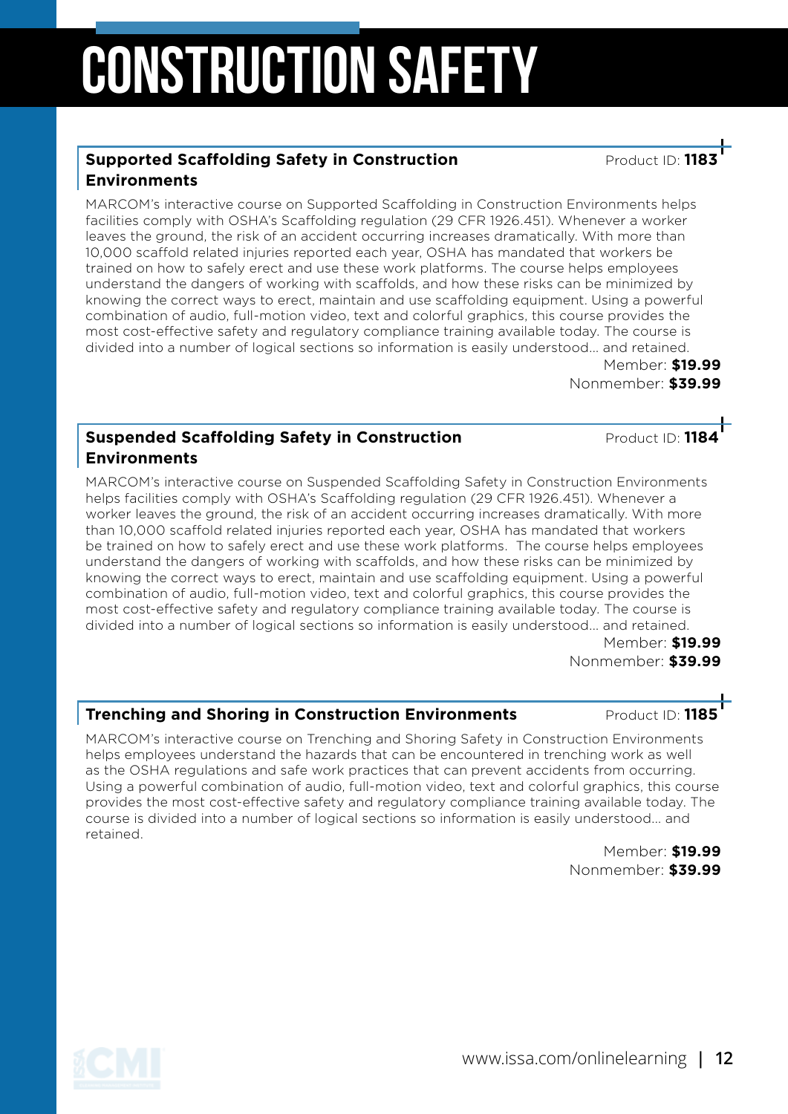# CONSTRUCTION SAFETY

#### **Supported Scaffolding Safety in Construction And American Product ID: 118 Environments**

MARCOM's interactive course on Supported Scaffolding in Construction Environments helps facilities comply with OSHA's Scaffolding regulation (29 CFR 1926.451). Whenever a worker leaves the ground, the risk of an accident occurring increases dramatically. With more than 10,000 scaffold related injuries reported each year, OSHA has mandated that workers be trained on how to safely erect and use these work platforms. The course helps employees understand the dangers of working with scaffolds, and how these risks can be minimized by knowing the correct ways to erect, maintain and use scaffolding equipment. Using a powerful combination of audio, full-motion video, text and colorful graphics, this course provides the most cost-effective safety and regulatory compliance training available today. The course is divided into a number of logical sections so information is easily understood... and retained. Member: **\$19.99**

Nonmember: **\$39.99**

#### **Suspended Scaffolding Safety in Construction And American Product ID: 1184 Environments**

MARCOM's interactive course on Suspended Scaffolding Safety in Construction Environments helps facilities comply with OSHA's Scaffolding regulation (29 CFR 1926.451). Whenever a worker leaves the ground, the risk of an accident occurring increases dramatically. With more than 10,000 scaffold related injuries reported each year, OSHA has mandated that workers be trained on how to safely erect and use these work platforms. The course helps employees understand the dangers of working with scaffolds, and how these risks can be minimized by knowing the correct ways to erect, maintain and use scaffolding equipment. Using a powerful combination of audio, full-motion video, text and colorful graphics, this course provides the most cost-effective safety and regulatory compliance training available today. The course is divided into a number of logical sections so information is easily understood... and retained.

Member: **\$19.99** Nonmember: **\$39.99**

#### **Trenching and Shoring in Construction Environments Product ID: 1185**

MARCOM's interactive course on Trenching and Shoring Safety in Construction Environments helps employees understand the hazards that can be encountered in trenching work as well as the OSHA regulations and safe work practices that can prevent accidents from occurring. Using a powerful combination of audio, full-motion video, text and colorful graphics, this course provides the most cost-effective safety and regulatory compliance training available today. The course is divided into a number of logical sections so information is easily understood... and retained.

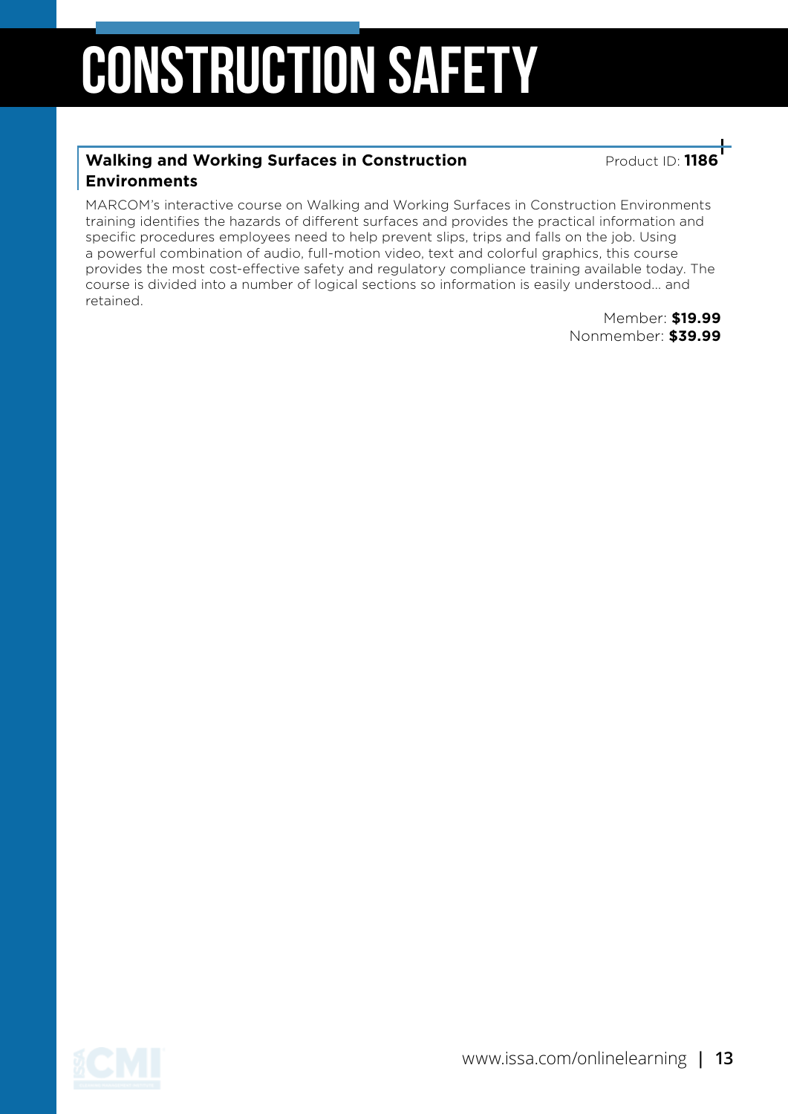# Construction Safety

#### **Walking and Working Surfaces in Construction And American Product ID: 1186 Environments**

MARCOM's interactive course on Walking and Working Surfaces in Construction Environments training identifies the hazards of different surfaces and provides the practical information and specific procedures employees need to help prevent slips, trips and falls on the job. Using a powerful combination of audio, full-motion video, text and colorful graphics, this course provides the most cost-effective safety and regulatory compliance training available today. The course is divided into a number of logical sections so information is easily understood... and retained.

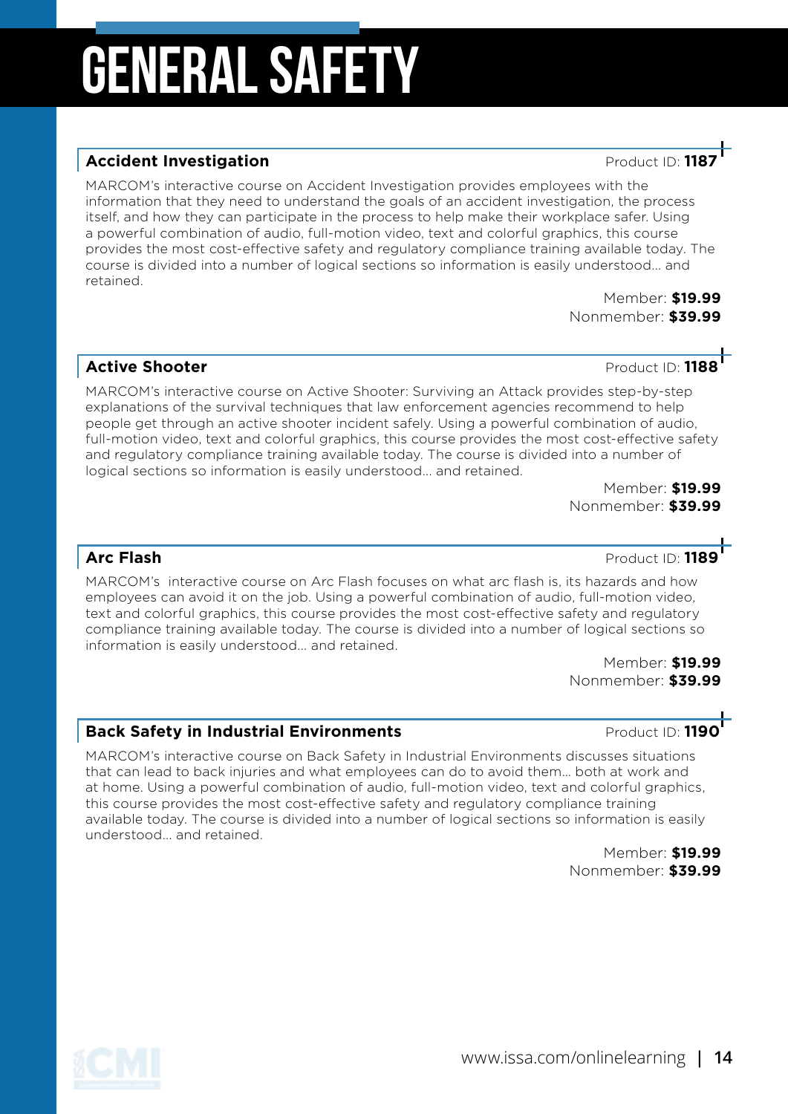### **Accident Investigation Accident Investigation**

MARCOM's interactive course on Accident Investigation provides employees with the information that they need to understand the goals of an accident investigation, the process itself, and how they can participate in the process to help make their workplace safer. Using a powerful combination of audio, full-motion video, text and colorful graphics, this course provides the most cost-effective safety and regulatory compliance training available today. The course is divided into a number of logical sections so information is easily understood... and retained.

Member: **\$19.99** Nonmember: **\$39.99**

#### **Active Shooter Active Shooter Product ID: 1188**

MARCOM's interactive course on Active Shooter: Surviving an Attack provides step-by-step explanations of the survival techniques that law enforcement agencies recommend to help people get through an active shooter incident safely. Using a powerful combination of audio, full-motion video, text and colorful graphics, this course provides the most cost-effective safety and regulatory compliance training available today. The course is divided into a number of logical sections so information is easily understood... and retained.

> Member: **\$19.99** Nonmember: **\$39.99**

### **Arc Flash Product ID: 1189**

MARCOM's interactive course on Arc Flash focuses on what arc flash is, its hazards and how employees can avoid it on the job. Using a powerful combination of audio, full-motion video, text and colorful graphics, this course provides the most cost-effective safety and regulatory compliance training available today. The course is divided into a number of logical sections so information is easily understood... and retained.

> Member: **\$19.99** Nonmember: **\$39.99**

#### **Back Safety in Industrial Environments Product ID: 1190**

MARCOM's interactive course on Back Safety in Industrial Environments discusses situations that can lead to back injuries and what employees can do to avoid them… both at work and at home. Using a powerful combination of audio, full-motion video, text and colorful graphics, this course provides the most cost-effective safety and regulatory compliance training available today. The course is divided into a number of logical sections so information is easily understood... and retained.

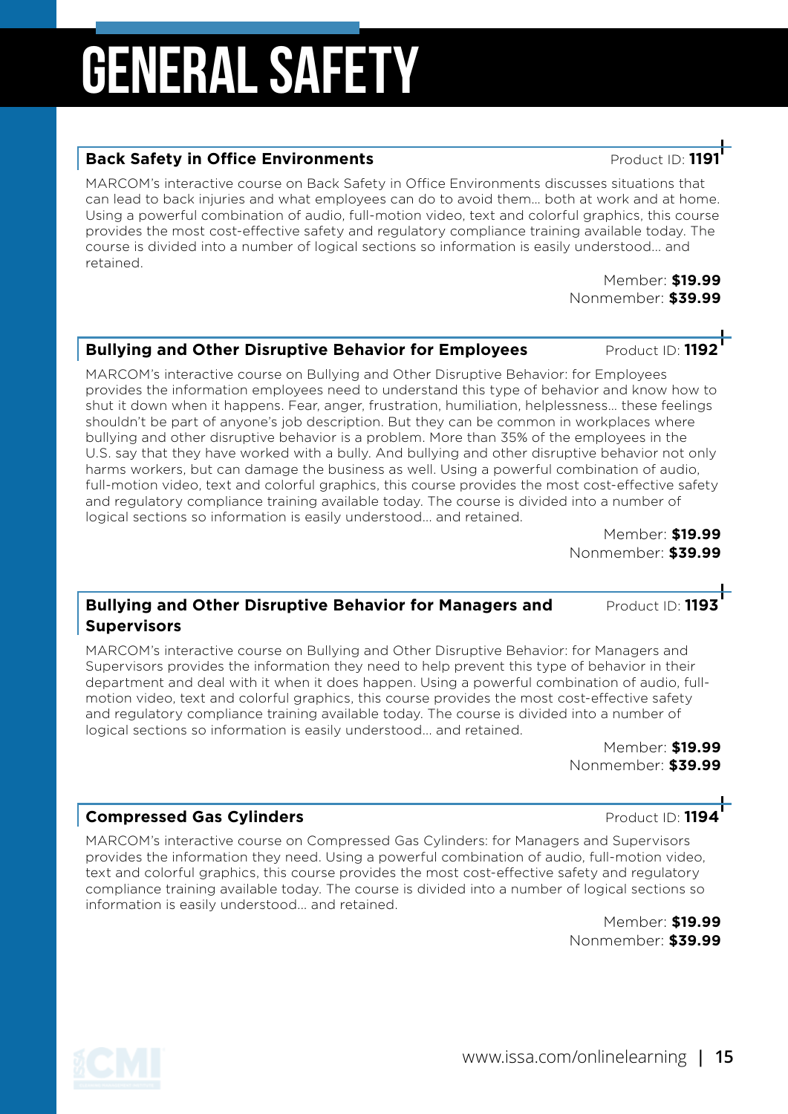#### **Back Safety in Office Environments Product ID:** Product ID:

MARCOM's interactive course on Back Safety in Office Environments discusses situations that can lead to back injuries and what employees can do to avoid them… both at work and at home. Using a powerful combination of audio, full-motion video, text and colorful graphics, this course provides the most cost-effective safety and regulatory compliance training available today. The course is divided into a number of logical sections so information is easily understood... and retained.

Member: **\$19.99** Nonmember: **\$39.99**

### **Bullying and Other Disruptive Behavior for Employees** Product ID: 1192

MARCOM's interactive course on Bullying and Other Disruptive Behavior: for Employees provides the information employees need to understand this type of behavior and know how to shut it down when it happens. Fear, anger, frustration, humiliation, helplessness… these feelings shouldn't be part of anyone's job description. But they can be common in workplaces where bullying and other disruptive behavior is a problem. More than 35% of the employees in the U.S. say that they have worked with a bully. And bullying and other disruptive behavior not only harms workers, but can damage the business as well. Using a powerful combination of audio, full-motion video, text and colorful graphics, this course provides the most cost-effective safety and regulatory compliance training available today. The course is divided into a number of logical sections so information is easily understood... and retained.

Member: **\$19.99** Nonmember: **\$39.99**

#### **Bullying and Other Disruptive Behavior for Managers and Product ID: 1193 Supervisors**

MARCOM's interactive course on Bullying and Other Disruptive Behavior: for Managers and Supervisors provides the information they need to help prevent this type of behavior in their department and deal with it when it does happen. Using a powerful combination of audio, fullmotion video, text and colorful graphics, this course provides the most cost-effective safety and regulatory compliance training available today. The course is divided into a number of logical sections so information is easily understood... and retained.

> Member: **\$19.99** Nonmember: **\$39.99**

#### **Compressed Gas Cylinders Compressed Gas Cylinders Product ID: 1194**

MARCOM's interactive course on Compressed Gas Cylinders: for Managers and Supervisors provides the information they need. Using a powerful combination of audio, full-motion video, text and colorful graphics, this course provides the most cost-effective safety and regulatory compliance training available today. The course is divided into a number of logical sections so information is easily understood... and retained.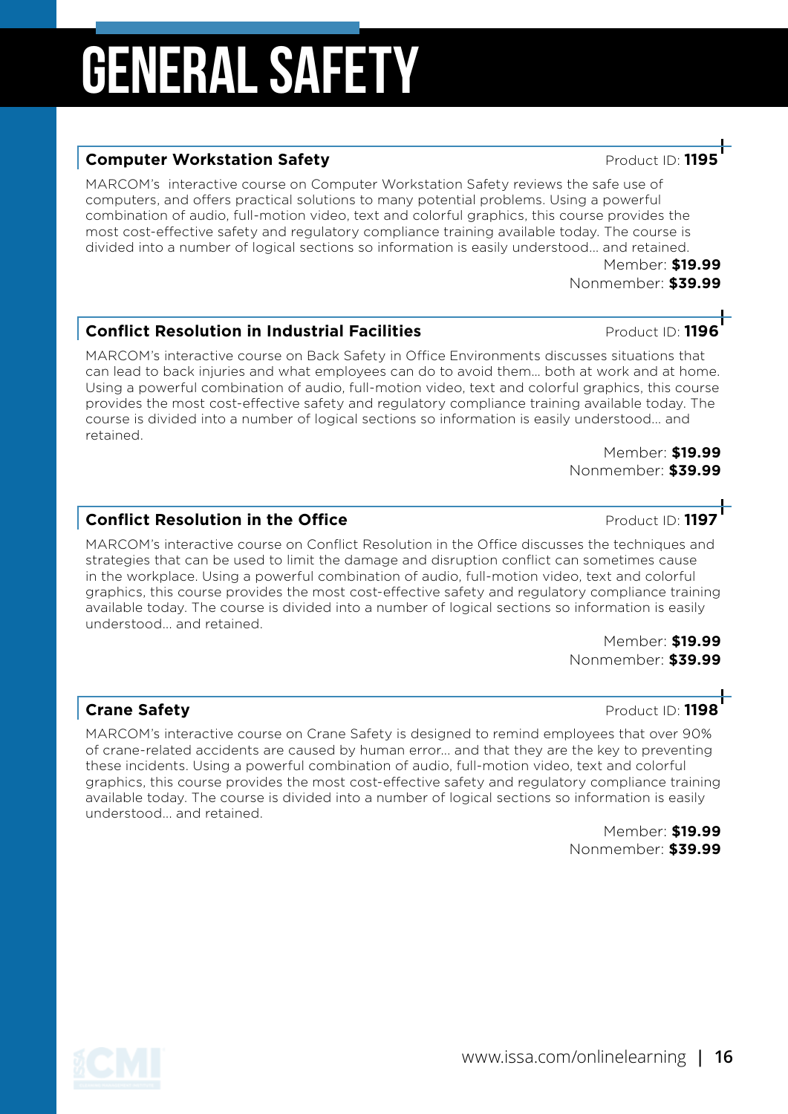#### **Computer Workstation Safety Product ID: 119**

MARCOM's interactive course on Computer Workstation Safety reviews the safe use of computers, and offers practical solutions to many potential problems. Using a powerful combination of audio, full-motion video, text and colorful graphics, this course provides the most cost-effective safety and regulatory compliance training available today. The course is divided into a number of logical sections so information is easily understood... and retained.

> Member: **\$19.99** Nonmember: **\$39.99**

#### **Conflict Resolution in Industrial Facilities Product ID: 1196**

MARCOM's interactive course on Back Safety in Office Environments discusses situations that can lead to back injuries and what employees can do to avoid them… both at work and at home. Using a powerful combination of audio, full-motion video, text and colorful graphics, this course provides the most cost-effective safety and regulatory compliance training available today. The course is divided into a number of logical sections so information is easily understood... and retained.

> Member: **\$19.99** Nonmember: **\$39.99**

#### **Conflict Resolution in the Office** Product ID: **1197**

MARCOM's interactive course on Conflict Resolution in the Office discusses the techniques and strategies that can be used to limit the damage and disruption conflict can sometimes cause in the workplace. Using a powerful combination of audio, full-motion video, text and colorful graphics, this course provides the most cost-effective safety and regulatory compliance training available today. The course is divided into a number of logical sections so information is easily understood... and retained.

> Member: **\$19.99** Nonmember: **\$39.99**

#### **Crane Safety Crane Safety Product ID: 1198**

MARCOM's interactive course on Crane Safety is designed to remind employees that over 90% of crane-related accidents are caused by human error... and that they are the key to preventing these incidents. Using a powerful combination of audio, full-motion video, text and colorful graphics, this course provides the most cost-effective safety and regulatory compliance training available today. The course is divided into a number of logical sections so information is easily understood... and retained.

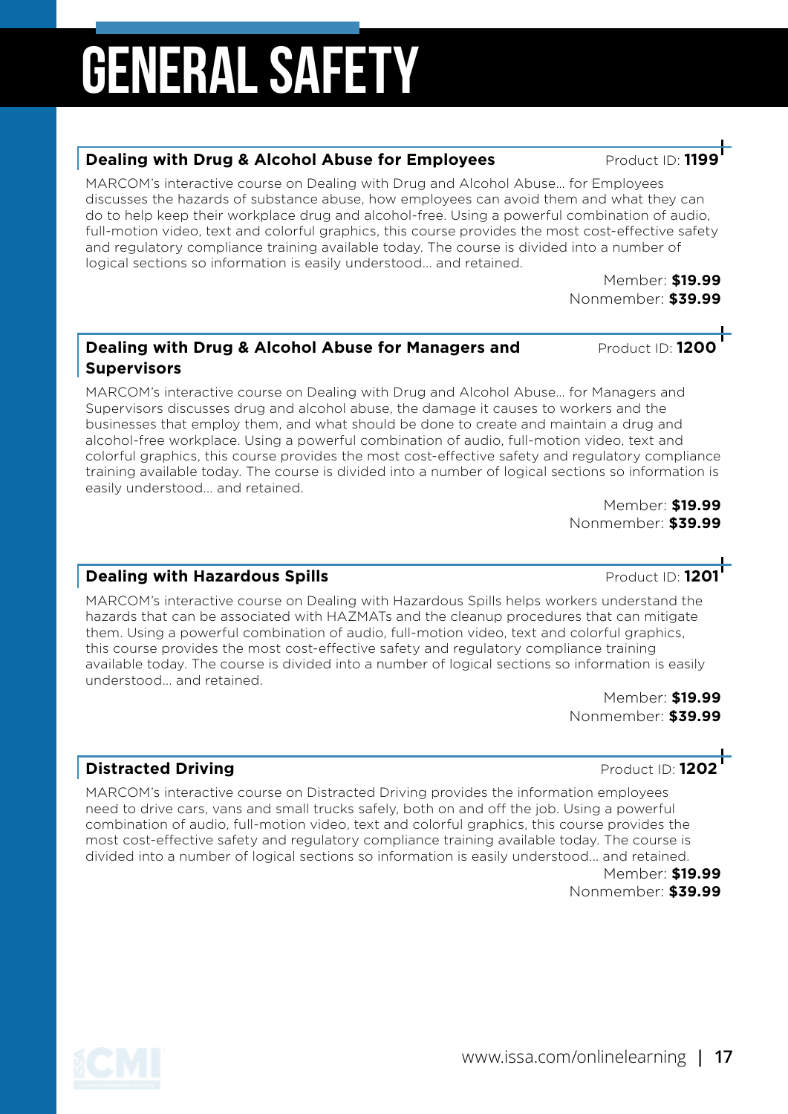#### **Dealing with Drug & Alcohol Abuse for Employees** Product ID: 1199

MARCOM's interactive course on Dealing with Drug and Alcohol Abuse… for Employees discusses the hazards of substance abuse, how employees can avoid them and what they can do to help keep their workplace drug and alcohol-free. Using a powerful combination of audio, full-motion video, text and colorful graphics, this course provides the most cost-effective safety and regulatory compliance training available today. The course is divided into a number of logical sections so information is easily understood... and retained.

> Member: **\$19.99** Nonmember: **\$39.99**

#### **Dealing with Drug & Alcohol Abuse for Managers and Product ID: 1200 Supervisors**

MARCOM's interactive course on Dealing with Drug and Alcohol Abuse… for Managers and Supervisors discusses drug and alcohol abuse, the damage it causes to workers and the businesses that employ them, and what should be done to create and maintain a drug and alcohol-free workplace. Using a powerful combination of audio, full-motion video, text and colorful graphics, this course provides the most cost-effective safety and regulatory compliance training available today. The course is divided into a number of logical sections so information is easily understood... and retained.

Member: **\$19.99** Nonmember: **\$39.99**

#### **Dealing with Hazardous Spills** Product ID: **1201**

MARCOM's interactive course on Dealing with Hazardous Spills helps workers understand the hazards that can be associated with HAZMATs and the cleanup procedures that can mitigate them. Using a powerful combination of audio, full-motion video, text and colorful graphics, this course provides the most cost-effective safety and regulatory compliance training available today. The course is divided into a number of logical sections so information is easily understood... and retained.

Member: **\$19.99** Nonmember: **\$39.99**

### **Distracted Driving Distracted Driving Product ID: 1202**

MARCOM's interactive course on Distracted Driving provides the information employees need to drive cars, vans and small trucks safely, both on and off the job. Using a powerful combination of audio, full-motion video, text and colorful graphics, this course provides the most cost-effective safety and regulatory compliance training available today. The course is divided into a number of logical sections so information is easily understood... and retained. Member: **\$19.99**

Nonmember: **\$39.99**

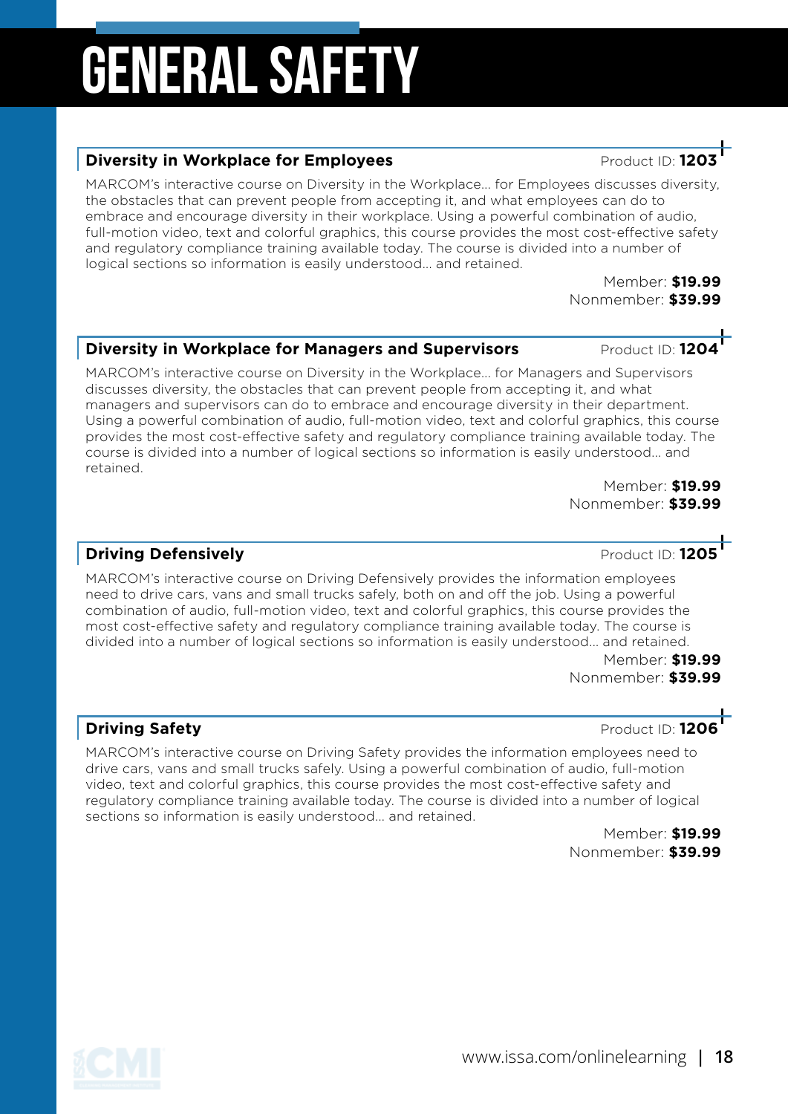#### **Diversity in Workplace for Employees Product ID: 1203**

MARCOM's interactive course on Diversity in the Workplace... for Employees discusses diversity, the obstacles that can prevent people from accepting it, and what employees can do to embrace and encourage diversity in their workplace. Using a powerful combination of audio, full-motion video, text and colorful graphics, this course provides the most cost-effective safety and regulatory compliance training available today. The course is divided into a number of logical sections so information is easily understood... and retained.

Member: **\$19.99** Nonmember: **\$39.99**

#### **Diversity in Workplace for Managers and Supervisors Product ID: 1204**

MARCOM's interactive course on Diversity in the Workplace... for Managers and Supervisors discusses diversity, the obstacles that can prevent people from accepting it, and what managers and supervisors can do to embrace and encourage diversity in their department. Using a powerful combination of audio, full-motion video, text and colorful graphics, this course provides the most cost-effective safety and regulatory compliance training available today. The course is divided into a number of logical sections so information is easily understood... and retained.

Member: **\$19.99** Nonmember: **\$39.99**

#### **Driving Defensively Product ID: 1205**

MARCOM's interactive course on Driving Defensively provides the information employees need to drive cars, vans and small trucks safely, both on and off the job. Using a powerful combination of audio, full-motion video, text and colorful graphics, this course provides the most cost-effective safety and regulatory compliance training available today. The course is divided into a number of logical sections so information is easily understood... and retained.

Member: **\$19.99** Nonmember: **\$39.99**

#### **Driving Safety Driving Safety Product ID: 1206**

MARCOM's interactive course on Driving Safety provides the information employees need to drive cars, vans and small trucks safely. Using a powerful combination of audio, full-motion video, text and colorful graphics, this course provides the most cost-effective safety and regulatory compliance training available today. The course is divided into a number of logical sections so information is easily understood... and retained.

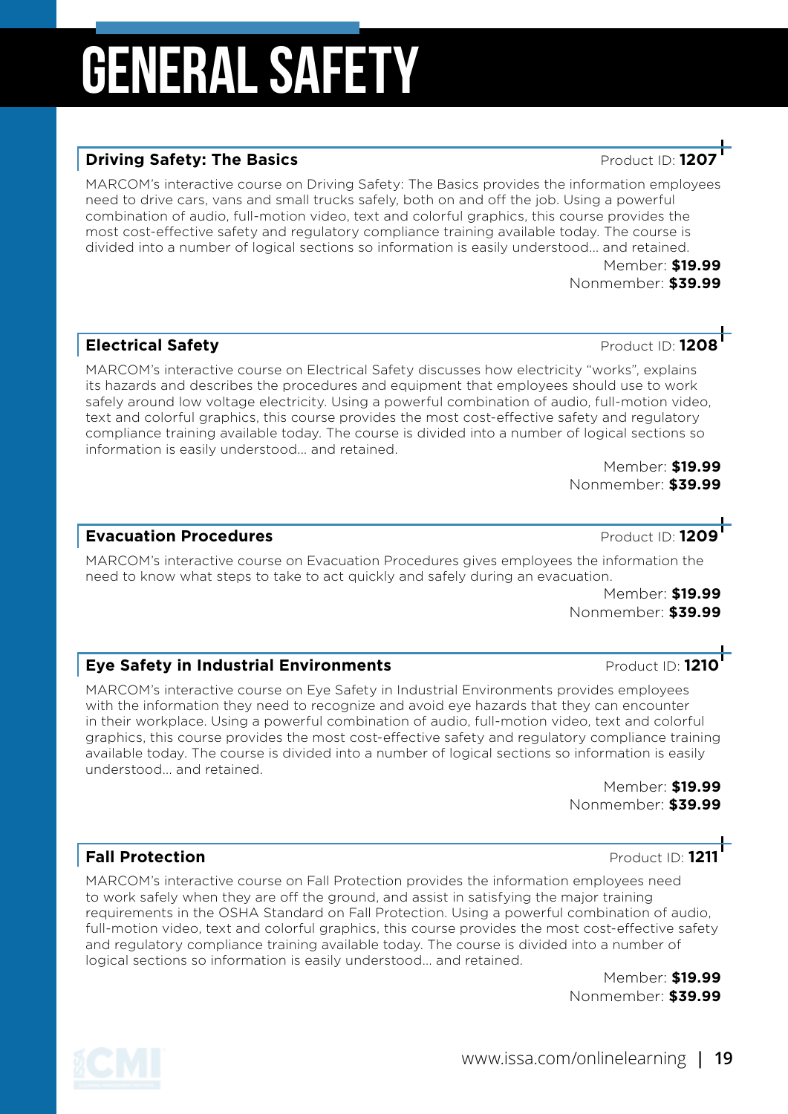#### **Driving Safety: The Basics Area and Service ID: 1207** Product ID: 12

MARCOM's interactive course on Driving Safety: The Basics provides the information employees need to drive cars, vans and small trucks safely, both on and off the job. Using a powerful combination of audio, full-motion video, text and colorful graphics, this course provides the most cost-effective safety and regulatory compliance training available today. The course is divided into a number of logical sections so information is easily understood... and retained.

> Member: **\$19.99** Nonmember: **\$39.99**

#### **Electrical Safety Product ID: 1208**

MARCOM's interactive course on Electrical Safety discusses how electricity "works", explains its hazards and describes the procedures and equipment that employees should use to work safely around low voltage electricity. Using a powerful combination of audio, full-motion video, text and colorful graphics, this course provides the most cost-effective safety and regulatory compliance training available today. The course is divided into a number of logical sections so information is easily understood... and retained.

Member: **\$19.99** Nonmember: **\$39.99**

MARCOM's interactive course on Evacuation Procedures gives employees the information the need to know what steps to take to act quickly and safely during an evacuation.

> Member: **\$19.99** Nonmember: **\$39.99**

#### **Eye Safety in Industrial Environments Product ID: 1210**

MARCOM's interactive course on Eye Safety in Industrial Environments provides employees with the information they need to recognize and avoid eye hazards that they can encounter in their workplace. Using a powerful combination of audio, full-motion video, text and colorful graphics, this course provides the most cost-effective safety and regulatory compliance training available today. The course is divided into a number of logical sections so information is easily understood... and retained.

> Member: **\$19.99** Nonmember: **\$39.99**

MARCOM's interactive course on Fall Protection provides the information employees need to work safely when they are off the ground, and assist in satisfying the major training requirements in the OSHA Standard on Fall Protection. Using a powerful combination of audio, full-motion video, text and colorful graphics, this course provides the most cost-effective safety and regulatory compliance training available today. The course is divided into a number of logical sections so information is easily understood... and retained.

> Member: **\$19.99** Nonmember: **\$39.99**

**Fall Protection Product ID:** 1211

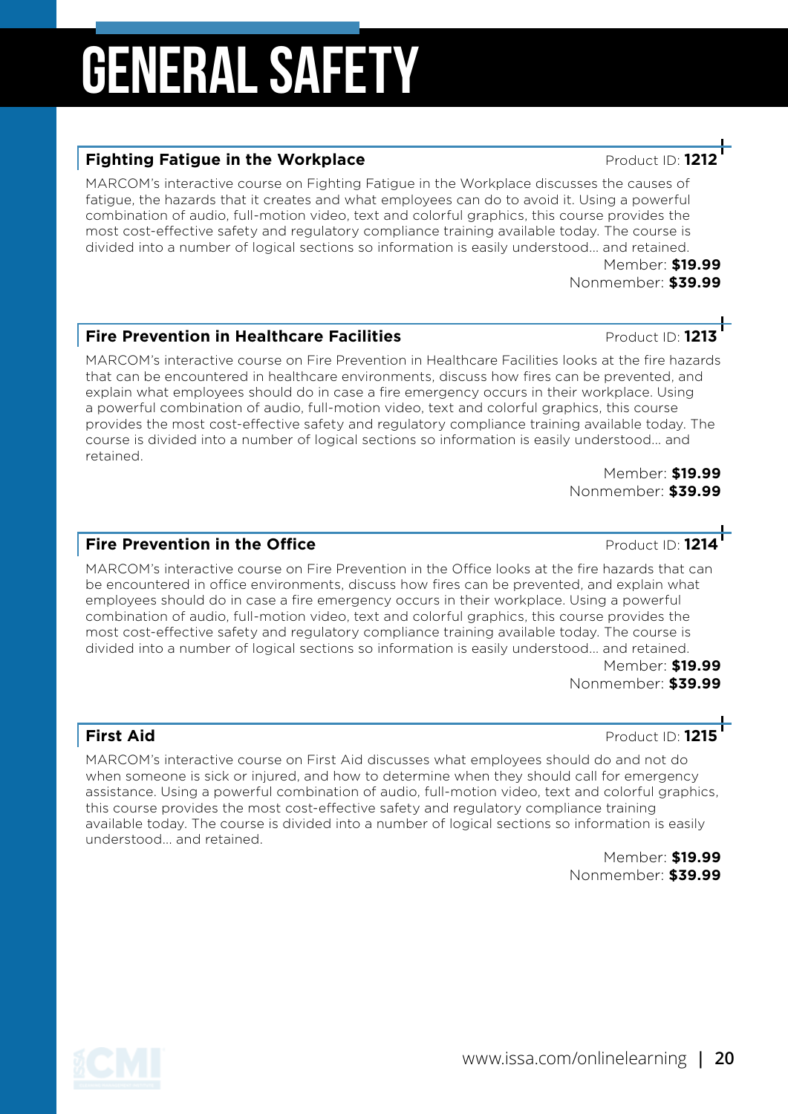#### **Fighting Fatigue in the Workplace Access 20 Fighting Fatigue in the Workplace**

MARCOM's interactive course on Fighting Fatigue in the Workplace discusses the causes of fatigue, the hazards that it creates and what employees can do to avoid it. Using a powerful combination of audio, full-motion video, text and colorful graphics, this course provides the most cost-effective safety and regulatory compliance training available today. The course is divided into a number of logical sections so information is easily understood... and retained.

> Member: **\$19.99** Nonmember: **\$39.99**

#### **Fire Prevention in Healthcare Facilities Product ID: 121**

MARCOM's interactive course on Fire Prevention in Healthcare Facilities looks at the fire hazards that can be encountered in healthcare environments, discuss how fires can be prevented, and explain what employees should do in case a fire emergency occurs in their workplace. Using a powerful combination of audio, full-motion video, text and colorful graphics, this course provides the most cost-effective safety and regulatory compliance training available today. The course is divided into a number of logical sections so information is easily understood... and retained.

Member: **\$19.99** Nonmember: **\$39.99**

#### **Fire Prevention in the Office All Accords** Product ID: 121

MARCOM's interactive course on Fire Prevention in the Office looks at the fire hazards that can be encountered in office environments, discuss how fires can be prevented, and explain what employees should do in case a fire emergency occurs in their workplace. Using a powerful combination of audio, full-motion video, text and colorful graphics, this course provides the most cost-effective safety and regulatory compliance training available today. The course is divided into a number of logical sections so information is easily understood... and retained.

Member: **\$19.99** Nonmember: **\$39.99**

First Aid Product ID: 1215<br>
MARCOM's interactive course on First Aid discusses what employees should do and not do<br>
when someone is sick or injured, and how to determine when they should call for emergency MARCOM's interactive course on First Aid discusses what employees should do and not do assistance. Using a powerful combination of audio, full-motion video, text and colorful graphics, this course provides the most cost-effective safety and regulatory compliance training available today. The course is divided into a number of logical sections so information is easily understood... and retained.

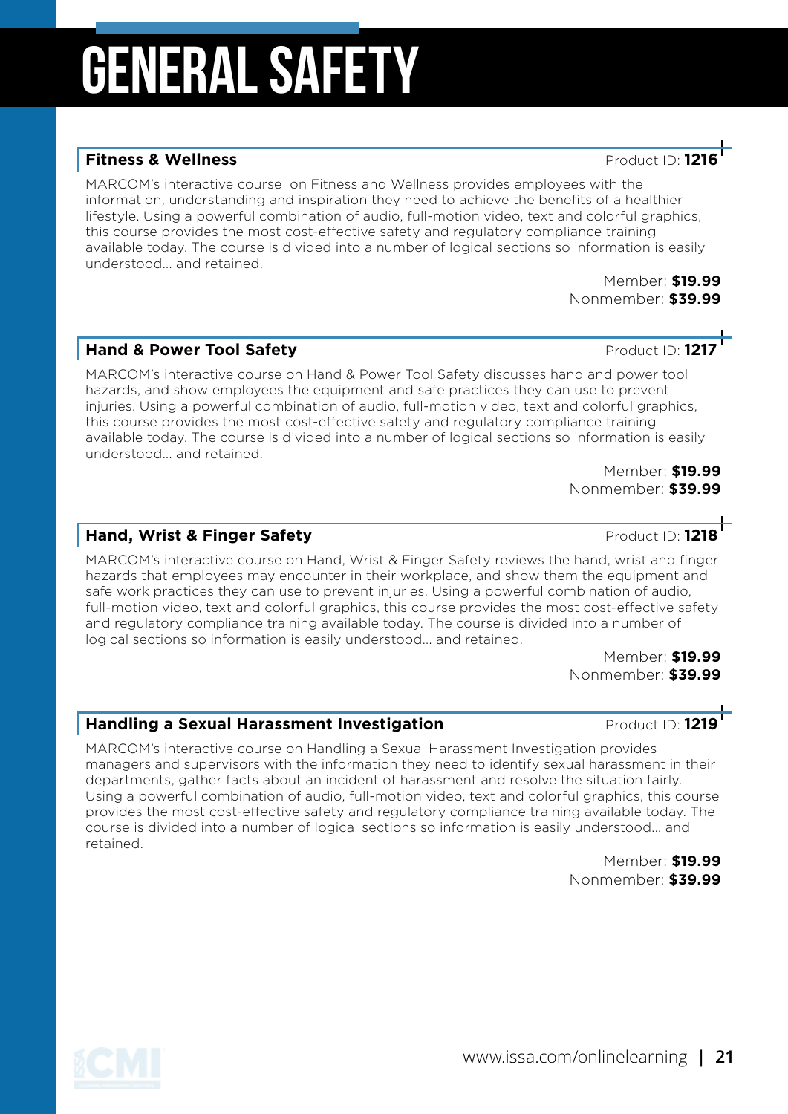#### **Fitness & Wellness Product ID: 12**

MARCOM's interactive course on Fitness and Wellness provides employees with the information, understanding and inspiration they need to achieve the benefits of a healthier lifestyle. Using a powerful combination of audio, full-motion video, text and colorful graphics, this course provides the most cost-effective safety and regulatory compliance training available today. The course is divided into a number of logical sections so information is easily understood... and retained.

> Member: **\$19.99** Nonmember: **\$39.99**

#### **Hand & Power Tool Safety Product ID: 1217**

MARCOM's interactive course on Hand & Power Tool Safety discusses hand and power tool hazards, and show employees the equipment and safe practices they can use to prevent injuries. Using a powerful combination of audio, full-motion video, text and colorful graphics, this course provides the most cost-effective safety and regulatory compliance training available today. The course is divided into a number of logical sections so information is easily understood... and retained.

Member: **\$19.99** Nonmember: **\$39.99**

#### **Hand, Wrist & Finger Safety Product ID: 1218**

MARCOM's interactive course on Hand, Wrist & Finger Safety reviews the hand, wrist and finger hazards that employees may encounter in their workplace, and show them the equipment and safe work practices they can use to prevent injuries. Using a powerful combination of audio, full-motion video, text and colorful graphics, this course provides the most cost-effective safety and regulatory compliance training available today. The course is divided into a number of logical sections so information is easily understood... and retained.

Member: **\$19.99** Nonmember: **\$39.99**

#### **Handling a Sexual Harassment Investigation Product ID: 121**

MARCOM's interactive course on Handling a Sexual Harassment Investigation provides managers and supervisors with the information they need to identify sexual harassment in their departments, gather facts about an incident of harassment and resolve the situation fairly. Using a powerful combination of audio, full-motion video, text and colorful graphics, this course provides the most cost-effective safety and regulatory compliance training available today. The course is divided into a number of logical sections so information is easily understood... and retained.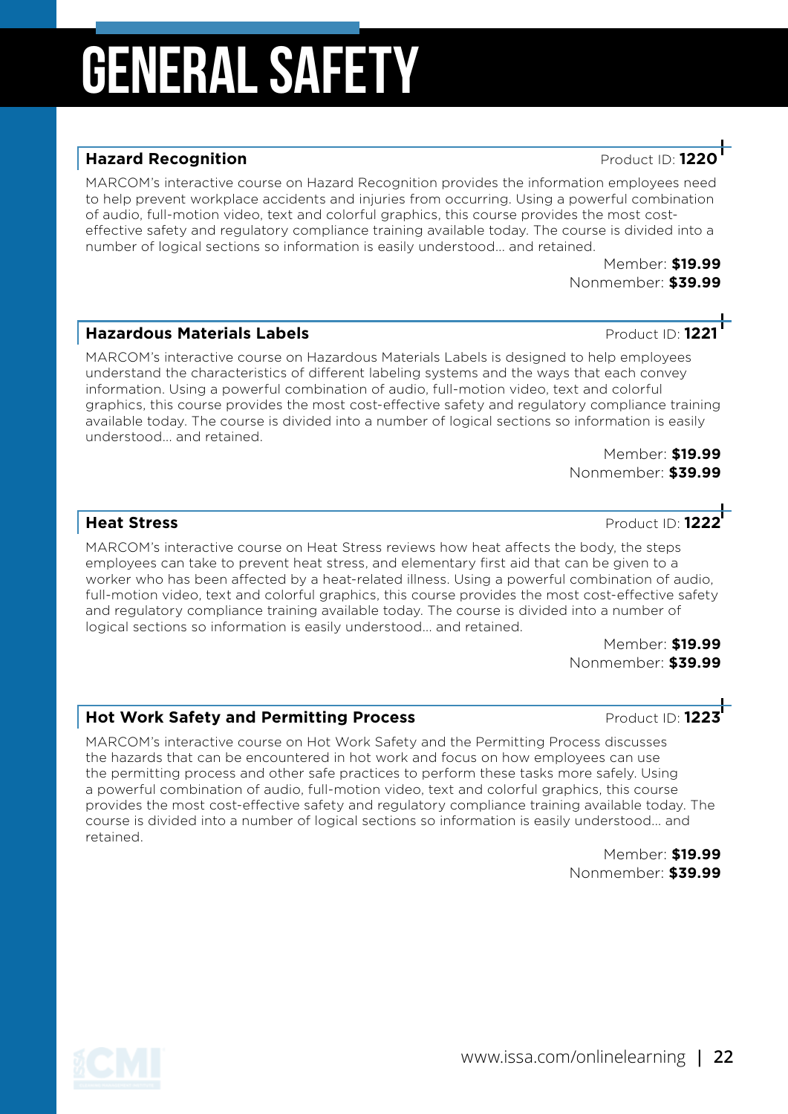#### **Hazard Recognition** Product ID: **1220**

MARCOM's interactive course on Hazard Recognition provides the information employees need to help prevent workplace accidents and injuries from occurring. Using a powerful combination of audio, full-motion video, text and colorful graphics, this course provides the most costeffective safety and regulatory compliance training available today. The course is divided into a number of logical sections so information is easily understood... and retained.

> Member: **\$19.99** Nonmember: **\$39.99**

#### **Hazardous Materials Labels Product ID: 1221**

MARCOM's interactive course on Hazardous Materials Labels is designed to help employees understand the characteristics of different labeling systems and the ways that each convey information. Using a powerful combination of audio, full-motion video, text and colorful graphics, this course provides the most cost-effective safety and regulatory compliance training available today. The course is divided into a number of logical sections so information is easily understood... and retained.

> Member: **\$19.99** Nonmember: **\$39.99**

**Heat Stress** Product ID: **1222**

MARCOM's interactive course on Heat Stress reviews how heat affects the body, the steps employees can take to prevent heat stress, and elementary first aid that can be given to a worker who has been affected by a heat-related illness. Using a powerful combination of audio, full-motion video, text and colorful graphics, this course provides the most cost-effective safety and regulatory compliance training available today. The course is divided into a number of logical sections so information is easily understood... and retained.

> Member: **\$19.99** Nonmember: **\$39.99**

### **Hot Work Safety and Permitting Process And American Product ID: 1223<sup>1</sup>**

MARCOM's interactive course on Hot Work Safety and the Permitting Process discusses the hazards that can be encountered in hot work and focus on how employees can use the permitting process and other safe practices to perform these tasks more safely. Using a powerful combination of audio, full-motion video, text and colorful graphics, this course provides the most cost-effective safety and regulatory compliance training available today. The course is divided into a number of logical sections so information is easily understood... and retained.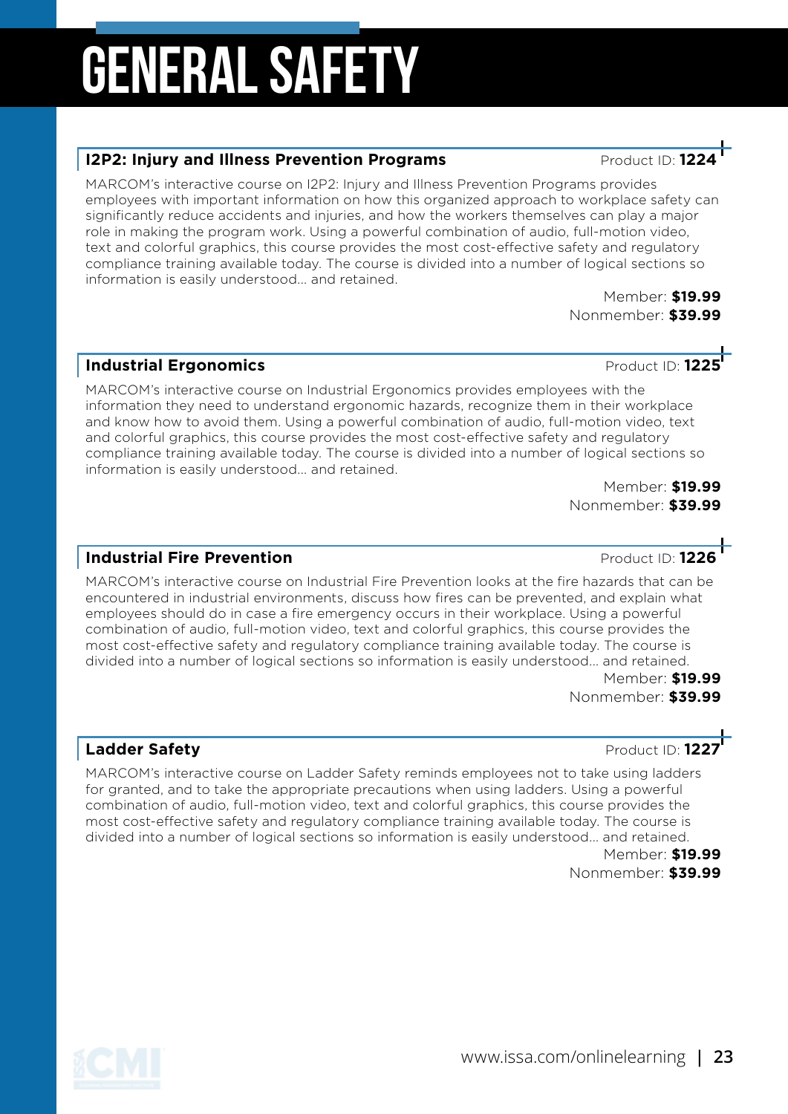#### **I2P2: Injury and Illness Prevention Programs** Product ID: 122

MARCOM's interactive course on I2P2: Injury and Illness Prevention Programs provides employees with important information on how this organized approach to workplace safety can significantly reduce accidents and injuries, and how the workers themselves can play a major role in making the program work. Using a powerful combination of audio, full-motion video, text and colorful graphics, this course provides the most cost-effective safety and regulatory compliance training available today. The course is divided into a number of logical sections so information is easily understood... and retained.

> Member: **\$19.99** Nonmember: **\$39.99**

### **Industrial Ergonomics Product ID: 1225**

MARCOM's interactive course on Industrial Ergonomics provides employees with the information they need to understand ergonomic hazards, recognize them in their workplace and know how to avoid them. Using a powerful combination of audio, full-motion video, text and colorful graphics, this course provides the most cost-effective safety and regulatory compliance training available today. The course is divided into a number of logical sections so information is easily understood... and retained.

Member: **\$19.99** Nonmember: **\$39.99**

### **Industrial Fire Prevention Container and Container Product ID: 1226**

MARCOM's interactive course on Industrial Fire Prevention looks at the fire hazards that can be encountered in industrial environments, discuss how fires can be prevented, and explain what employees should do in case a fire emergency occurs in their workplace. Using a powerful combination of audio, full-motion video, text and colorful graphics, this course provides the most cost-effective safety and regulatory compliance training available today. The course is divided into a number of logical sections so information is easily understood... and retained.

Member: **\$19.99** Nonmember: **\$39.99**

#### **Ladder Safety Ladder Safety Product ID: 1227**

MARCOM's interactive course on Ladder Safety reminds employees not to take using ladders for granted, and to take the appropriate precautions when using ladders. Using a powerful combination of audio, full-motion video, text and colorful graphics, this course provides the most cost-effective safety and regulatory compliance training available today. The course is divided into a number of logical sections so information is easily understood... and retained.



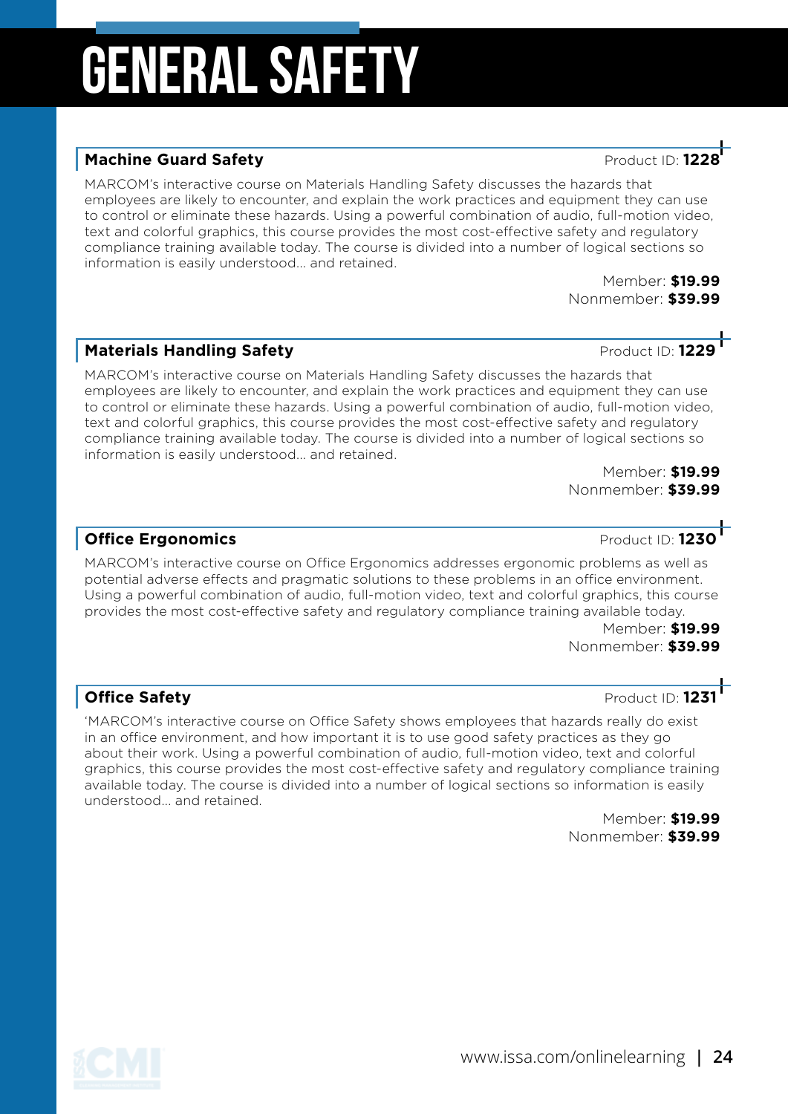#### **Machine Guard Safety Product ID: 122**

MARCOM's interactive course on Materials Handling Safety discusses the hazards that employees are likely to encounter, and explain the work practices and equipment they can use to control or eliminate these hazards. Using a powerful combination of audio, full-motion video, text and colorful graphics, this course provides the most cost-effective safety and regulatory compliance training available today. The course is divided into a number of logical sections so information is easily understood... and retained.

Member: **\$19.99** Nonmember: **\$39.99**

### **Materials Handling Safety Materials Handling Safety**

MARCOM's interactive course on Materials Handling Safety discusses the hazards that employees are likely to encounter, and explain the work practices and equipment they can use to control or eliminate these hazards. Using a powerful combination of audio, full-motion video, text and colorful graphics, this course provides the most cost-effective safety and regulatory compliance training available today. The course is divided into a number of logical sections so information is easily understood... and retained.

Member: **\$19.99** Nonmember: **\$39.99**

#### **Office Ergonomics Product ID: 1230**

MARCOM's interactive course on Office Ergonomics addresses ergonomic problems as well as potential adverse effects and pragmatic solutions to these problems in an office environment. Using a powerful combination of audio, full-motion video, text and colorful graphics, this course provides the most cost-effective safety and regulatory compliance training available today.

Member: **\$19.99** Nonmember: **\$39.99**

#### **Office Safety Product ID: 123**

'MARCOM's interactive course on Office Safety shows employees that hazards really do exist in an office environment, and how important it is to use good safety practices as they go about their work. Using a powerful combination of audio, full-motion video, text and colorful graphics, this course provides the most cost-effective safety and regulatory compliance training available today. The course is divided into a number of logical sections so information is easily understood... and retained.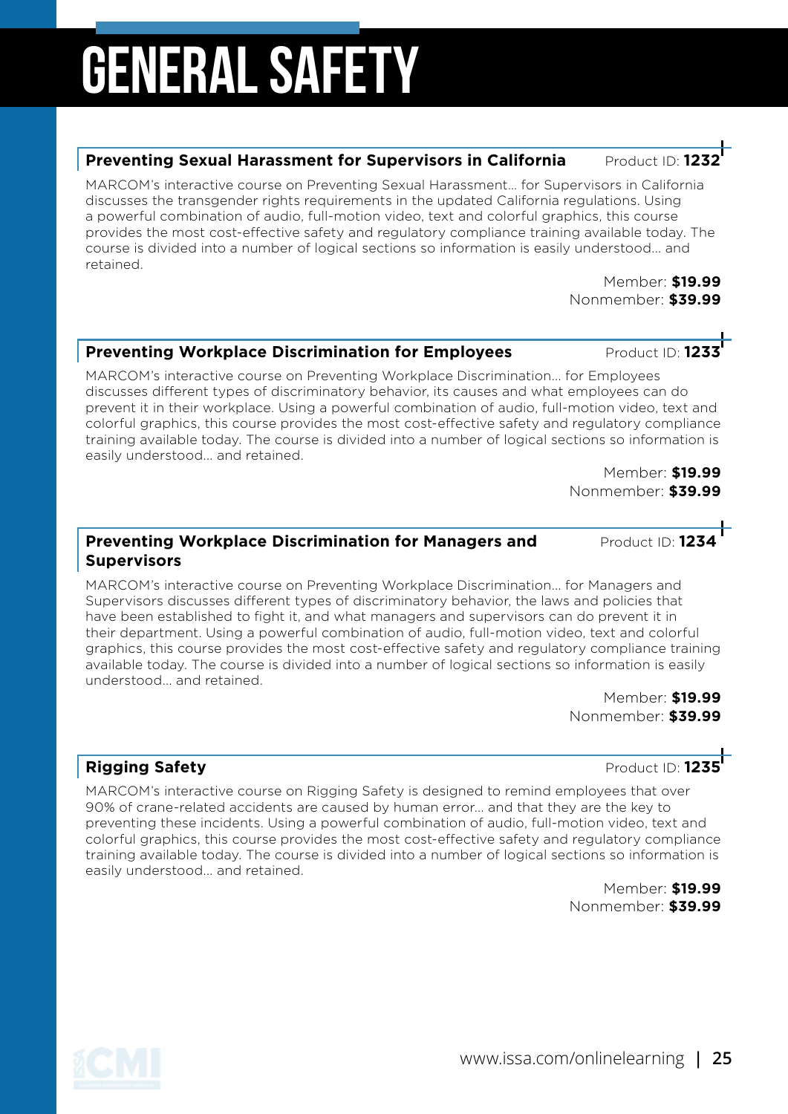#### **Preventing Sexual Harassment for Supervisors in California** Product ID:

MARCOM's interactive course on Preventing Sexual Harassment… for Supervisors in California discusses the transgender rights requirements in the updated California regulations. Using a powerful combination of audio, full-motion video, text and colorful graphics, this course provides the most cost-effective safety and regulatory compliance training available today. The course is divided into a number of logical sections so information is easily understood... and retained.

> Member: **\$19.99** Nonmember: **\$39.99**

### Preventing Workplace Discrimination for Employees Product ID: 1233

MARCOM's interactive course on Preventing Workplace Discrimination... for Employees discusses different types of discriminatory behavior, its causes and what employees can do prevent it in their workplace. Using a powerful combination of audio, full-motion video, text and colorful graphics, this course provides the most cost-effective safety and regulatory compliance training available today. The course is divided into a number of logical sections so information is easily understood... and retained.

> Member: **\$19.99** Nonmember: **\$39.99**

#### **Preventing Workplace Discrimination for Managers and Product ID: 1234 Supervisors**

MARCOM's interactive course on Preventing Workplace Discrimination... for Managers and Supervisors discusses different types of discriminatory behavior, the laws and policies that have been established to fight it, and what managers and supervisors can do prevent it in their department. Using a powerful combination of audio, full-motion video, text and colorful graphics, this course provides the most cost-effective safety and regulatory compliance training available today. The course is divided into a number of logical sections so information is easily understood... and retained.

> Member: **\$19.99** Nonmember: **\$39.99**

MARCOM's interactive course on Rigging Safety is designed to remind employees that over 90% of crane-related accidents are caused by human error... and that they are the key to preventing these incidents. Using a powerful combination of audio, full-motion video, text and colorful graphics, this course provides the most cost-effective safety and regulatory compliance training available today. The course is divided into a number of logical sections so information is easily understood... and retained.

> Member: **\$19.99** Nonmember: **\$39.99**

**Rigging Safety** Product ID: 1235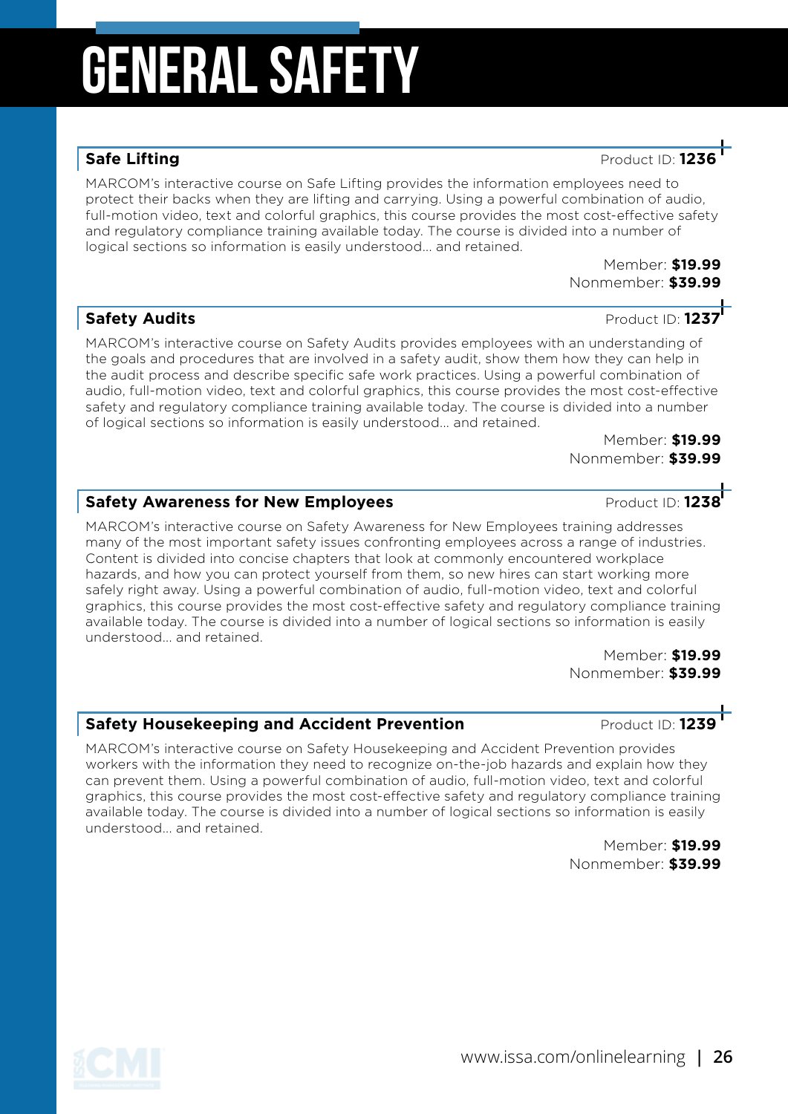### **Safe Lifting** Product ID: 1236

MARCOM's interactive course on Safe Lifting provides the information employees need to protect their backs when they are lifting and carrying. Using a powerful combination of audio, full-motion video, text and colorful graphics, this course provides the most cost-effective safety and regulatory compliance training available today. The course is divided into a number of logical sections so information is easily understood... and retained.

> Member: **\$19.99** Nonmember: **\$39.99**

#### **Safety Audits Safety Audits Safety Audits Product ID: 1237**

MARCOM's interactive course on Safety Audits provides employees with an understanding of the goals and procedures that are involved in a safety audit, show them how they can help in the audit process and describe specific safe work practices. Using a powerful combination of audio, full-motion video, text and colorful graphics, this course provides the most cost-effective safety and regulatory compliance training available today. The course is divided into a number of logical sections so information is easily understood... and retained.

> Member: **\$19.99** Nonmember: **\$39.99**

### **Safety Awareness for New Employees Product ID: 1238**

MARCOM's interactive course on Safety Awareness for New Employees training addresses many of the most important safety issues confronting employees across a range of industries. Content is divided into concise chapters that look at commonly encountered workplace hazards, and how you can protect yourself from them, so new hires can start working more safely right away. Using a powerful combination of audio, full-motion video, text and colorful graphics, this course provides the most cost-effective safety and regulatory compliance training available today. The course is divided into a number of logical sections so information is easily understood... and retained.

Member: **\$19.99** Nonmember: **\$39.99**

#### **Safety Housekeeping and Accident Prevention Accident Preduct ID: 1239**

MARCOM's interactive course on Safety Housekeeping and Accident Prevention provides workers with the information they need to recognize on-the-job hazards and explain how they can prevent them. Using a powerful combination of audio, full-motion video, text and colorful graphics, this course provides the most cost-effective safety and regulatory compliance training available today. The course is divided into a number of logical sections so information is easily understood... and retained.

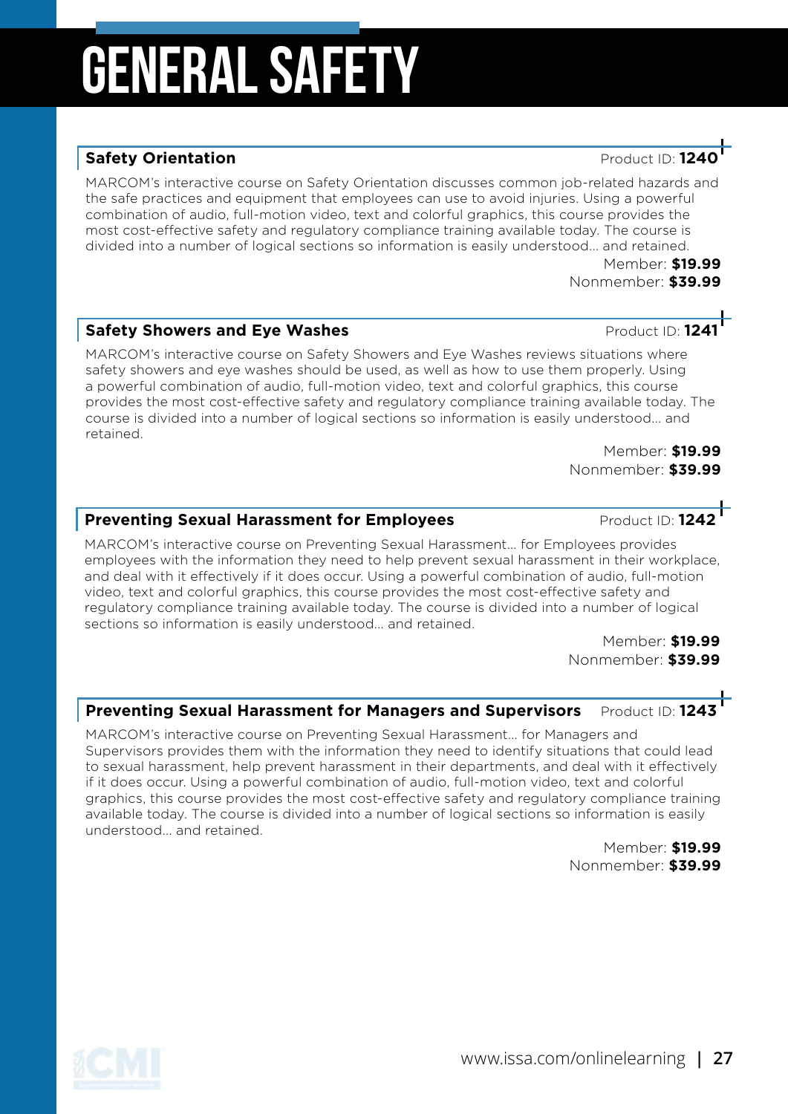#### **Safety Orientation Safety Orientation**

MARCOM's interactive course on Safety Orientation discusses common job-related hazards and the safe practices and equipment that employees can use to avoid injuries. Using a powerful combination of audio, full-motion video, text and colorful graphics, this course provides the most cost-effective safety and regulatory compliance training available today. The course is divided into a number of logical sections so information is easily understood... and retained.

Member: **\$19.99** Nonmember: **\$39.99**

#### **Safety Showers and Eve Washes <b>And Additional Strutter** Product ID: 1241

MARCOM's interactive course on Safety Showers and Eye Washes reviews situations where safety showers and eye washes should be used, as well as how to use them properly. Using a powerful combination of audio, full-motion video, text and colorful graphics, this course provides the most cost-effective safety and regulatory compliance training available today. The course is divided into a number of logical sections so information is easily understood... and retained.

> Member: **\$19.99** Nonmember: **\$39.99**

#### **Preventing Sexual Harassment for Employees** Product ID: 1242

MARCOM's interactive course on Preventing Sexual Harassment... for Employees provides employees with the information they need to help prevent sexual harassment in their workplace, and deal with it effectively if it does occur. Using a powerful combination of audio, full-motion video, text and colorful graphics, this course provides the most cost-effective safety and regulatory compliance training available today. The course is divided into a number of logical sections so information is easily understood... and retained.

> Member: **\$19.99** Nonmember: **\$39.99**

#### **Preventing Sexual Harassment for Managers and Supervisors** Product ID: 1243

MARCOM's interactive course on Preventing Sexual Harassment... for Managers and Supervisors provides them with the information they need to identify situations that could lead to sexual harassment, help prevent harassment in their departments, and deal with it effectively if it does occur. Using a powerful combination of audio, full-motion video, text and colorful graphics, this course provides the most cost-effective safety and regulatory compliance training available today. The course is divided into a number of logical sections so information is easily understood... and retained.

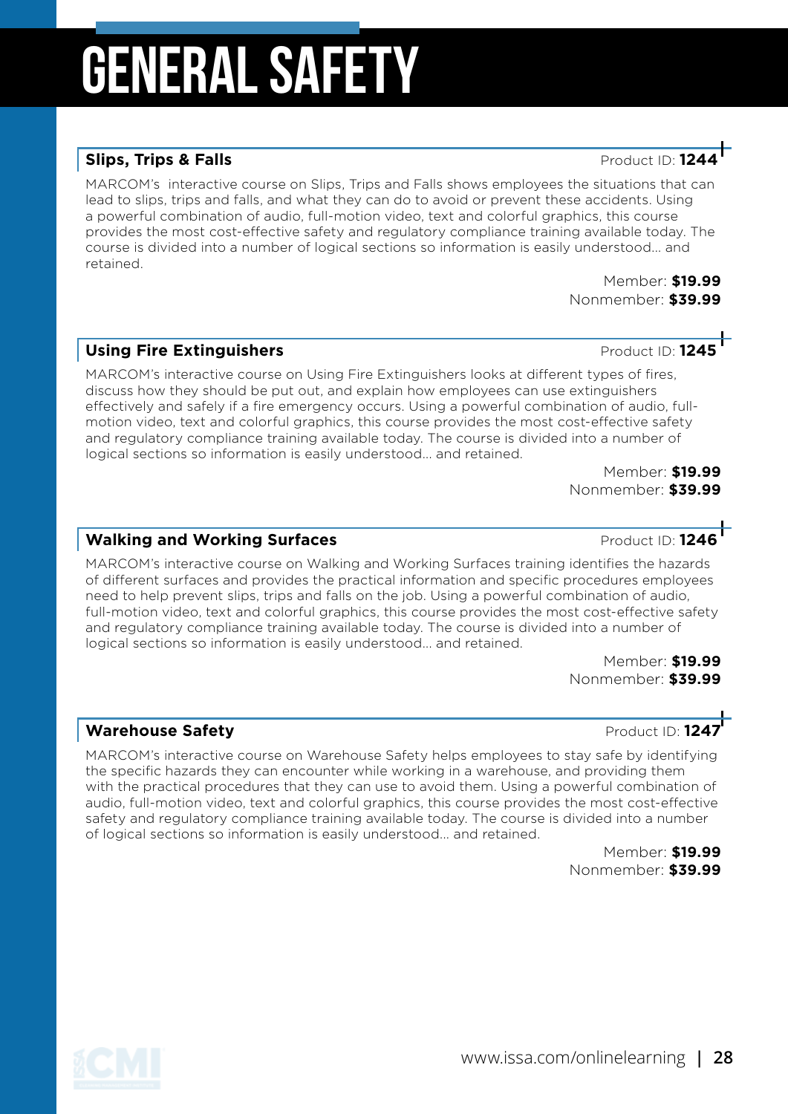#### **Slips, Trips & Falls Product ID: 124**

MARCOM's interactive course on Slips, Trips and Falls shows employees the situations that can lead to slips, trips and falls, and what they can do to avoid or prevent these accidents. Using a powerful combination of audio, full-motion video, text and colorful graphics, this course provides the most cost-effective safety and regulatory compliance training available today. The course is divided into a number of logical sections so information is easily understood... and retained.

Member: **\$19.99** Nonmember: **\$39.99**

#### **Using Fire Extinguishers Product ID: 1245**

MARCOM's interactive course on Using Fire Extinguishers looks at different types of fires, discuss how they should be put out, and explain how employees can use extinguishers effectively and safely if a fire emergency occurs. Using a powerful combination of audio, fullmotion video, text and colorful graphics, this course provides the most cost-effective safety and regulatory compliance training available today. The course is divided into a number of logical sections so information is easily understood... and retained.

Member: **\$19.99** Nonmember: **\$39.99**

#### **Walking and Working Surfaces Product ID: 1246**

MARCOM's interactive course on Walking and Working Surfaces training identifies the hazards of different surfaces and provides the practical information and specific procedures employees need to help prevent slips, trips and falls on the job. Using a powerful combination of audio, full-motion video, text and colorful graphics, this course provides the most cost-effective safety and regulatory compliance training available today. The course is divided into a number of logical sections so information is easily understood... and retained.

Member: **\$19.99** Nonmember: **\$39.99**

#### **Warehouse Safety Product ID: 1247**

MARCOM's interactive course on Warehouse Safety helps employees to stay safe by identifying the specific hazards they can encounter while working in a warehouse, and providing them with the practical procedures that they can use to avoid them. Using a powerful combination of audio, full-motion video, text and colorful graphics, this course provides the most cost-effective safety and regulatory compliance training available today. The course is divided into a number of logical sections so information is easily understood... and retained.



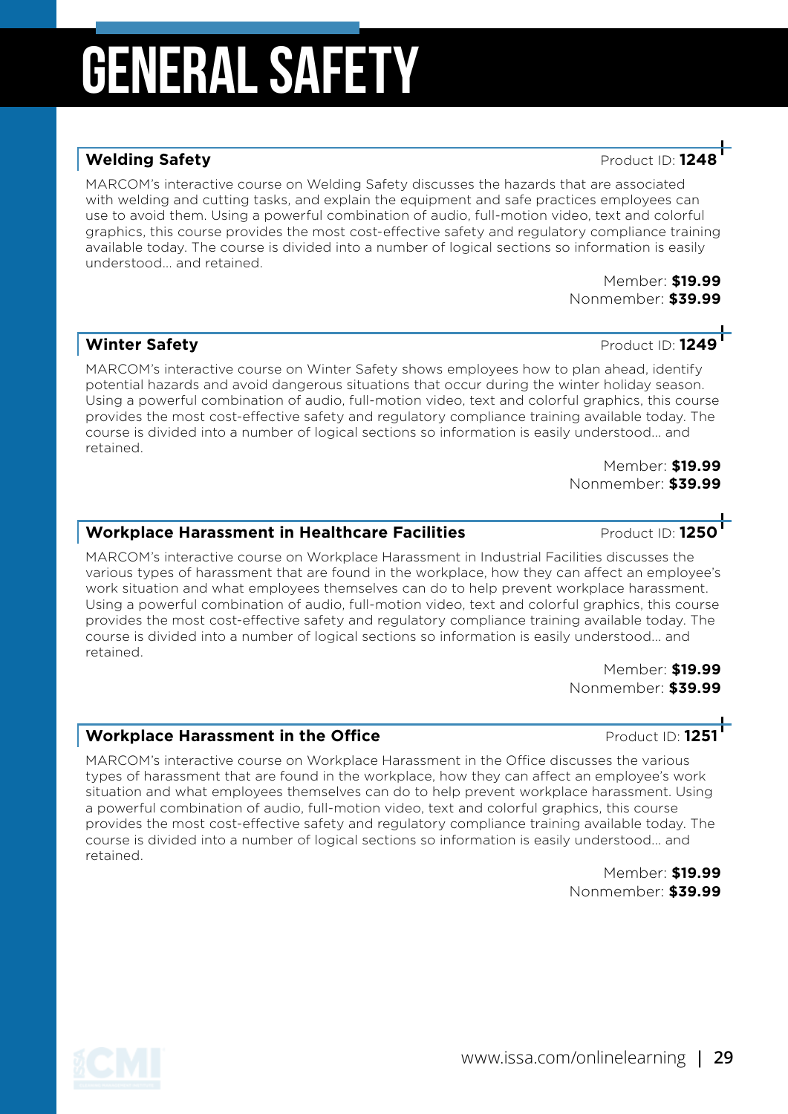#### **Welding Safety Product ID: 124**

MARCOM's interactive course on Welding Safety discusses the hazards that are associated with welding and cutting tasks, and explain the equipment and safe practices employees can use to avoid them. Using a powerful combination of audio, full-motion video, text and colorful graphics, this course provides the most cost-effective safety and regulatory compliance training available today. The course is divided into a number of logical sections so information is easily understood... and retained.

Member: **\$19.99** Nonmember: **\$39.99**

#### **Winter Safety Winter Safety Product ID: 1249**

MARCOM's interactive course on Winter Safety shows employees how to plan ahead, identify potential hazards and avoid dangerous situations that occur during the winter holiday season. Using a powerful combination of audio, full-motion video, text and colorful graphics, this course provides the most cost-effective safety and regulatory compliance training available today. The course is divided into a number of logical sections so information is easily understood... and retained.

> Member: **\$19.99** Nonmember: **\$39.99**

### **Workplace Harassment in Healthcare Facilities** Product ID: 1250

MARCOM's interactive course on Workplace Harassment in Industrial Facilities discusses the various types of harassment that are found in the workplace, how they can affect an employee's work situation and what employees themselves can do to help prevent workplace harassment. Using a powerful combination of audio, full-motion video, text and colorful graphics, this course provides the most cost-effective safety and regulatory compliance training available today. The course is divided into a number of logical sections so information is easily understood... and retained.

Member: **\$19.99** Nonmember: **\$39.99**

### Workplace Harassment in the Office **Product ID: 1251**

MARCOM's interactive course on Workplace Harassment in the Office discusses the various types of harassment that are found in the workplace, how they can affect an employee's work situation and what employees themselves can do to help prevent workplace harassment. Using a powerful combination of audio, full-motion video, text and colorful graphics, this course provides the most cost-effective safety and regulatory compliance training available today. The course is divided into a number of logical sections so information is easily understood... and retained.



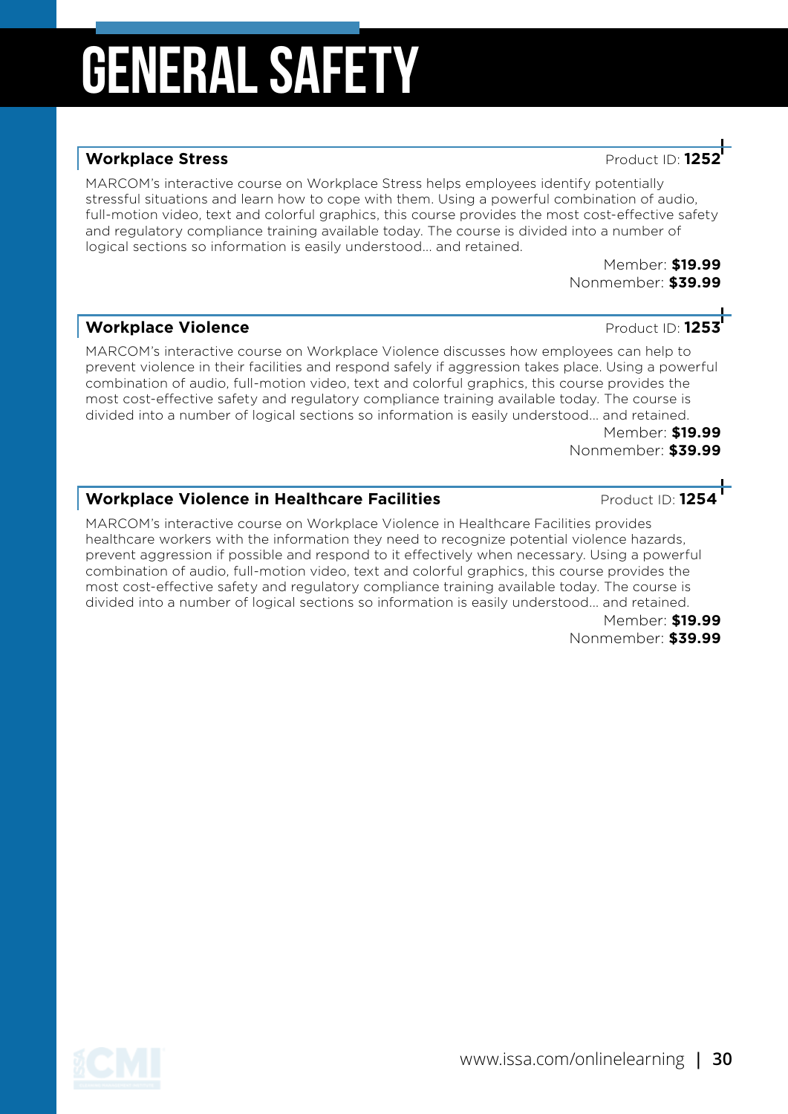#### **Workplace Stress Product ID: 125**

MARCOM's interactive course on Workplace Stress helps employees identify potentially stressful situations and learn how to cope with them. Using a powerful combination of audio, full-motion video, text and colorful graphics, this course provides the most cost-effective safety and regulatory compliance training available today. The course is divided into a number of logical sections so information is easily understood... and retained.

> Member: **\$19.99** Nonmember: **\$39.99**

#### **Workplace Violence Product ID: 1253**

MARCOM's interactive course on Workplace Violence discusses how employees can help to prevent violence in their facilities and respond safely if aggression takes place. Using a powerful combination of audio, full-motion video, text and colorful graphics, this course provides the most cost-effective safety and regulatory compliance training available today. The course is divided into a number of logical sections so information is easily understood... and retained.

Member: **\$19.99** Nonmember: **\$39.99**

### **Workplace Violence in Healthcare Facilities** Product ID: 1254

MARCOM's interactive course on Workplace Violence in Healthcare Facilities provides healthcare workers with the information they need to recognize potential violence hazards, prevent aggression if possible and respond to it effectively when necessary. Using a powerful combination of audio, full-motion video, text and colorful graphics, this course provides the most cost-effective safety and regulatory compliance training available today. The course is divided into a number of logical sections so information is easily understood... and retained.

Member: **\$19.99** Nonmember: **\$39.99**

www.issa.com/onlinelearning **| 30**



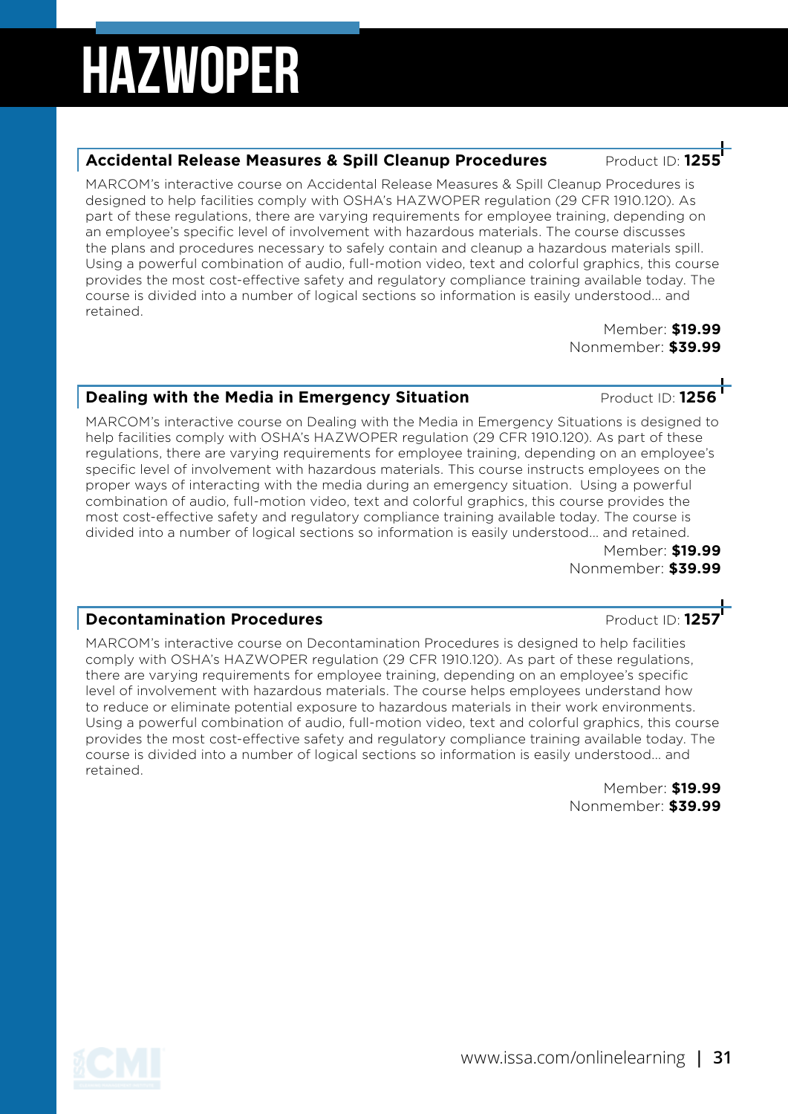#### **Accidental Release Measures & Spill Cleanup Procedures Product ID: 12**

MARCOM's interactive course on Accidental Release Measures & Spill Cleanup Procedures is designed to help facilities comply with OSHA's HAZWOPER regulation (29 CFR 1910.120). As part of these regulations, there are varying requirements for employee training, depending on an employee's specific level of involvement with hazardous materials. The course discusses the plans and procedures necessary to safely contain and cleanup a hazardous materials spill. Using a powerful combination of audio, full-motion video, text and colorful graphics, this course provides the most cost-effective safety and regulatory compliance training available today. The course is divided into a number of logical sections so information is easily understood... and retained.

> Member: **\$19.99** Nonmember: **\$39.99**

#### **Dealing with the Media in Emergency Situation** *Product ID:* **1256**

MARCOM's interactive course on Dealing with the Media in Emergency Situations is designed to help facilities comply with OSHA's HAZWOPER regulation (29 CFR 1910.120). As part of these regulations, there are varying requirements for employee training, depending on an employee's specific level of involvement with hazardous materials. This course instructs employees on the proper ways of interacting with the media during an emergency situation. Using a powerful combination of audio, full-motion video, text and colorful graphics, this course provides the most cost-effective safety and regulatory compliance training available today. The course is divided into a number of logical sections so information is easily understood... and retained.

Member: **\$19.99** Nonmember: **\$39.99**

#### **Decontamination Procedures Decontamination Product ID: 1257**

MARCOM's interactive course on Decontamination Procedures is designed to help facilities comply with OSHA's HAZWOPER regulation (29 CFR 1910.120). As part of these regulations, there are varying requirements for employee training, depending on an employee's specific level of involvement with hazardous materials. The course helps employees understand how to reduce or eliminate potential exposure to hazardous materials in their work environments. Using a powerful combination of audio, full-motion video, text and colorful graphics, this course provides the most cost-effective safety and regulatory compliance training available today. The course is divided into a number of logical sections so information is easily understood... and retained.

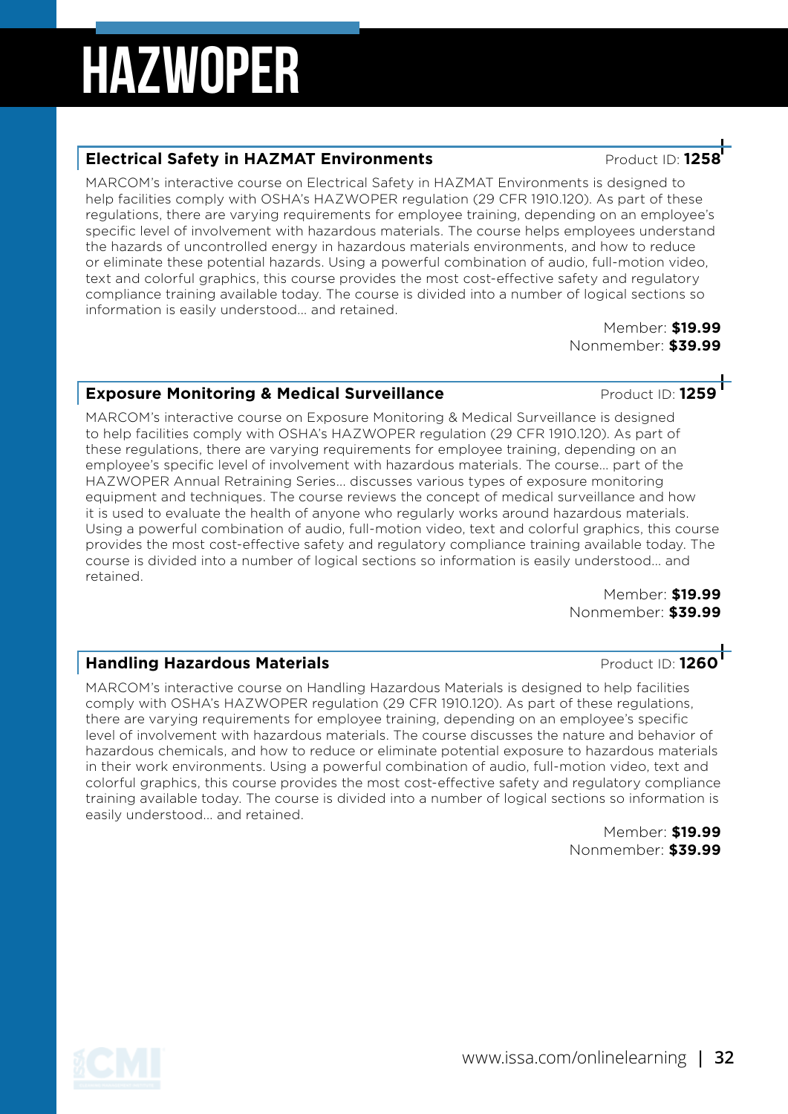### **Electrical Safety in HAZMAT Environments Product ID: 125**

MARCOM's interactive course on Electrical Safety in HAZMAT Environments is designed to help facilities comply with OSHA's HAZWOPER regulation (29 CFR 1910.120). As part of these regulations, there are varying requirements for employee training, depending on an employee's specific level of involvement with hazardous materials. The course helps employees understand the hazards of uncontrolled energy in hazardous materials environments, and how to reduce or eliminate these potential hazards. Using a powerful combination of audio, full-motion video, text and colorful graphics, this course provides the most cost-effective safety and regulatory compliance training available today. The course is divided into a number of logical sections so information is easily understood... and retained.

Member: **\$19.99** Nonmember: **\$39.99**

### **Exposure Monitoring & Medical Surveillance** Product ID: 1259

MARCOM's interactive course on Exposure Monitoring & Medical Surveillance is designed to help facilities comply with OSHA's HAZWOPER regulation (29 CFR 1910.120). As part of these regulations, there are varying requirements for employee training, depending on an employee's specific level of involvement with hazardous materials. The course... part of the HAZWOPER Annual Retraining Series... discusses various types of exposure monitoring equipment and techniques. The course reviews the concept of medical surveillance and how it is used to evaluate the health of anyone who regularly works around hazardous materials. Using a powerful combination of audio, full-motion video, text and colorful graphics, this course provides the most cost-effective safety and regulatory compliance training available today. The course is divided into a number of logical sections so information is easily understood... and retained.

Member: **\$19.99** Nonmember: **\$39.99**

#### **Handling Hazardous Materials Product ID: 1260**

MARCOM's interactive course on Handling Hazardous Materials is designed to help facilities comply with OSHA's HAZWOPER regulation (29 CFR 1910.120). As part of these regulations, there are varying requirements for employee training, depending on an employee's specific level of involvement with hazardous materials. The course discusses the nature and behavior of hazardous chemicals, and how to reduce or eliminate potential exposure to hazardous materials in their work environments. Using a powerful combination of audio, full-motion video, text and colorful graphics, this course provides the most cost-effective safety and regulatory compliance training available today. The course is divided into a number of logical sections so information is easily understood... and retained.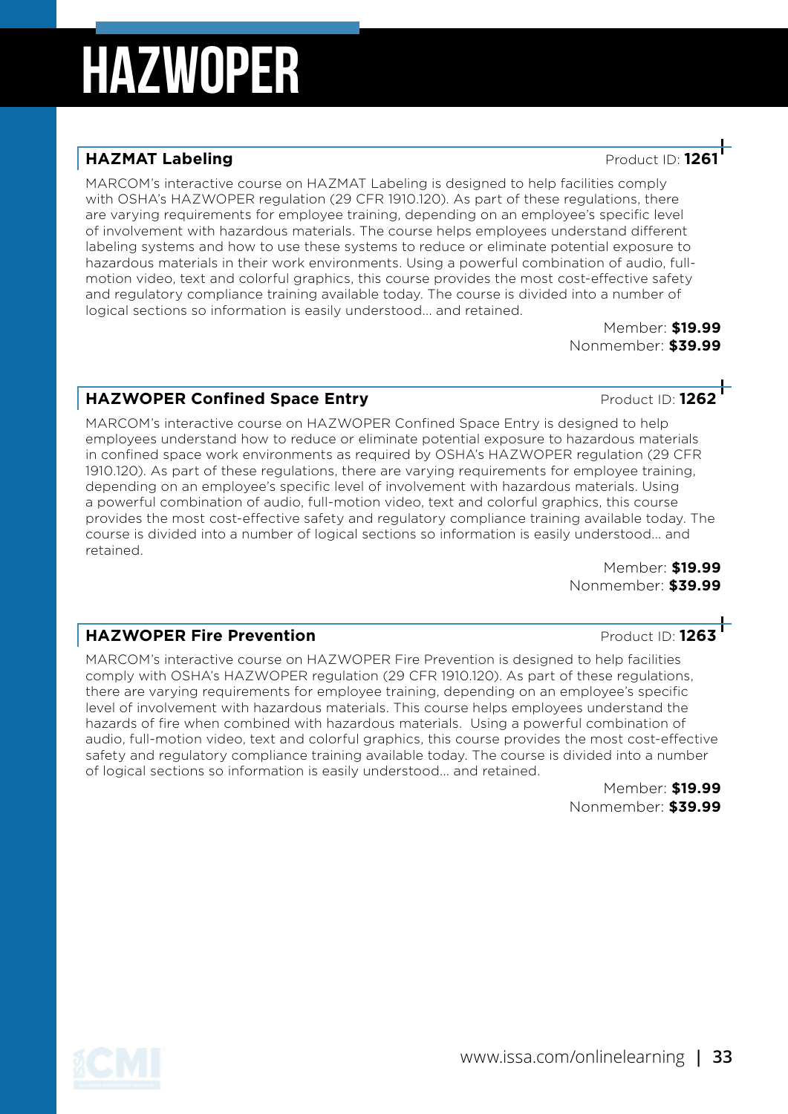### **HAZMAT Labeling HAZMAT Labeling Product ID: 126**

MARCOM's interactive course on HAZMAT Labeling is designed to help facilities comply with OSHA's HAZWOPER regulation (29 CFR 1910.120). As part of these regulations, there are varying requirements for employee training, depending on an employee's specific level of involvement with hazardous materials. The course helps employees understand different labeling systems and how to use these systems to reduce or eliminate potential exposure to hazardous materials in their work environments. Using a powerful combination of audio, fullmotion video, text and colorful graphics, this course provides the most cost-effective safety and regulatory compliance training available today. The course is divided into a number of logical sections so information is easily understood... and retained.

Member: **\$19.99** Nonmember: **\$39.99**

#### **HAZWOPER Confined Space Entry And Accord Product ID: 1262**

MARCOM's interactive course on HAZWOPER Confined Space Entry is designed to help employees understand how to reduce or eliminate potential exposure to hazardous materials in confined space work environments as required by OSHA's HAZWOPER regulation (29 CFR 1910.120). As part of these regulations, there are varying requirements for employee training, depending on an employee's specific level of involvement with hazardous materials. Using a powerful combination of audio, full-motion video, text and colorful graphics, this course provides the most cost-effective safety and regulatory compliance training available today. The course is divided into a number of logical sections so information is easily understood... and retained.

Member: **\$19.99** Nonmember: **\$39.99**

#### **HAZWOPER Fire Prevention Product ID: 1263**

MARCOM's interactive course on HAZWOPER Fire Prevention is designed to help facilities comply with OSHA's HAZWOPER regulation (29 CFR 1910.120). As part of these regulations, there are varying requirements for employee training, depending on an employee's specific level of involvement with hazardous materials. This course helps employees understand the hazards of fire when combined with hazardous materials. Using a powerful combination of audio, full-motion video, text and colorful graphics, this course provides the most cost-effective safety and regulatory compliance training available today. The course is divided into a number of logical sections so information is easily understood... and retained.

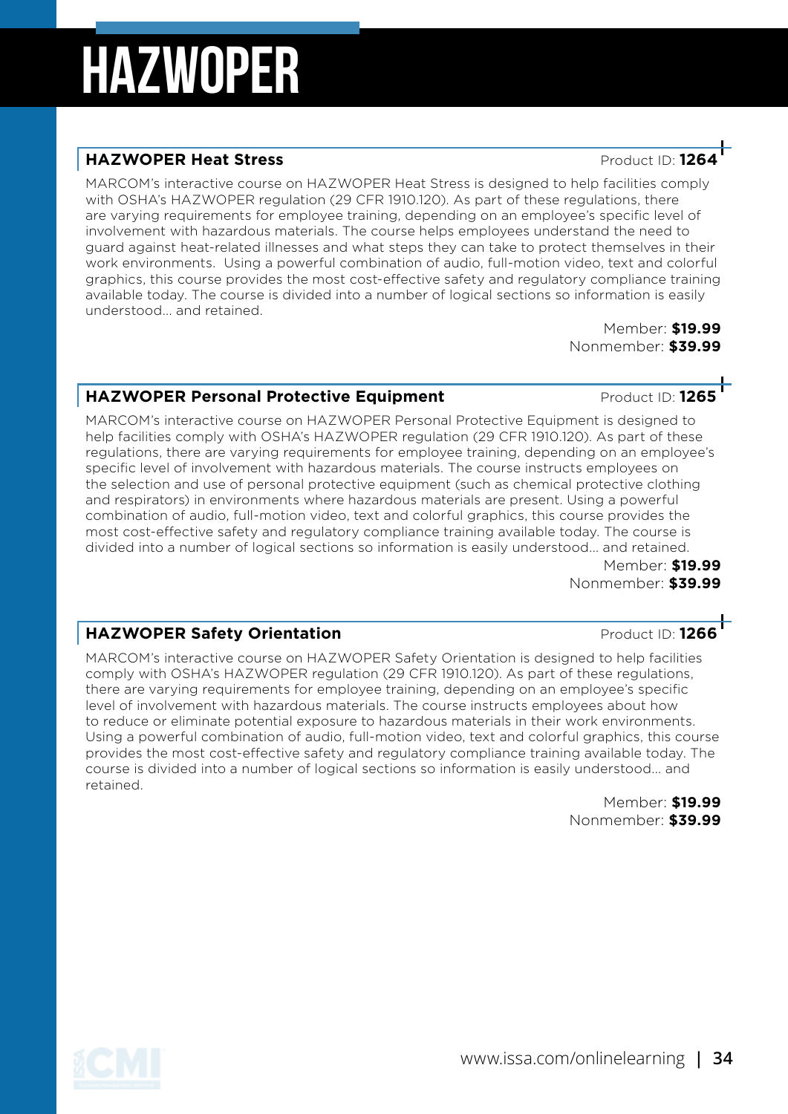#### **HAZWOPER Heat Stress Product ID: 126**

MARCOM's interactive course on HAZWOPER Heat Stress is designed to help facilities comply with OSHA's HAZWOPER regulation (29 CFR 1910.120). As part of these regulations, there are varying requirements for employee training, depending on an employee's specific level of involvement with hazardous materials. The course helps employees understand the need to guard against heat-related illnesses and what steps they can take to protect themselves in their work environments. Using a powerful combination of audio, full-motion video, text and colorful graphics, this course provides the most cost-effective safety and regulatory compliance training available today. The course is divided into a number of logical sections so information is easily understood... and retained.

> Member: **\$19.99** Nonmember: **\$39.99**

#### **HAZWOPER Personal Protective Equipment** Product ID: 1265

MARCOM's interactive course on HAZWOPER Personal Protective Equipment is designed to help facilities comply with OSHA's HAZWOPER regulation (29 CFR 1910.120). As part of these regulations, there are varying requirements for employee training, depending on an employee's specific level of involvement with hazardous materials. The course instructs employees on the selection and use of personal protective equipment (such as chemical protective clothing and respirators) in environments where hazardous materials are present. Using a powerful combination of audio, full-motion video, text and colorful graphics, this course provides the most cost-effective safety and regulatory compliance training available today. The course is divided into a number of logical sections so information is easily understood... and retained.

Member: **\$19.99** Nonmember: **\$39.99**

#### **HAZWOPER Safety Orientation** *Product ID:* **1266**

MARCOM's interactive course on HAZWOPER Safety Orientation is designed to help facilities comply with OSHA's HAZWOPER regulation (29 CFR 1910.120). As part of these regulations, there are varying requirements for employee training, depending on an employee's specific level of involvement with hazardous materials. The course instructs employees about how to reduce or eliminate potential exposure to hazardous materials in their work environments. Using a powerful combination of audio, full-motion video, text and colorful graphics, this course provides the most cost-effective safety and regulatory compliance training available today. The course is divided into a number of logical sections so information is easily understood... and retained.

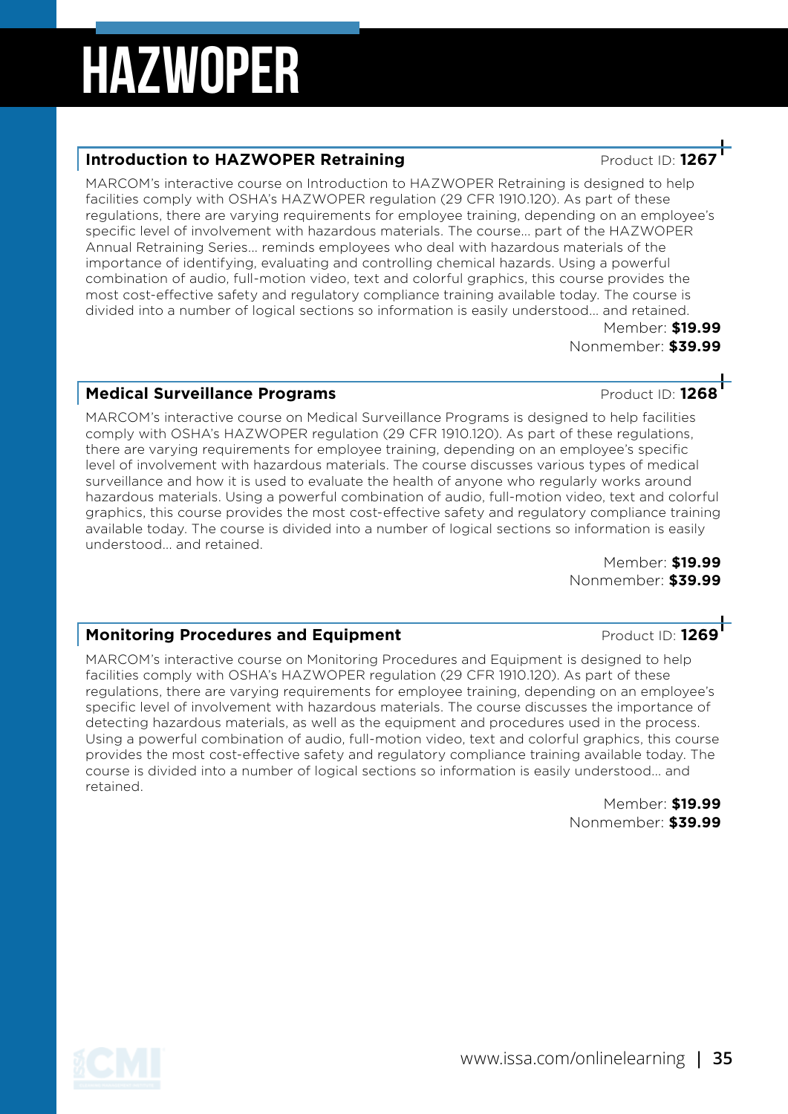### **Introduction to HAZWOPER Retraining ATT ATT ATT Product ID: 126**

MARCOM's interactive course on Introduction to HAZWOPER Retraining is designed to help facilities comply with OSHA's HAZWOPER regulation (29 CFR 1910.120). As part of these regulations, there are varying requirements for employee training, depending on an employee's specific level of involvement with hazardous materials. The course... part of the HAZWOPER Annual Retraining Series... reminds employees who deal with hazardous materials of the importance of identifying, evaluating and controlling chemical hazards. Using a powerful combination of audio, full-motion video, text and colorful graphics, this course provides the most cost-effective safety and regulatory compliance training available today. The course is divided into a number of logical sections so information is easily understood... and retained.

Member: **\$19.99** Nonmember: **\$39.99**

### **Medical Surveillance Programs Medical Surveillance Programs Product ID: 1268**

MARCOM's interactive course on Medical Surveillance Programs is designed to help facilities comply with OSHA's HAZWOPER regulation (29 CFR 1910.120). As part of these regulations, there are varying requirements for employee training, depending on an employee's specific level of involvement with hazardous materials. The course discusses various types of medical surveillance and how it is used to evaluate the health of anyone who regularly works around hazardous materials. Using a powerful combination of audio, full-motion video, text and colorful graphics, this course provides the most cost-effective safety and regulatory compliance training available today. The course is divided into a number of logical sections so information is easily understood... and retained.

Member: **\$19.99** Nonmember: **\$39.99**

#### **Monitoring Procedures and Equipment Product ID: 1269**

MARCOM's interactive course on Monitoring Procedures and Equipment is designed to help facilities comply with OSHA's HAZWOPER regulation (29 CFR 1910.120). As part of these regulations, there are varying requirements for employee training, depending on an employee's specific level of involvement with hazardous materials. The course discusses the importance of detecting hazardous materials, as well as the equipment and procedures used in the process. Using a powerful combination of audio, full-motion video, text and colorful graphics, this course provides the most cost-effective safety and regulatory compliance training available today. The course is divided into a number of logical sections so information is easily understood... and retained.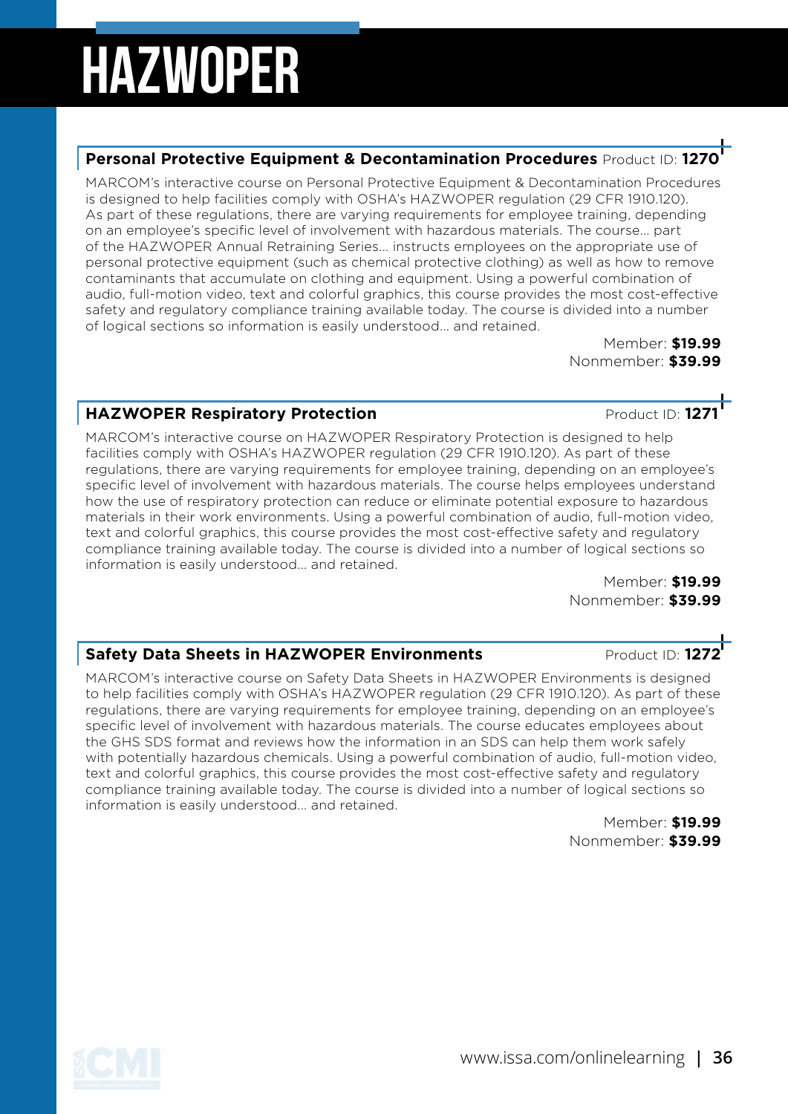#### **Personal Protective Equipment & Decontamination Procedures** Product ID: **1270**

MARCOM's interactive course on Personal Protective Equipment & Decontamination Procedures is designed to help facilities comply with OSHA's HAZWOPER regulation (29 CFR 1910.120). As part of these regulations, there are varying requirements for employee training, depending on an employee's specific level of involvement with hazardous materials. The course... part of the HAZWOPER Annual Retraining Series... instructs employees on the appropriate use of personal protective equipment (such as chemical protective clothing) as well as how to remove contaminants that accumulate on clothing and equipment. Using a powerful combination of audio, full-motion video, text and colorful graphics, this course provides the most cost-effective safety and regulatory compliance training available today. The course is divided into a number of logical sections so information is easily understood... and retained.

Member: **\$19.99** Nonmember: **\$39.99**

### **HAZWOPER Respiratory Protection And Allen Contract ID: 1271**

MARCOM's interactive course on HAZWOPER Respiratory Protection is designed to help facilities comply with OSHA's HAZWOPER regulation (29 CFR 1910.120). As part of these regulations, there are varying requirements for employee training, depending on an employee's specific level of involvement with hazardous materials. The course helps employees understand how the use of respiratory protection can reduce or eliminate potential exposure to hazardous materials in their work environments. Using a powerful combination of audio, full-motion video, text and colorful graphics, this course provides the most cost-effective safety and regulatory compliance training available today. The course is divided into a number of logical sections so information is easily understood... and retained.

Member: **\$19.99** Nonmember: **\$39.99**

#### **Safety Data Sheets in HAZWOPER Environments** Product ID: 1272

MARCOM's interactive course on Safety Data Sheets in HAZWOPER Environments is designed to help facilities comply with OSHA's HAZWOPER regulation (29 CFR 1910.120). As part of these regulations, there are varying requirements for employee training, depending on an employee's specific level of involvement with hazardous materials. The course educates employees about the GHS SDS format and reviews how the information in an SDS can help them work safely with potentially hazardous chemicals. Using a powerful combination of audio, full-motion video, text and colorful graphics, this course provides the most cost-effective safety and regulatory compliance training available today. The course is divided into a number of logical sections so information is easily understood... and retained.

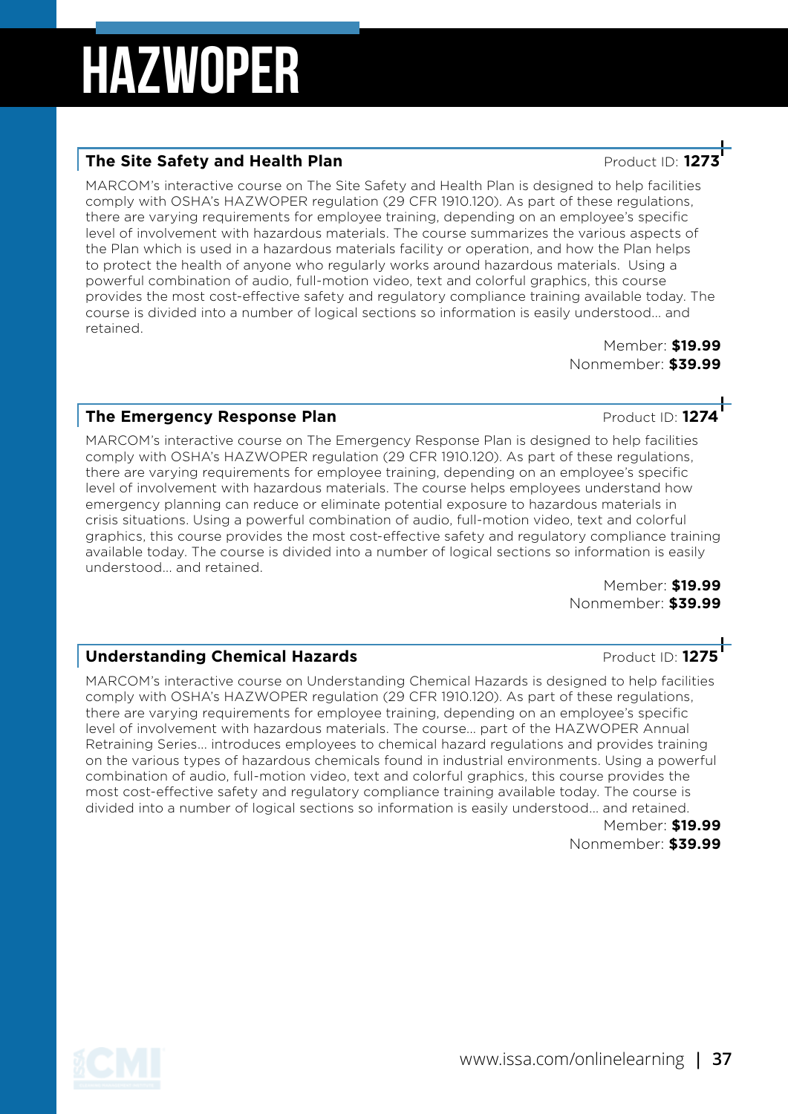### **The Site Safety and Health Plan** *Product ID:**Product ID:**Product ID:*

MARCOM's interactive course on The Site Safety and Health Plan is designed to help facilities comply with OSHA's HAZWOPER regulation (29 CFR 1910.120). As part of these regulations, there are varying requirements for employee training, depending on an employee's specific level of involvement with hazardous materials. The course summarizes the various aspects of the Plan which is used in a hazardous materials facility or operation, and how the Plan helps to protect the health of anyone who regularly works around hazardous materials. Using a powerful combination of audio, full-motion video, text and colorful graphics, this course provides the most cost-effective safety and regulatory compliance training available today. The course is divided into a number of logical sections so information is easily understood... and retained.

Member: **\$19.99** Nonmember: **\$39.99**

#### **The Emergency Response Plan**<br> **Product ID: 1274**

MARCOM's interactive course on The Emergency Response Plan is designed to help facilities comply with OSHA's HAZWOPER regulation (29 CFR 1910.120). As part of these regulations, there are varying requirements for employee training, depending on an employee's specific level of involvement with hazardous materials. The course helps employees understand how emergency planning can reduce or eliminate potential exposure to hazardous materials in crisis situations. Using a powerful combination of audio, full-motion video, text and colorful graphics, this course provides the most cost-effective safety and regulatory compliance training available today. The course is divided into a number of logical sections so information is easily understood... and retained.

Member: **\$19.99** Nonmember: **\$39.99**

#### **Understanding Chemical Hazards Discussed Bay American Product ID: 1275**

MARCOM's interactive course on Understanding Chemical Hazards is designed to help facilities comply with OSHA's HAZWOPER regulation (29 CFR 1910.120). As part of these regulations, there are varying requirements for employee training, depending on an employee's specific level of involvement with hazardous materials. The course... part of the HAZWOPER Annual Retraining Series... introduces employees to chemical hazard regulations and provides training on the various types of hazardous chemicals found in industrial environments. Using a powerful combination of audio, full-motion video, text and colorful graphics, this course provides the most cost-effective safety and regulatory compliance training available today. The course is divided into a number of logical sections so information is easily understood... and retained.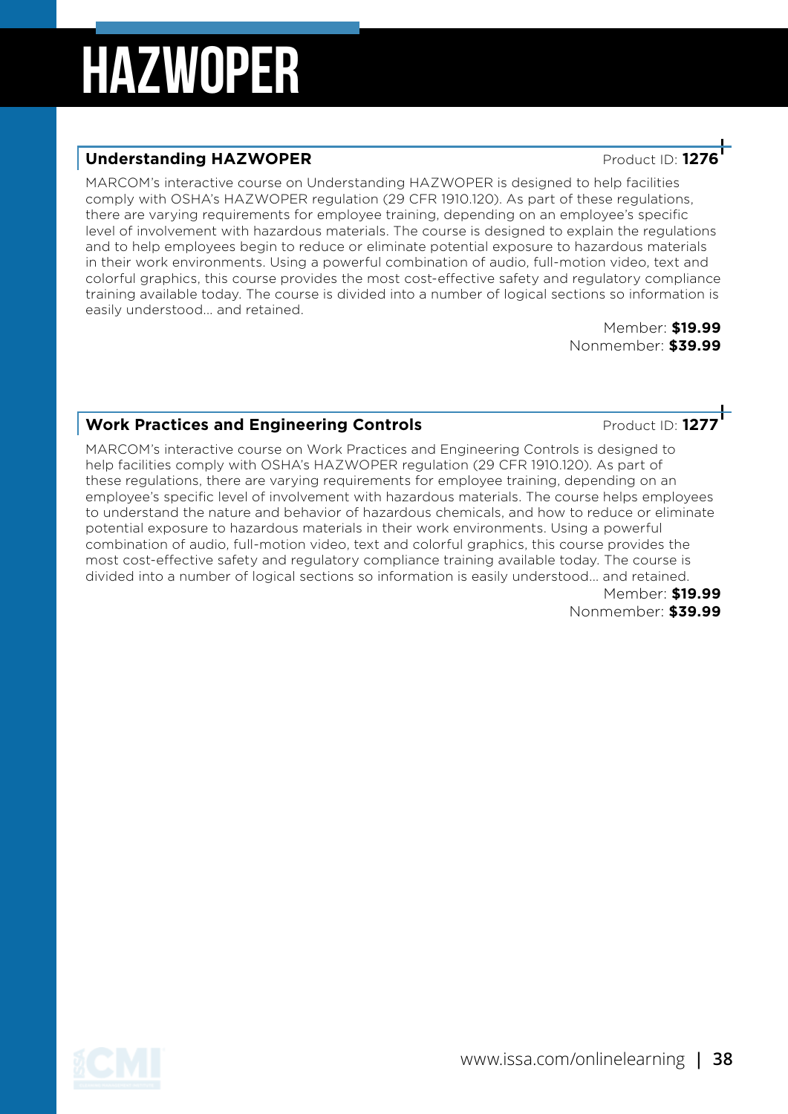#### **Understanding HAZWOPER Product ID: 127**

MARCOM's interactive course on Understanding HAZWOPER is designed to help facilities comply with OSHA's HAZWOPER regulation (29 CFR 1910.120). As part of these regulations, there are varying requirements for employee training, depending on an employee's specific level of involvement with hazardous materials. The course is designed to explain the regulations and to help employees begin to reduce or eliminate potential exposure to hazardous materials in their work environments. Using a powerful combination of audio, full-motion video, text and colorful graphics, this course provides the most cost-effective safety and regulatory compliance training available today. The course is divided into a number of logical sections so information is easily understood... and retained.

> Member: **\$19.99** Nonmember: **\$39.99**

### **Work Practices and Engineering Controls**<br>**Product ID: 127**

MARCOM's interactive course on Work Practices and Engineering Controls is designed to help facilities comply with OSHA's HAZWOPER regulation (29 CFR 1910.120). As part of these regulations, there are varying requirements for employee training, depending on an employee's specific level of involvement with hazardous materials. The course helps employees to understand the nature and behavior of hazardous chemicals, and how to reduce or eliminate potential exposure to hazardous materials in their work environments. Using a powerful combination of audio, full-motion video, text and colorful graphics, this course provides the most cost-effective safety and regulatory compliance training available today. The course is divided into a number of logical sections so information is easily understood... and retained. Member: **\$19.99**

Nonmember: **\$39.99**

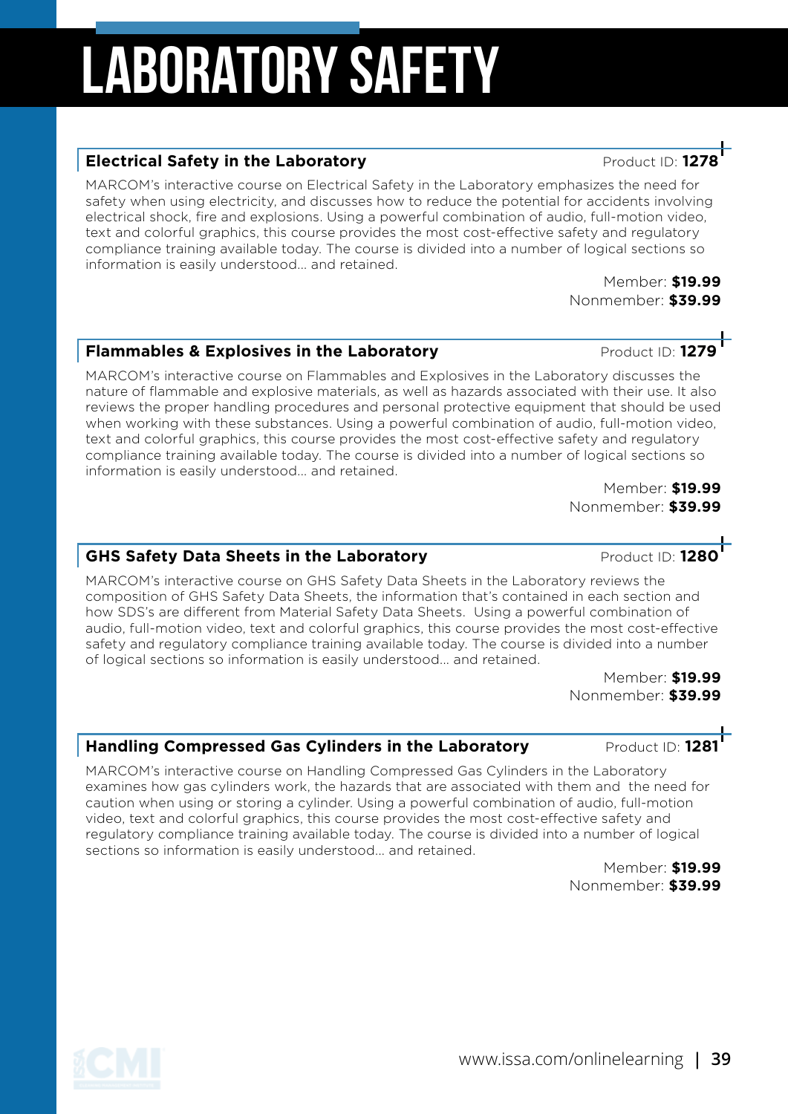# Laboratory Safety

#### **Electrical Safety in the Laboratory** *Product ID:* **12**

MARCOM's interactive course on Electrical Safety in the Laboratory emphasizes the need for safety when using electricity, and discusses how to reduce the potential for accidents involving electrical shock, fire and explosions. Using a powerful combination of audio, full-motion video, text and colorful graphics, this course provides the most cost-effective safety and regulatory compliance training available today. The course is divided into a number of logical sections so information is easily understood... and retained.

Member: **\$19.99** Nonmember: **\$39.99**

### **Flammables & Explosives in the Laboratory Product ID: 1279**

MARCOM's interactive course on Flammables and Explosives in the Laboratory discusses the nature of flammable and explosive materials, as well as hazards associated with their use. It also reviews the proper handling procedures and personal protective equipment that should be used when working with these substances. Using a powerful combination of audio, full-motion video, text and colorful graphics, this course provides the most cost-effective safety and regulatory compliance training available today. The course is divided into a number of logical sections so information is easily understood... and retained.

Member: **\$19.99** Nonmember: **\$39.99**

### **GHS Safety Data Sheets in the Laboratory And American Product ID: 1280**

MARCOM's interactive course on GHS Safety Data Sheets in the Laboratory reviews the composition of GHS Safety Data Sheets, the information that's contained in each section and how SDS's are different from Material Safety Data Sheets. Using a powerful combination of audio, full-motion video, text and colorful graphics, this course provides the most cost-effective safety and regulatory compliance training available today. The course is divided into a number of logical sections so information is easily understood... and retained.

> Member: **\$19.99** Nonmember: **\$39.99**

#### **Handling Compressed Gas Cylinders in the Laboratory Product ID: 1281**

MARCOM's interactive course on Handling Compressed Gas Cylinders in the Laboratory examines how gas cylinders work, the hazards that are associated with them and the need for caution when using or storing a cylinder. Using a powerful combination of audio, full-motion video, text and colorful graphics, this course provides the most cost-effective safety and regulatory compliance training available today. The course is divided into a number of logical sections so information is easily understood... and retained.

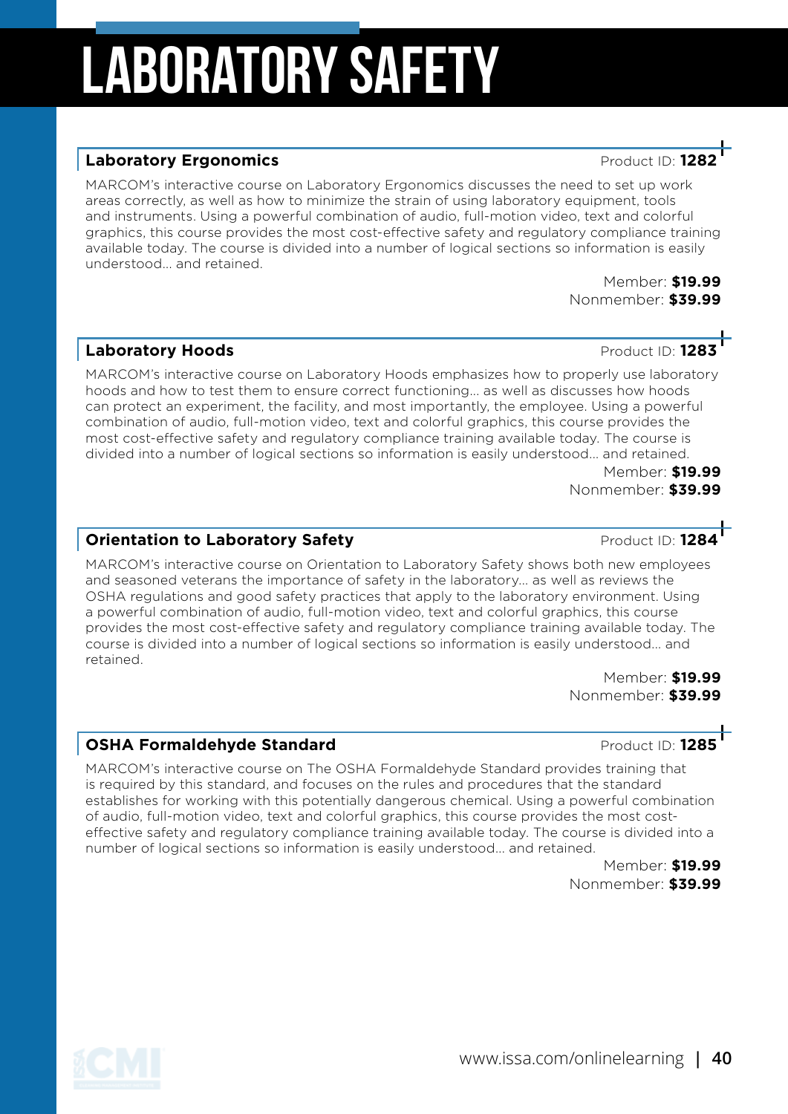# Laboratory Safety

#### **Laboratory Ergonomics Contract ID: 128**

MARCOM's interactive course on Laboratory Ergonomics discusses the need to set up work areas correctly, as well as how to minimize the strain of using laboratory equipment, tools and instruments. Using a powerful combination of audio, full-motion video, text and colorful graphics, this course provides the most cost-effective safety and regulatory compliance training available today. The course is divided into a number of logical sections so information is easily understood... and retained.

Member: **\$19.99** Nonmember: **\$39.99**

#### **Laboratory Hoods Contract ID: 1283**

MARCOM's interactive course on Laboratory Hoods emphasizes how to properly use laboratory hoods and how to test them to ensure correct functioning... as well as discusses how hoods can protect an experiment, the facility, and most importantly, the employee. Using a powerful combination of audio, full-motion video, text and colorful graphics, this course provides the most cost-effective safety and regulatory compliance training available today. The course is divided into a number of logical sections so information is easily understood... and retained.

Member: **\$19.99** Nonmember: **\$39.99**

#### **Orientation to Laboratory Safety Product ID: 1284**

MARCOM's interactive course on Orientation to Laboratory Safety shows both new employees and seasoned veterans the importance of safety in the laboratory... as well as reviews the OSHA regulations and good safety practices that apply to the laboratory environment. Using a powerful combination of audio, full-motion video, text and colorful graphics, this course provides the most cost-effective safety and regulatory compliance training available today. The course is divided into a number of logical sections so information is easily understood... and retained.

Member: **\$19.99** Nonmember: **\$39.99**

#### **OSHA Formaldehyde Standard Area and Area Product ID: 1285**

MARCOM's interactive course on The OSHA Formaldehyde Standard provides training that is required by this standard, and focuses on the rules and procedures that the standard establishes for working with this potentially dangerous chemical. Using a powerful combination of audio, full-motion video, text and colorful graphics, this course provides the most costeffective safety and regulatory compliance training available today. The course is divided into a number of logical sections so information is easily understood... and retained.

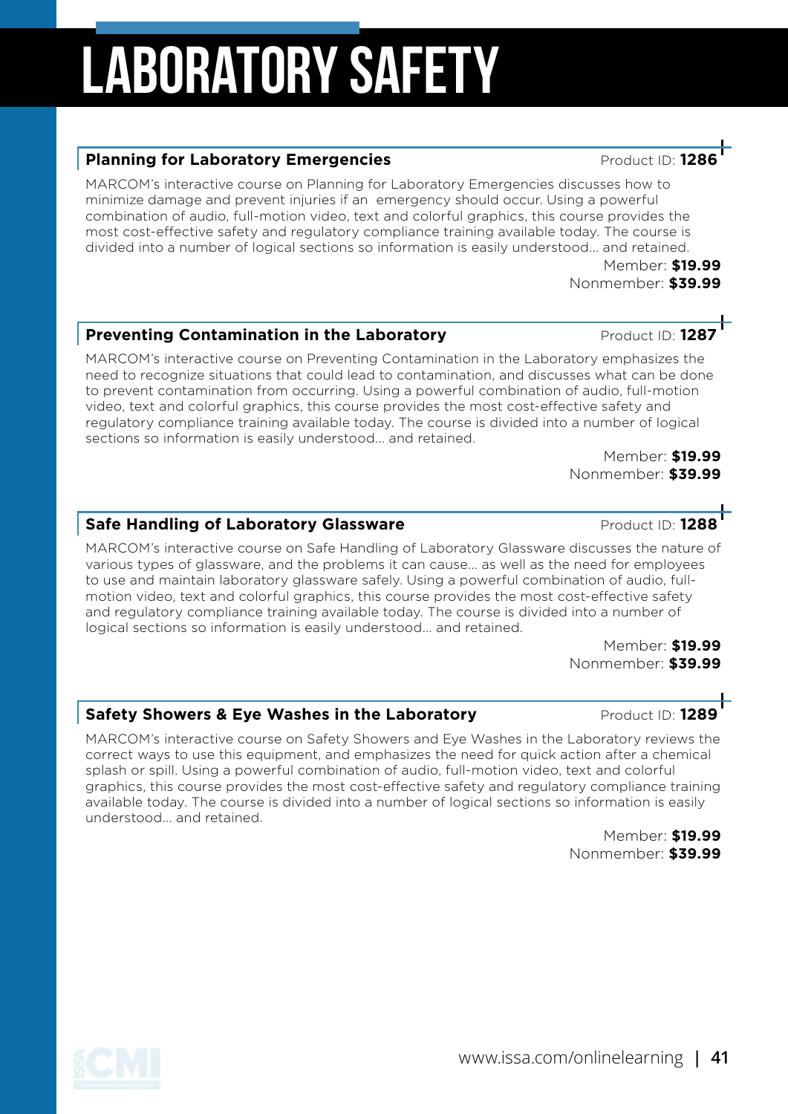# Laboratory Safety

#### **Planning for Laboratory Emergencies Planning for Laboratory Emergencies**

MARCOM's interactive course on Planning for Laboratory Emergencies discusses how to minimize damage and prevent injuries if an emergency should occur. Using a powerful combination of audio, full-motion video, text and colorful graphics, this course provides the most cost-effective safety and regulatory compliance training available today. The course is divided into a number of logical sections so information is easily understood... and retained.

> Member: **\$19.99** Nonmember: **\$39.99**

#### **Preventing Contamination in the Laboratory Product ID: 1287**

MARCOM's interactive course on Preventing Contamination in the Laboratory emphasizes the need to recognize situations that could lead to contamination, and discusses what can be done to prevent contamination from occurring. Using a powerful combination of audio, full-motion video, text and colorful graphics, this course provides the most cost-effective safety and regulatory compliance training available today. The course is divided into a number of logical sections so information is easily understood... and retained.

Member: **\$19.99** Nonmember: **\$39.99**

#### **Safe Handling of Laboratory Glassware Product ID: 1288**

MARCOM's interactive course on Safe Handling of Laboratory Glassware discusses the nature of various types of glassware, and the problems it can cause... as well as the need for employees to use and maintain laboratory glassware safely. Using a powerful combination of audio, fullmotion video, text and colorful graphics, this course provides the most cost-effective safety and regulatory compliance training available today. The course is divided into a number of logical sections so information is easily understood... and retained.

> Member: **\$19.99** Nonmember: **\$39.99**

#### **Safety Showers & Eye Washes in the Laboratory Product ID: 1289**

MARCOM's interactive course on Safety Showers and Eye Washes in the Laboratory reviews the correct ways to use this equipment, and emphasizes the need for quick action after a chemical splash or spill. Using a powerful combination of audio, full-motion video, text and colorful graphics, this course provides the most cost-effective safety and regulatory compliance training available today. The course is divided into a number of logical sections so information is easily understood... and retained.

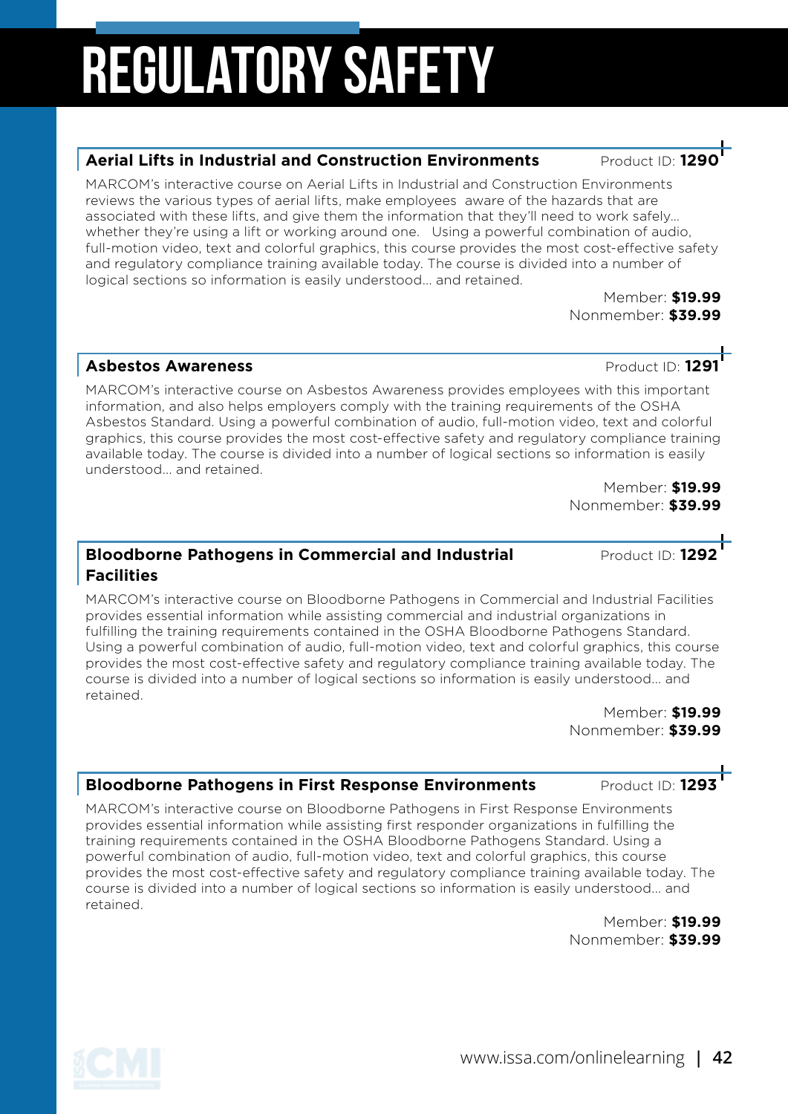### Nonmember: **\$39.99**

**Aerial Lifts in Industrial and Construction Environments** Product ID: 129

MARCOM's interactive course on Aerial Lifts in Industrial and Construction Environments reviews the various types of aerial lifts, make employees aware of the hazards that are associated with these lifts, and give them the information that they'll need to work safely… whether they're using a lift or working around one. Using a powerful combination of audio, full-motion video, text and colorful graphics, this course provides the most cost-effective safety

#### **Asbestos Awareness Product ID: 1291**

MARCOM's interactive course on Asbestos Awareness provides employees with this important information, and also helps employers comply with the training requirements of the OSHA Asbestos Standard. Using a powerful combination of audio, full-motion video, text and colorful graphics, this course provides the most cost-effective safety and regulatory compliance training available today. The course is divided into a number of logical sections so information is easily understood... and retained.

Member: **\$19.99** Nonmember: **\$39.99**

#### **Bloodborne Pathogens in Commercial and Industrial <b>Product ID: 1292 Facilities**

MARCOM's interactive course on Bloodborne Pathogens in Commercial and Industrial Facilities provides essential information while assisting commercial and industrial organizations in fulfilling the training requirements contained in the OSHA Bloodborne Pathogens Standard. Using a powerful combination of audio, full-motion video, text and colorful graphics, this course provides the most cost-effective safety and regulatory compliance training available today. The course is divided into a number of logical sections so information is easily understood... and retained.

Member: **\$19.99** Nonmember: **\$39.99**

#### **Bloodborne Pathogens in First Response Environments Product ID: 1293**

MARCOM's interactive course on Bloodborne Pathogens in First Response Environments provides essential information while assisting first responder organizations in fulfilling the training requirements contained in the OSHA Bloodborne Pathogens Standard. Using a powerful combination of audio, full-motion video, text and colorful graphics, this course provides the most cost-effective safety and regulatory compliance training available today. The course is divided into a number of logical sections so information is easily understood... and retained.

Member: **\$19.99** Nonmember: **\$39.99**

www.issa.com/onlinelearning **| 42**

and regulatory compliance training available today. The course is divided into a number of logical sections so information is easily understood... and retained. Member: **\$19.99**

# Regulatory Safety

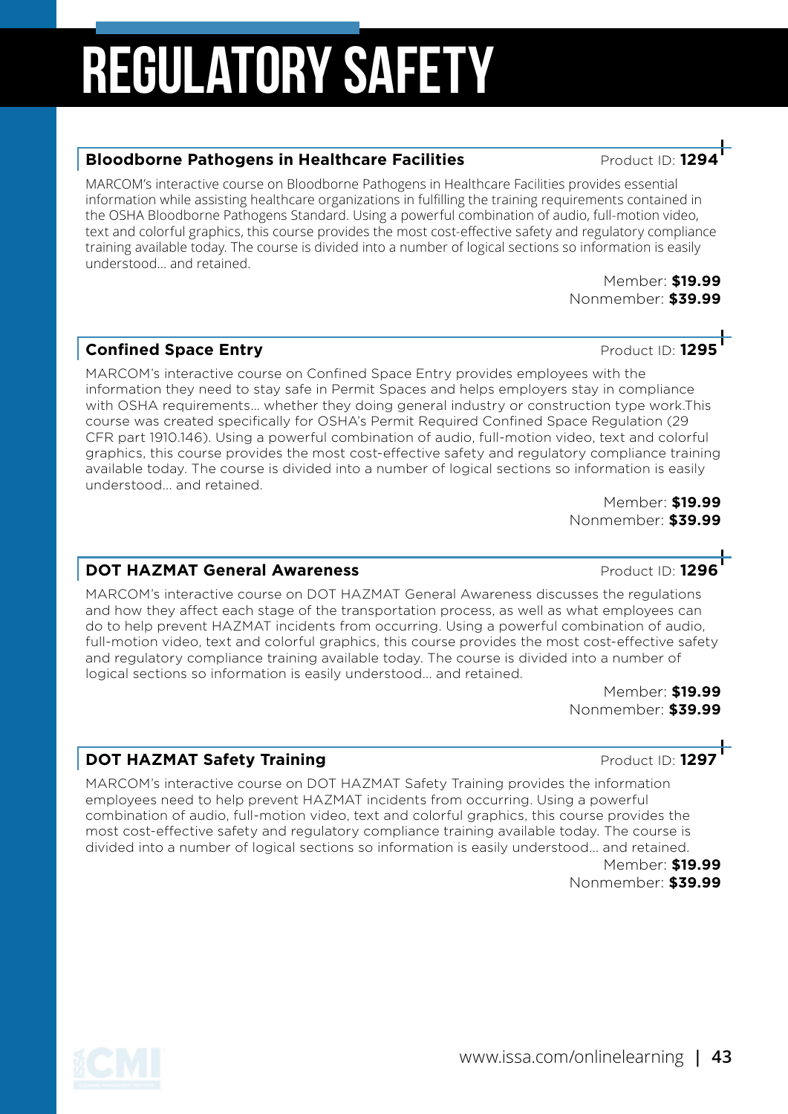#### **Bloodborne Pathogens in Healthcare Facilities** Product ID: 129

MARCOM's interactive course on Bloodborne Pathogens in Healthcare Facilities provides essential information while assisting healthcare organizations in fulfilling the training requirements contained in the OSHA Bloodborne Pathogens Standard. Using a powerful combination of audio, full-motion video, text and colorful graphics, this course provides the most cost-effective safety and regulatory compliance training available today. The course is divided into a number of logical sections so information is easily understood... and retained.

Member: **\$19.99** Nonmember: **\$39.99**

### **Confined Space Entry Confined Space Entry**

MARCOM's interactive course on Confined Space Entry provides employees with the information they need to stay safe in Permit Spaces and helps employers stay in compliance with OSHA requirements... whether they doing general industry or construction type work.This course was created specifically for OSHA's Permit Required Confined Space Regulation (29 CFR part 1910.146). Using a powerful combination of audio, full-motion video, text and colorful graphics, this course provides the most cost-effective safety and regulatory compliance training available today. The course is divided into a number of logical sections so information is easily understood... and retained.

Member: **\$19.99** Nonmember: **\$39.99**

#### **DOT HAZMAT General Awareness Product ID: 1296**

MARCOM's interactive course on DOT HAZMAT General Awareness discusses the regulations and how they affect each stage of the transportation process, as well as what employees can do to help prevent HAZMAT incidents from occurring. Using a powerful combination of audio, full-motion video, text and colorful graphics, this course provides the most cost-effective safety and regulatory compliance training available today. The course is divided into a number of logical sections so information is easily understood... and retained.

Member: **\$19.99** Nonmember: **\$39.99**

#### **DOT HAZMAT Safety Training** *DOT HAZMAT* **Safety Training** *Product ID:* **1297**

MARCOM's interactive course on DOT HAZMAT Safety Training provides the information employees need to help prevent HAZMAT incidents from occurring. Using a powerful combination of audio, full-motion video, text and colorful graphics, this course provides the most cost-effective safety and regulatory compliance training available today. The course is divided into a number of logical sections so information is easily understood... and retained.

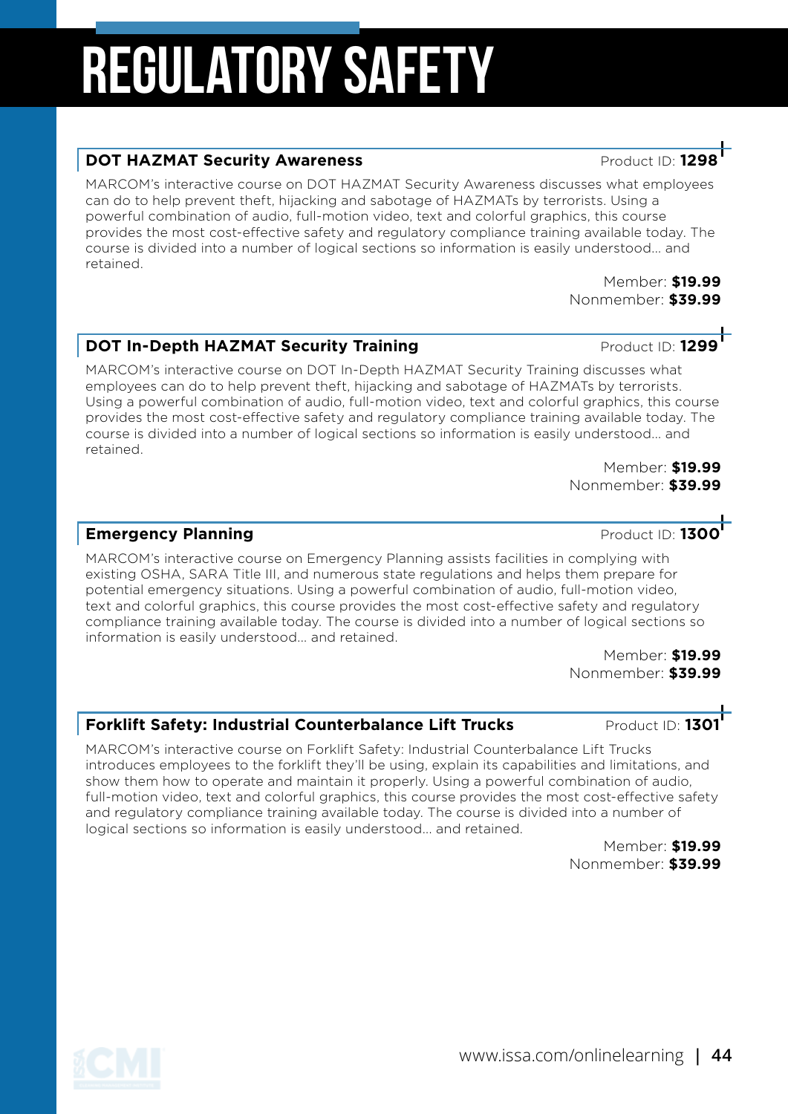### www.issa.com/onlinelearning **| 44**

# Regulatory Safety

#### **DOT HAZMAT Security Awareness Product ID:** 129

MARCOM's interactive course on DOT HAZMAT Security Awareness discusses what employees can do to help prevent theft, hijacking and sabotage of HAZMATs by terrorists. Using a powerful combination of audio, full-motion video, text and colorful graphics, this course provides the most cost-effective safety and regulatory compliance training available today. The course is divided into a number of logical sections so information is easily understood... and retained.

#### **DOT In-Depth HAZMAT Security Training and Security Product ID: 1299**

MARCOM's interactive course on DOT In-Depth HAZMAT Security Training discusses what employees can do to help prevent theft, hijacking and sabotage of HAZMATs by terrorists. Using a powerful combination of audio, full-motion video, text and colorful graphics, this course provides the most cost-effective safety and regulatory compliance training available today. The course is divided into a number of logical sections so information is easily understood... and retained.

Member: **\$19.99** Nonmember: **\$39.99**

#### **Emergency Planning Emergency Planning**

MARCOM's interactive course on Emergency Planning assists facilities in complying with existing OSHA, SARA Title III, and numerous state regulations and helps them prepare for potential emergency situations. Using a powerful combination of audio, full-motion video, text and colorful graphics, this course provides the most cost-effective safety and regulatory compliance training available today. The course is divided into a number of logical sections so information is easily understood... and retained.

> Member: **\$19.99** Nonmember: **\$39.99**

#### **Forklift Safety: Industrial Counterbalance Lift Trucks Product ID: 1301**

MARCOM's interactive course on Forklift Safety: Industrial Counterbalance Lift Trucks introduces employees to the forklift they'll be using, explain its capabilities and limitations, and show them how to operate and maintain it properly. Using a powerful combination of audio, full-motion video, text and colorful graphics, this course provides the most cost-effective safety and regulatory compliance training available today. The course is divided into a number of logical sections so information is easily understood... and retained.

> Member: **\$19.99** Nonmember: **\$39.99**



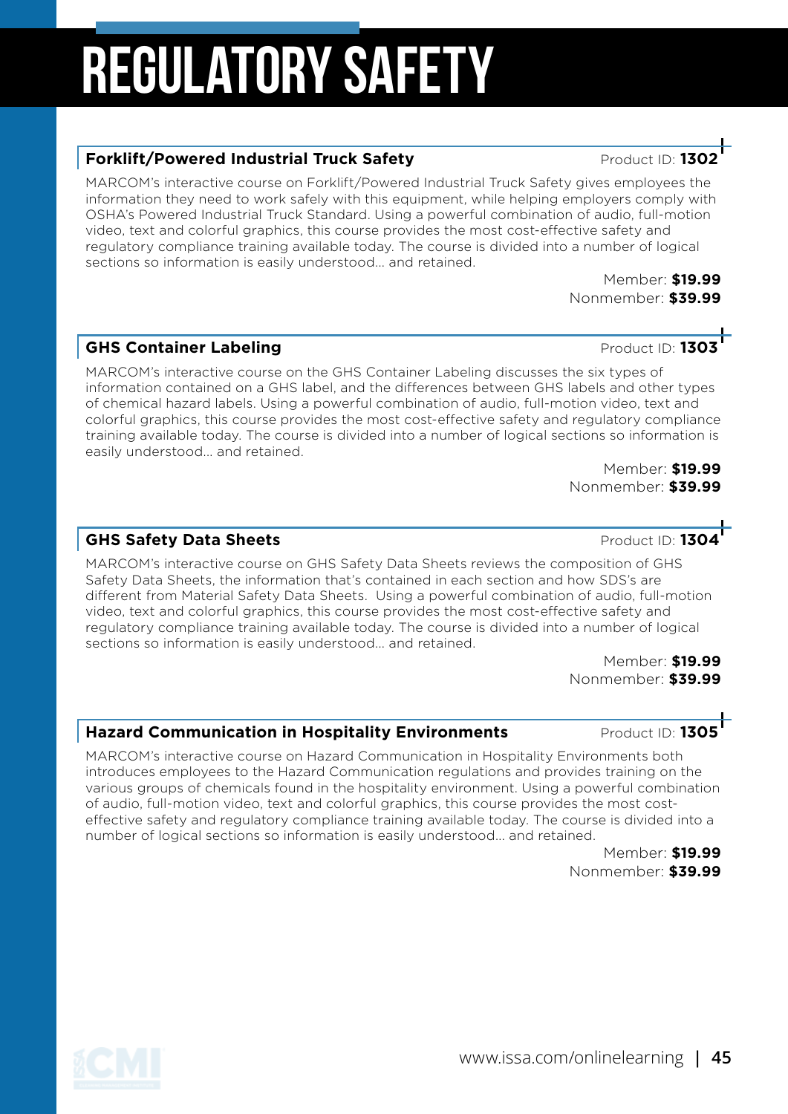#### OSHA's Powered Industrial Truck Standard. Using a powerful combination of audio, full-motion video, text and colorful graphics, this course provides the most cost-effective safety and regulatory compliance training available today. The course is divided into a number of logical sections so information is easily understood... and retained.

MARCOM's interactive course on Forklift/Powered Industrial Truck Safety gives employees the information they need to work safely with this equipment, while helping employers comply with

> Member: **\$19.99** Nonmember: **\$39.99**

### **GHS Container Labeling** Product ID: **1303**

MARCOM's interactive course on the GHS Container Labeling discusses the six types of information contained on a GHS label, and the differences between GHS labels and other types of chemical hazard labels. Using a powerful combination of audio, full-motion video, text and colorful graphics, this course provides the most cost-effective safety and regulatory compliance training available today. The course is divided into a number of logical sections so information is easily understood... and retained.

Member: **\$19.99** Nonmember: **\$39.99**

#### **GHS Safety Data Sheets CHS Safety Data Sheets Product ID: 1304**

MARCOM's interactive course on GHS Safety Data Sheets reviews the composition of GHS Safety Data Sheets, the information that's contained in each section and how SDS's are different from Material Safety Data Sheets. Using a powerful combination of audio, full-motion video, text and colorful graphics, this course provides the most cost-effective safety and regulatory compliance training available today. The course is divided into a number of logical sections so information is easily understood... and retained.

Member: **\$19.99** Nonmember: **\$39.99**

#### **Hazard Communication in Hospitality Environments Product ID: 1305**

MARCOM's interactive course on Hazard Communication in Hospitality Environments both introduces employees to the Hazard Communication regulations and provides training on the various groups of chemicals found in the hospitality environment. Using a powerful combination of audio, full-motion video, text and colorful graphics, this course provides the most costeffective safety and regulatory compliance training available today. The course is divided into a number of logical sections so information is easily understood... and retained.

Member: **\$19.99** Nonmember: **\$39.99**

# Regulatory Safety

### **Forklift/Powered Industrial Truck Safety Product ID: 1302**



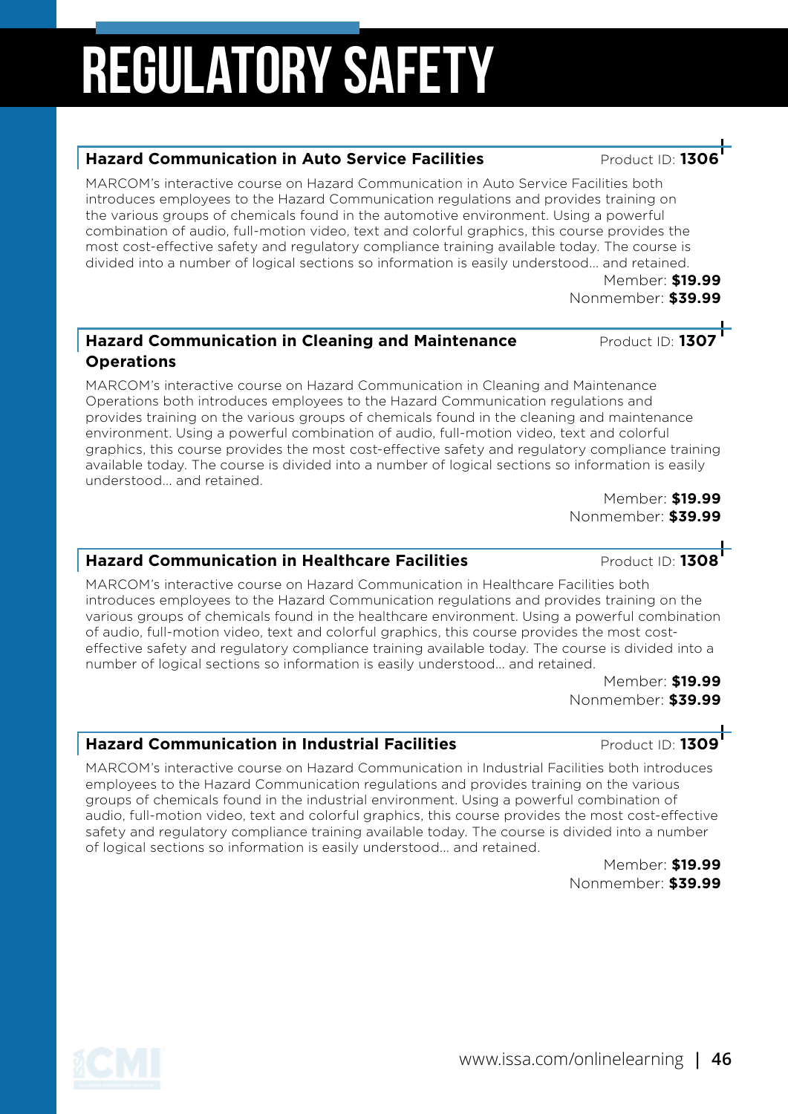#### **Hazard Communication in Auto Service Facilities Product ID: 130**

MARCOM's interactive course on Hazard Communication in Auto Service Facilities both introduces employees to the Hazard Communication regulations and provides training on the various groups of chemicals found in the automotive environment. Using a powerful combination of audio, full-motion video, text and colorful graphics, this course provides the most cost-effective safety and regulatory compliance training available today. The course is divided into a number of logical sections so information is easily understood... and retained.

Member: **\$19.99** Nonmember: **\$39.99**

#### **Hazard Communication in Cleaning and Maintenance Product ID: 130 Operations**

MARCOM's interactive course on Hazard Communication in Cleaning and Maintenance Operations both introduces employees to the Hazard Communication regulations and provides training on the various groups of chemicals found in the cleaning and maintenance environment. Using a powerful combination of audio, full-motion video, text and colorful graphics, this course provides the most cost-effective safety and regulatory compliance training available today. The course is divided into a number of logical sections so information is easily understood... and retained.

Member: **\$19.99** Nonmember: **\$39.99**

### **Hazard Communication in Healthcare Facilities** Product ID: 1308

MARCOM's interactive course on Hazard Communication in Healthcare Facilities both introduces employees to the Hazard Communication regulations and provides training on the various groups of chemicals found in the healthcare environment. Using a powerful combination of audio, full-motion video, text and colorful graphics, this course provides the most costeffective safety and regulatory compliance training available today. The course is divided into a number of logical sections so information is easily understood... and retained.

> Member: **\$19.99** Nonmember: **\$39.99**

#### **Hazard Communication in Industrial Facilities** Product ID: 1309

MARCOM's interactive course on Hazard Communication in Industrial Facilities both introduces employees to the Hazard Communication regulations and provides training on the various groups of chemicals found in the industrial environment. Using a powerful combination of audio, full-motion video, text and colorful graphics, this course provides the most cost-effective safety and regulatory compliance training available today. The course is divided into a number of logical sections so information is easily understood... and retained.

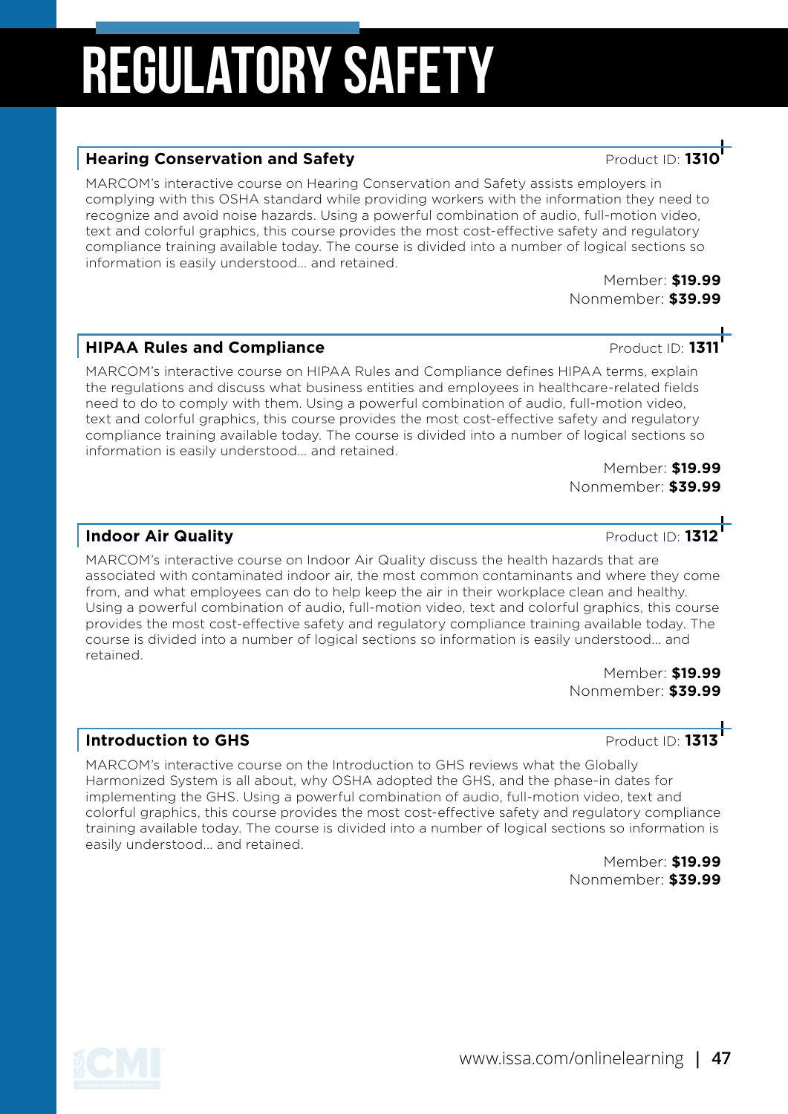#### **Hearing Conservation and Safety Product ID: 131**

MARCOM's interactive course on Hearing Conservation and Safety assists employers in complying with this OSHA standard while providing workers with the information they need to recognize and avoid noise hazards. Using a powerful combination of audio, full-motion video, text and colorful graphics, this course provides the most cost-effective safety and regulatory compliance training available today. The course is divided into a number of logical sections so information is easily understood... and retained.

Member: **\$19.99** Nonmember: **\$39.99**

#### **HIPAA Rules and Compliance Product ID: 1311**

MARCOM's interactive course on HIPAA Rules and Compliance defines HIPAA terms, explain the regulations and discuss what business entities and employees in healthcare-related fields need to do to comply with them. Using a powerful combination of audio, full-motion video, text and colorful graphics, this course provides the most cost-effective safety and regulatory compliance training available today. The course is divided into a number of logical sections so information is easily understood... and retained.

Member: **\$19.99** Nonmember: **\$39.99**

#### **Indoor Air Quality Contained Air Cuality Product ID: 1312**

MARCOM's interactive course on Indoor Air Quality discuss the health hazards that are associated with contaminated indoor air, the most common contaminants and where they come from, and what employees can do to help keep the air in their workplace clean and healthy. Using a powerful combination of audio, full-motion video, text and colorful graphics, this course provides the most cost-effective safety and regulatory compliance training available today. The course is divided into a number of logical sections so information is easily understood... and retained.

> Member: **\$19.99** Nonmember: **\$39.99**

### **Introduction to GHS Introduction to GHS**

MARCOM's interactive course on the Introduction to GHS reviews what the Globally Harmonized System is all about, why OSHA adopted the GHS, and the phase-in dates for implementing the GHS. Using a powerful combination of audio, full-motion video, text and colorful graphics, this course provides the most cost-effective safety and regulatory compliance training available today. The course is divided into a number of logical sections so information is easily understood... and retained.

> Member: **\$19.99** Nonmember: **\$39.99**

www.issa.com/onlinelearning **| 47**

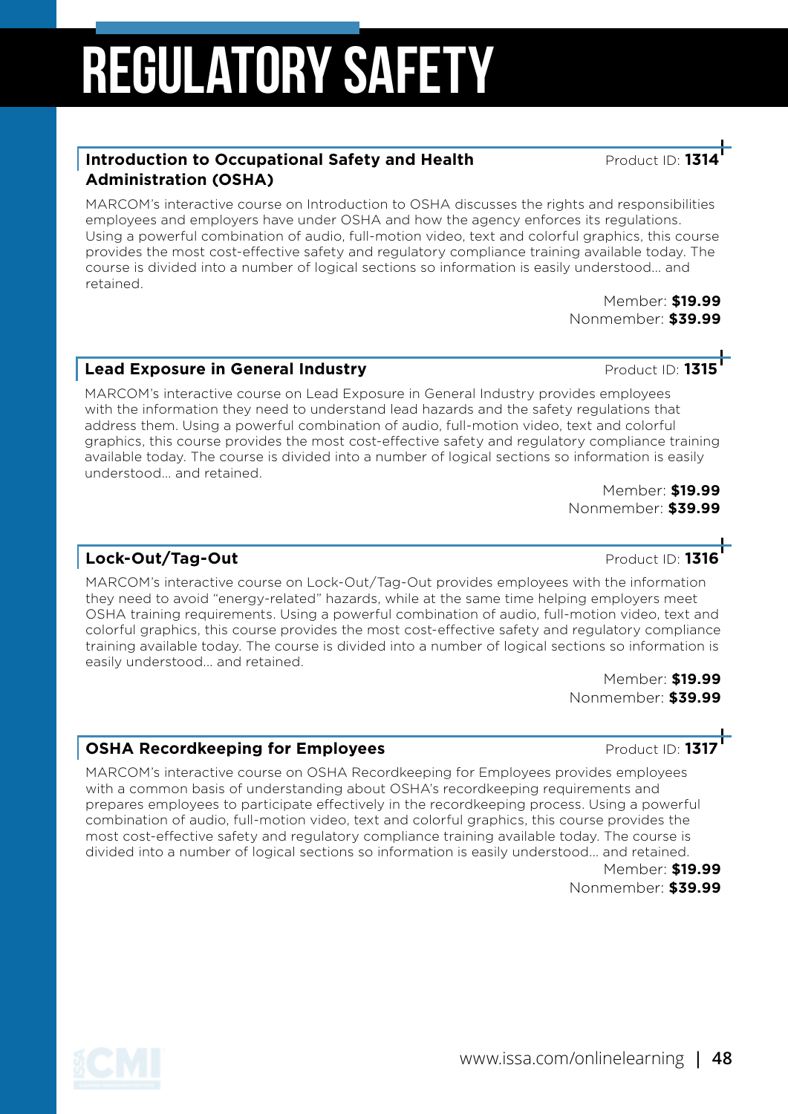#### **Introduction to Occupational Safety and Health Product ID: 1314 Administration (OSHA)**

MARCOM's interactive course on Introduction to OSHA discusses the rights and responsibilities employees and employers have under OSHA and how the agency enforces its regulations. Using a powerful combination of audio, full-motion video, text and colorful graphics, this course provides the most cost-effective safety and regulatory compliance training available today. The course is divided into a number of logical sections so information is easily understood... and retained.

Member: **\$19.99** Nonmember: **\$39.99**

### **Lead Exposure in General Industry Product ID: 131**

MARCOM's interactive course on Lead Exposure in General Industry provides employees with the information they need to understand lead hazards and the safety regulations that address them. Using a powerful combination of audio, full-motion video, text and colorful graphics, this course provides the most cost-effective safety and regulatory compliance training available today. The course is divided into a number of logical sections so information is easily understood... and retained.

Member: **\$19.99** Nonmember: **\$39.99**

### **Lock-Out/Tag-Out**

MARCOM's interactive course on Lock-Out/Tag-Out provides employees with the information they need to avoid "energy-related" hazards, while at the same time helping employers meet OSHA training requirements. Using a powerful combination of audio, full-motion video, text and colorful graphics, this course provides the most cost-effective safety and regulatory compliance training available today. The course is divided into a number of logical sections so information is easily understood... and retained.

Member: **\$19.99** Nonmember: **\$39.99**

### **OSHA Recordkeeping for Employees Product ID: 1317**

MARCOM's interactive course on OSHA Recordkeeping for Employees provides employees with a common basis of understanding about OSHA's recordkeeping requirements and prepares employees to participate effectively in the recordkeeping process. Using a powerful combination of audio, full-motion video, text and colorful graphics, this course provides the most cost-effective safety and regulatory compliance training available today. The course is divided into a number of logical sections so information is easily understood... and retained.

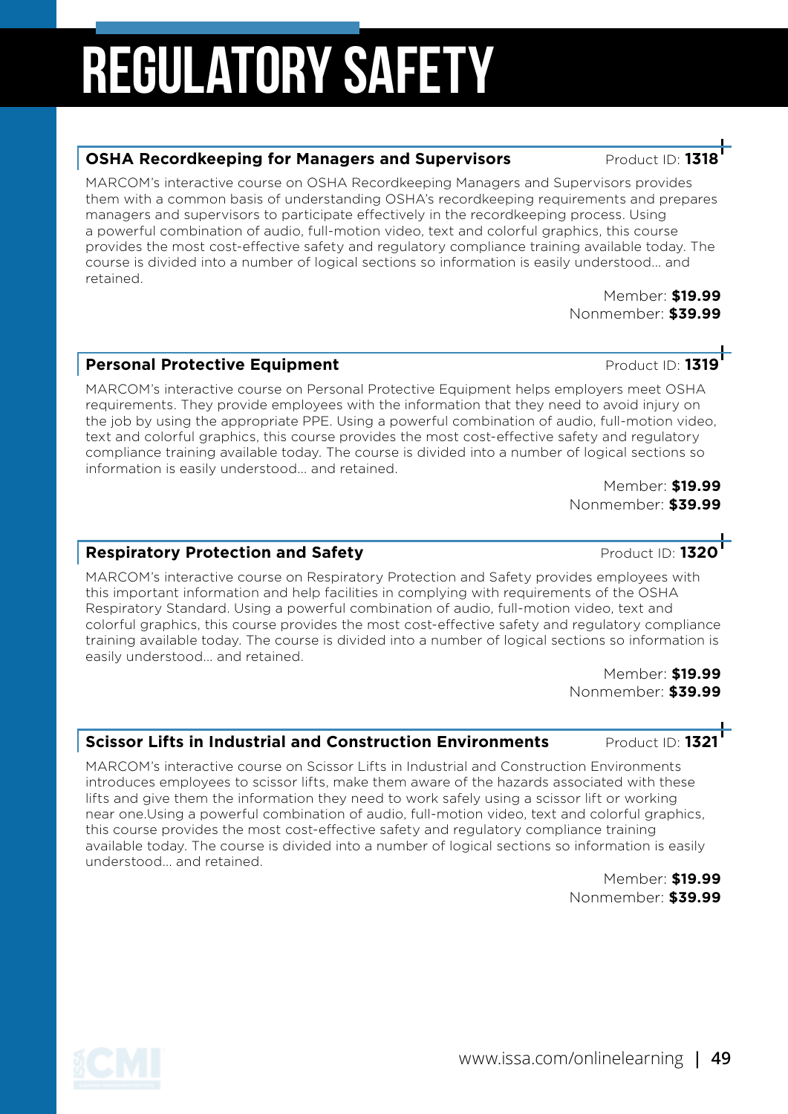#### **OSHA Recordkeeping for Managers and Supervisors Product ID: 131**

MARCOM's interactive course on OSHA Recordkeeping Managers and Supervisors provides them with a common basis of understanding OSHA's recordkeeping requirements and prepares managers and supervisors to participate effectively in the recordkeeping process. Using a powerful combination of audio, full-motion video, text and colorful graphics, this course provides the most cost-effective safety and regulatory compliance training available today. The course is divided into a number of logical sections so information is easily understood... and retained.

> Member: **\$19.99** Nonmember: **\$39.99**

#### **Personal Protective Equipment** Product ID: **1319**

MARCOM's interactive course on Personal Protective Equipment helps employers meet OSHA requirements. They provide employees with the information that they need to avoid injury on the job by using the appropriate PPE. Using a powerful combination of audio, full-motion video, text and colorful graphics, this course provides the most cost-effective safety and regulatory compliance training available today. The course is divided into a number of logical sections so information is easily understood... and retained.

Member: **\$19.99** Nonmember: **\$39.99**

#### **Respiratory Protection and Safety Accord Product ID: 1320**

MARCOM's interactive course on Respiratory Protection and Safety provides employees with this important information and help facilities in complying with requirements of the OSHA Respiratory Standard. Using a powerful combination of audio, full-motion video, text and colorful graphics, this course provides the most cost-effective safety and regulatory compliance training available today. The course is divided into a number of logical sections so information is easily understood... and retained.

> Member: **\$19.99** Nonmember: **\$39.99**

#### **Scissor Lifts in Industrial and Construction Environments Product ID: 1321**

MARCOM's interactive course on Scissor Lifts in Industrial and Construction Environments introduces employees to scissor lifts, make them aware of the hazards associated with these lifts and give them the information they need to work safely using a scissor lift or working near one.Using a powerful combination of audio, full-motion video, text and colorful graphics, this course provides the most cost-effective safety and regulatory compliance training available today. The course is divided into a number of logical sections so information is easily understood... and retained.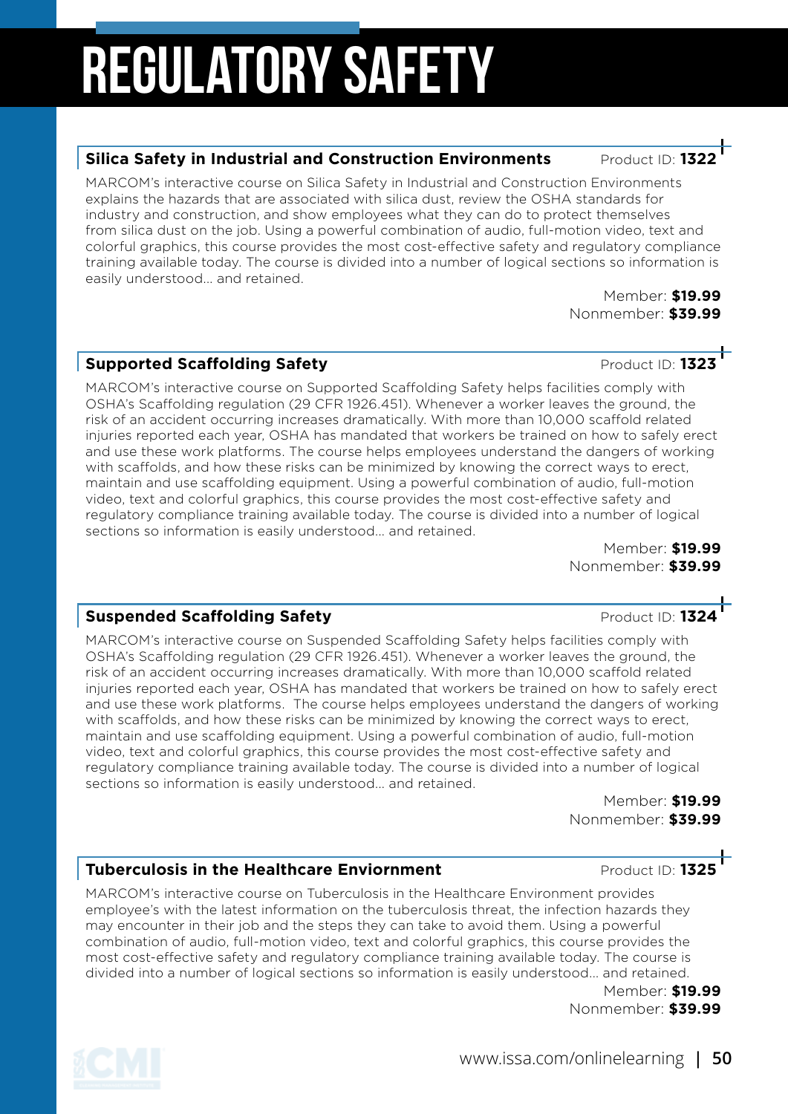#### **Silica Safety in Industrial and Construction Environments Product ID: 132**

MARCOM's interactive course on Silica Safety in Industrial and Construction Environments explains the hazards that are associated with silica dust, review the OSHA standards for industry and construction, and show employees what they can do to protect themselves from silica dust on the job. Using a powerful combination of audio, full-motion video, text and colorful graphics, this course provides the most cost-effective safety and regulatory compliance training available today. The course is divided into a number of logical sections so information is easily understood... and retained.

> Member: **\$19.99** Nonmember: **\$39.99**

### **Supported Scaffolding Safety** Product ID: 1323

MARCOM's interactive course on Supported Scaffolding Safety helps facilities comply with OSHA's Scaffolding regulation (29 CFR 1926.451). Whenever a worker leaves the ground, the risk of an accident occurring increases dramatically. With more than 10,000 scaffold related injuries reported each year, OSHA has mandated that workers be trained on how to safely erect and use these work platforms. The course helps employees understand the dangers of working with scaffolds, and how these risks can be minimized by knowing the correct ways to erect, maintain and use scaffolding equipment. Using a powerful combination of audio, full-motion video, text and colorful graphics, this course provides the most cost-effective safety and regulatory compliance training available today. The course is divided into a number of logical sections so information is easily understood... and retained.

Member: **\$19.99** Nonmember: **\$39.99**

#### **Suspended Scaffolding Safety Product ID: 1324**

MARCOM's interactive course on Suspended Scaffolding Safety helps facilities comply with OSHA's Scaffolding regulation (29 CFR 1926.451). Whenever a worker leaves the ground, the risk of an accident occurring increases dramatically. With more than 10,000 scaffold related injuries reported each year, OSHA has mandated that workers be trained on how to safely erect and use these work platforms. The course helps employees understand the dangers of working with scaffolds, and how these risks can be minimized by knowing the correct ways to erect, maintain and use scaffolding equipment. Using a powerful combination of audio, full-motion video, text and colorful graphics, this course provides the most cost-effective safety and regulatory compliance training available today. The course is divided into a number of logical sections so information is easily understood... and retained.

> Member: **\$19.99** Nonmember: **\$39.99**

#### **Tuberculosis in the Healthcare Enviornment Product ID: 1325**

MARCOM's interactive course on Tuberculosis in the Healthcare Environment provides employee's with the latest information on the tuberculosis threat, the infection hazards they may encounter in their job and the steps they can take to avoid them. Using a powerful combination of audio, full-motion video, text and colorful graphics, this course provides the most cost-effective safety and regulatory compliance training available today. The course is divided into a number of logical sections so information is easily understood... and retained.